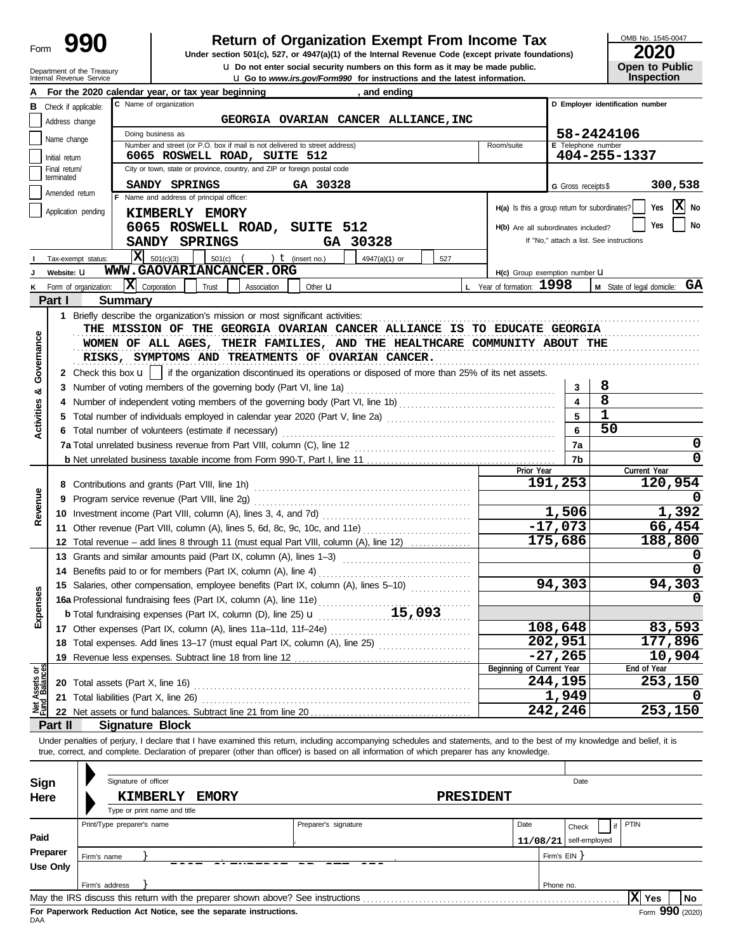| Form |  |
|------|--|
|      |  |

# **Return of Organization Exempt From Income Tax**

Internal Revenue Service u **Go to** *www.irs.gov/Form990* **for instructions and the latest information. u** Do not enter social security numbers on this form as it may be made public. **Under section 501(c), 527, or 4947(a)(1) of the Internal Revenue Code (except private foundations)** OMB No. 1545-0047

|  | <b>Open to Public</b> |
|--|-----------------------|
|  | <b>Inspection</b>     |

|                            |                             | Department of the Treasury<br>Internal Revenue Service |                            |                                                                                                                                                                                                                                |                      | Q Do not enter social security numbers on this form as it may be made public.<br><b>u</b> Go to <i>www.irs.gov/Form990</i> for instructions and the latest information. |                                                 |                          |                                          | Open to Public<br><b>Inspection</b>    |
|----------------------------|-----------------------------|--------------------------------------------------------|----------------------------|--------------------------------------------------------------------------------------------------------------------------------------------------------------------------------------------------------------------------------|----------------------|-------------------------------------------------------------------------------------------------------------------------------------------------------------------------|-------------------------------------------------|--------------------------|------------------------------------------|----------------------------------------|
|                            |                             |                                                        |                            | For the 2020 calendar year, or tax year beginning                                                                                                                                                                              |                      | , and ending                                                                                                                                                            |                                                 |                          |                                          |                                        |
| в                          | Check if applicable:        |                                                        |                            | C Name of organization                                                                                                                                                                                                         |                      |                                                                                                                                                                         |                                                 |                          | D Employer identification number         |                                        |
|                            | Address change              |                                                        |                            |                                                                                                                                                                                                                                |                      | GEORGIA OVARIAN CANCER ALLIANCE, INC                                                                                                                                    |                                                 |                          |                                          |                                        |
|                            |                             |                                                        |                            | Doing business as                                                                                                                                                                                                              |                      |                                                                                                                                                                         |                                                 |                          | 58-2424106                               |                                        |
|                            | Name change                 |                                                        |                            | Number and street (or P.O. box if mail is not delivered to street address)                                                                                                                                                     |                      |                                                                                                                                                                         | Room/suite                                      | E Telephone number       |                                          |                                        |
|                            | Initial return              |                                                        |                            | 6065 ROSWELL ROAD, SUITE 512                                                                                                                                                                                                   |                      |                                                                                                                                                                         |                                                 |                          | 404-255-1337                             |                                        |
|                            | Final return/<br>terminated |                                                        |                            | City or town, state or province, country, and ZIP or foreign postal code                                                                                                                                                       |                      |                                                                                                                                                                         |                                                 |                          |                                          |                                        |
|                            | Amended return              |                                                        |                            | SANDY SPRINGS                                                                                                                                                                                                                  | GA 30328             |                                                                                                                                                                         |                                                 | G Gross receipts \$      |                                          | 300,538                                |
|                            |                             |                                                        |                            | F Name and address of principal officer:                                                                                                                                                                                       |                      |                                                                                                                                                                         | $H(a)$ is this a group return for subordinates? |                          |                                          | $\mathbf{X}$ No<br>Yes                 |
|                            | Application pending         |                                                        |                            | KIMBERLY EMORY                                                                                                                                                                                                                 |                      |                                                                                                                                                                         |                                                 |                          |                                          |                                        |
|                            |                             |                                                        |                            | 6065 ROSWELL ROAD, SUITE 512                                                                                                                                                                                                   |                      |                                                                                                                                                                         | H(b) Are all subordinates included?             |                          |                                          | Yes<br>No                              |
|                            |                             |                                                        |                            | SANDY SPRINGS                                                                                                                                                                                                                  | GA 30328             |                                                                                                                                                                         |                                                 |                          | If "No," attach a list. See instructions |                                        |
|                            |                             | Tax-exempt status:                                     |                            | $ \mathbf{X} $ 501(c)(3)<br>501(c)<br>$($ ) <b>t</b> (insert no.)                                                                                                                                                              |                      | 4947(a)(1) or<br>527                                                                                                                                                    |                                                 |                          |                                          |                                        |
|                            | Website: U                  |                                                        |                            | WWW.GAOVARIANCANCER.ORG                                                                                                                                                                                                        |                      |                                                                                                                                                                         | H(c) Group exemption number LI                  |                          |                                          |                                        |
|                            |                             | K Form of organization:                                | $ \mathbf{X} $ Corporation | Trust<br>Association                                                                                                                                                                                                           | Other $\mathbf u$    |                                                                                                                                                                         | L Year of formation: 1998                       |                          |                                          | <b>M</b> State of legal domicile: $GA$ |
|                            | Part I                      |                                                        | Summary                    |                                                                                                                                                                                                                                |                      |                                                                                                                                                                         |                                                 |                          |                                          |                                        |
|                            |                             |                                                        |                            |                                                                                                                                                                                                                                |                      |                                                                                                                                                                         |                                                 |                          |                                          |                                        |
|                            |                             |                                                        |                            | THE MISSION OF THE GEORGIA OVARIAN CANCER ALLIANCE IS TO EDUCATE GEORGIA                                                                                                                                                       |                      |                                                                                                                                                                         |                                                 |                          |                                          |                                        |
|                            |                             |                                                        |                            | WOMEN OF ALL AGES, THEIR FAMILIES, AND THE HEALTHCARE COMMUNITY ABOUT THE                                                                                                                                                      |                      |                                                                                                                                                                         |                                                 |                          |                                          |                                        |
| Governance                 |                             |                                                        |                            | RISKS, SYMPTOMS AND TREATMENTS OF OVARIAN CANCER.                                                                                                                                                                              |                      |                                                                                                                                                                         |                                                 |                          |                                          |                                        |
|                            |                             |                                                        |                            | 2 Check this box $\mathbf{u}$   if the organization discontinued its operations or disposed of more than 25% of its net assets.                                                                                                |                      |                                                                                                                                                                         |                                                 |                          |                                          |                                        |
|                            |                             |                                                        |                            | 3 Number of voting members of the governing body (Part VI, line 1a)                                                                                                                                                            |                      |                                                                                                                                                                         |                                                 | 3                        | 8                                        |                                        |
| න්                         |                             |                                                        |                            |                                                                                                                                                                                                                                |                      |                                                                                                                                                                         |                                                 | 4                        | 8                                        |                                        |
|                            |                             |                                                        |                            |                                                                                                                                                                                                                                |                      |                                                                                                                                                                         |                                                 |                          | 1                                        |                                        |
| <b>Activities</b>          |                             |                                                        |                            |                                                                                                                                                                                                                                |                      |                                                                                                                                                                         |                                                 | 5                        | 50                                       |                                        |
|                            |                             |                                                        |                            | 6 Total number of volunteers (estimate if necessary)                                                                                                                                                                           |                      |                                                                                                                                                                         |                                                 | 6                        |                                          |                                        |
|                            |                             |                                                        |                            |                                                                                                                                                                                                                                |                      |                                                                                                                                                                         |                                                 | 7a                       |                                          | 0                                      |
|                            |                             |                                                        |                            |                                                                                                                                                                                                                                |                      |                                                                                                                                                                         |                                                 | 7b                       |                                          |                                        |
|                            |                             |                                                        |                            |                                                                                                                                                                                                                                |                      |                                                                                                                                                                         | Prior Year                                      | 191,253                  |                                          | Current Year<br>120,954                |
|                            |                             |                                                        |                            | 8 Contributions and grants (Part VIII, line 1h)                                                                                                                                                                                |                      |                                                                                                                                                                         |                                                 |                          |                                          |                                        |
| Revenue                    |                             |                                                        |                            | 9 Program service revenue (Part VIII, line 2g)                                                                                                                                                                                 |                      |                                                                                                                                                                         |                                                 |                          |                                          |                                        |
|                            |                             |                                                        |                            |                                                                                                                                                                                                                                |                      |                                                                                                                                                                         |                                                 | 1,506                    |                                          | 1,392                                  |
|                            |                             |                                                        |                            | 11 Other revenue (Part VIII, column (A), lines 5, 6d, 8c, 9c, 10c, and 11e)                                                                                                                                                    |                      |                                                                                                                                                                         |                                                 | $-17,073$                |                                          | 66,454                                 |
|                            |                             |                                                        |                            | 12 Total revenue – add lines 8 through 11 (must equal Part VIII, column (A), line 12)                                                                                                                                          |                      |                                                                                                                                                                         |                                                 | 175,686                  |                                          | 188,800                                |
|                            |                             |                                                        |                            | 13 Grants and similar amounts paid (Part IX, column (A), lines 1-3)                                                                                                                                                            |                      |                                                                                                                                                                         |                                                 |                          |                                          |                                        |
|                            |                             |                                                        |                            | 14 Benefits paid to or for members (Part IX, column (A), line 4)                                                                                                                                                               |                      |                                                                                                                                                                         |                                                 |                          |                                          |                                        |
|                            |                             |                                                        |                            | 15 Salaries, other compensation, employee benefits (Part IX, column (A), lines 5-10)                                                                                                                                           |                      |                                                                                                                                                                         |                                                 | 94,303                   |                                          | 94,303                                 |
| nses                       |                             |                                                        |                            | 16a Professional fundraising fees (Part IX, column (A), line 11e)                                                                                                                                                              |                      |                                                                                                                                                                         |                                                 |                          |                                          | 0                                      |
| Exper                      |                             |                                                        |                            | <b>b</b> Total fundraising expenses (Part IX, column (D), line 25) $\mathbf{u}$                                                                                                                                                |                      | 15,093                                                                                                                                                                  |                                                 |                          |                                          |                                        |
|                            |                             |                                                        |                            | 17 Other expenses (Part IX, column (A), lines 11a-11d, 11f-24e)                                                                                                                                                                |                      |                                                                                                                                                                         |                                                 | 108,648                  |                                          | 83,593                                 |
|                            |                             |                                                        |                            | 18 Total expenses. Add lines 13-17 (must equal Part IX, column (A), line 25) [[[[[[[[[[[[[[[[[[[[[[[[[[[[[[[[                                                                                                                  |                      |                                                                                                                                                                         |                                                 | 202,951                  |                                          | 177,896                                |
|                            |                             |                                                        |                            |                                                                                                                                                                                                                                |                      |                                                                                                                                                                         |                                                 | $-27,265$                |                                          | 10,904                                 |
|                            |                             |                                                        |                            |                                                                                                                                                                                                                                |                      |                                                                                                                                                                         | Beginning of Current Year                       |                          |                                          | End of Year                            |
| Assets or<br>d<br>Balances |                             |                                                        |                            |                                                                                                                                                                                                                                |                      |                                                                                                                                                                         |                                                 | 244,195                  |                                          | 253,150                                |
|                            |                             |                                                        |                            | 21 Total liabilities (Part X, line 26) Mathematic Contract Contract Contract Contract Contract Contract Contract Contract Contract Contract Contract Contract Contract Contract Contract Contract Contract Contract Contract C |                      |                                                                                                                                                                         |                                                 | 1,949                    |                                          |                                        |
| 홍                          |                             |                                                        |                            |                                                                                                                                                                                                                                |                      |                                                                                                                                                                         |                                                 | 242,246                  |                                          | 253,150                                |
|                            | Part II                     |                                                        |                            | <b>Signature Block</b>                                                                                                                                                                                                         |                      |                                                                                                                                                                         |                                                 |                          |                                          |                                        |
|                            |                             |                                                        |                            | Under penalties of perjury, I declare that I have examined this return, including accompanying schedules and statements, and to the best of my knowledge and belief, it is                                                     |                      |                                                                                                                                                                         |                                                 |                          |                                          |                                        |
|                            |                             |                                                        |                            | true, correct, and complete. Declaration of preparer (other than officer) is based on all information of which preparer has any knowledge.                                                                                     |                      |                                                                                                                                                                         |                                                 |                          |                                          |                                        |
|                            |                             |                                                        |                            |                                                                                                                                                                                                                                |                      |                                                                                                                                                                         |                                                 |                          |                                          |                                        |
|                            | Sign                        |                                                        | Signature of officer       |                                                                                                                                                                                                                                |                      |                                                                                                                                                                         |                                                 | Date                     |                                          |                                        |
|                            | Here                        |                                                        |                            | <b>KIMBERLY</b><br><b>EMORY</b>                                                                                                                                                                                                |                      | <b>PRESIDENT</b>                                                                                                                                                        |                                                 |                          |                                          |                                        |
|                            |                             |                                                        |                            | Type or print name and title                                                                                                                                                                                                   |                      |                                                                                                                                                                         |                                                 |                          |                                          |                                        |
|                            |                             |                                                        | Print/Type preparer's name |                                                                                                                                                                                                                                | Preparer's signature |                                                                                                                                                                         | Date                                            | Check                    | PTIN                                     |                                        |
| Paid                       |                             |                                                        |                            |                                                                                                                                                                                                                                |                      |                                                                                                                                                                         |                                                 | $11/08/21$ self-employed |                                          |                                        |
|                            | Preparer                    |                                                        |                            |                                                                                                                                                                                                                                |                      |                                                                                                                                                                         |                                                 |                          |                                          |                                        |
|                            | <b>Use Only</b>             | Firm's name                                            |                            |                                                                                                                                                                                                                                |                      |                                                                                                                                                                         |                                                 | Firm's EIN               |                                          |                                        |
|                            |                             |                                                        |                            |                                                                                                                                                                                                                                |                      |                                                                                                                                                                         |                                                 |                          |                                          |                                        |
|                            |                             | Firm's address                                         |                            |                                                                                                                                                                                                                                |                      |                                                                                                                                                                         |                                                 | Phone no.                |                                          |                                        |
|                            |                             |                                                        |                            |                                                                                                                                                                                                                                |                      |                                                                                                                                                                         |                                                 |                          |                                          | $ \mathbf{X} $ Yes<br><b>No</b>        |

| Sign                 |                            | Signature of officer                            |                                                                                 |                      |                  |            | Date                              |      |                   |    |
|----------------------|----------------------------|-------------------------------------------------|---------------------------------------------------------------------------------|----------------------|------------------|------------|-----------------------------------|------|-------------------|----|
| Here                 |                            | <b>KIMBERLY</b><br>Type or print name and title | <b>EMORY</b>                                                                    |                      | <b>PRESIDENT</b> |            |                                   |      |                   |    |
| Paid                 | Print/Type preparer's name |                                                 |                                                                                 | Preparer's signature |                  | Date       | Check<br>$11/08/21$ self-employed | PTIN |                   |    |
| Preparer<br>Use Only | Firm's name                |                                                 |                                                                                 | - - -                |                  | Firm's EIN |                                   |      |                   |    |
|                      | Firm's address             |                                                 | May the IRS discuss this return with the preparer shown above? See instructions |                      |                  | Phone no.  | $\sim$                            |      | $\cdots$<br>X Yes | No |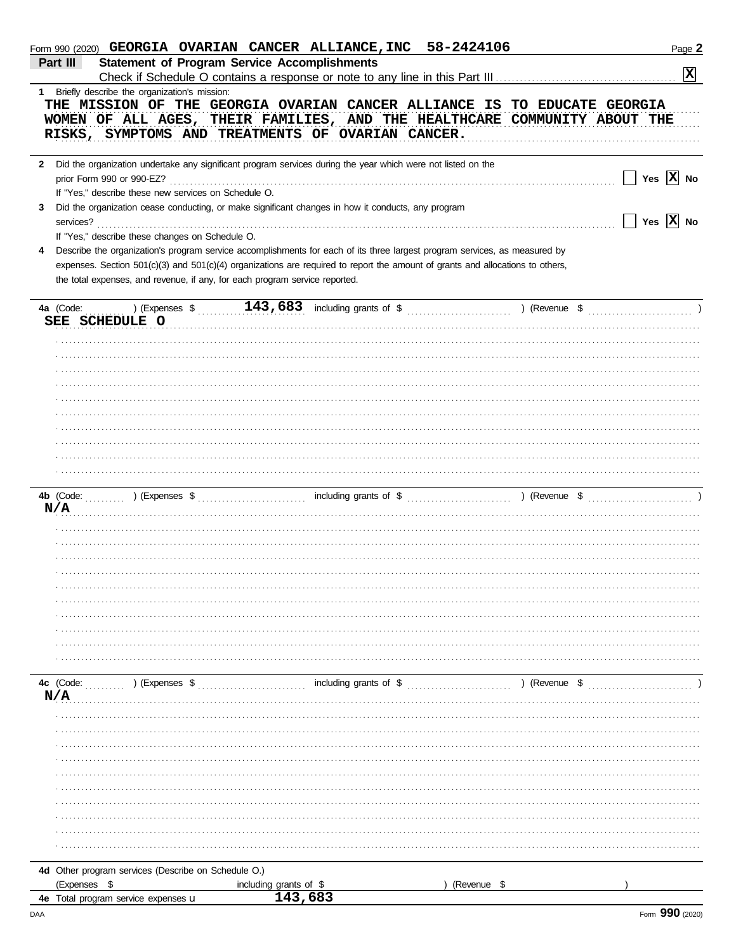|   | Form 990 (2020) GEORGIA OVARIAN CANCER ALLIANCE, INC 58-2424106                                                                                                                                                                                                                                                                             |                                            |             | Page 2                                                                                                                  |
|---|---------------------------------------------------------------------------------------------------------------------------------------------------------------------------------------------------------------------------------------------------------------------------------------------------------------------------------------------|--------------------------------------------|-------------|-------------------------------------------------------------------------------------------------------------------------|
|   | <b>Statement of Program Service Accomplishments</b><br>Part III                                                                                                                                                                                                                                                                             |                                            |             | $ \mathbf{x} $                                                                                                          |
| 1 | Briefly describe the organization's mission:                                                                                                                                                                                                                                                                                                |                                            |             |                                                                                                                         |
|   | THE MISSION OF THE GEORGIA OVARIAN CANCER ALLIANCE IS TO EDUCATE GEORGIA<br>WOMEN OF ALL AGES, THEIR FAMILIES, AND THE HEALTHCARE COMMUNITY ABOUT THE<br>RISKS, SYMPTOMS AND TREATMENTS OF OVARIAN CANCER.                                                                                                                                  |                                            |             |                                                                                                                         |
| 3 | 2 Did the organization undertake any significant program services during the year which were not listed on the<br>If "Yes," describe these new services on Schedule O.<br>Did the organization cease conducting, or make significant changes in how it conducts, any program<br>services?                                                   |                                            |             | Yes $\boxed{\mathbf{X}}$ No<br>$\boxed{\phantom{1}}$ Yes $\boxed{\mathbf{X}}$ No                                        |
|   | If "Yes," describe these changes on Schedule O.                                                                                                                                                                                                                                                                                             |                                            |             |                                                                                                                         |
| 4 | Describe the organization's program service accomplishments for each of its three largest program services, as measured by<br>expenses. Section 501(c)(3) and 501(c)(4) organizations are required to report the amount of grants and allocations to others,<br>the total expenses, and revenue, if any, for each program service reported. |                                            |             |                                                                                                                         |
|   | 4a (Code:                                                                                                                                                                                                                                                                                                                                   |                                            |             | ) (Expenses $\sqrt[3]{143,683}$ including grants of $\sqrt[6]{143}$ (Revenue $\sqrt[6]{143}$ (Revenue $\sqrt[6]{143}$ ) |
|   | SEE SCHEDULE O                                                                                                                                                                                                                                                                                                                              |                                            |             |                                                                                                                         |
|   |                                                                                                                                                                                                                                                                                                                                             |                                            |             |                                                                                                                         |
|   |                                                                                                                                                                                                                                                                                                                                             |                                            |             |                                                                                                                         |
|   |                                                                                                                                                                                                                                                                                                                                             |                                            |             |                                                                                                                         |
|   |                                                                                                                                                                                                                                                                                                                                             |                                            |             |                                                                                                                         |
|   |                                                                                                                                                                                                                                                                                                                                             |                                            |             |                                                                                                                         |
|   |                                                                                                                                                                                                                                                                                                                                             |                                            |             |                                                                                                                         |
|   |                                                                                                                                                                                                                                                                                                                                             |                                            |             |                                                                                                                         |
|   |                                                                                                                                                                                                                                                                                                                                             |                                            |             |                                                                                                                         |
|   |                                                                                                                                                                                                                                                                                                                                             |                                            |             |                                                                                                                         |
|   |                                                                                                                                                                                                                                                                                                                                             |                                            |             |                                                                                                                         |
|   |                                                                                                                                                                                                                                                                                                                                             |                                            |             |                                                                                                                         |
|   | N/A                                                                                                                                                                                                                                                                                                                                         |                                            |             |                                                                                                                         |
|   |                                                                                                                                                                                                                                                                                                                                             |                                            |             |                                                                                                                         |
|   |                                                                                                                                                                                                                                                                                                                                             |                                            |             |                                                                                                                         |
|   |                                                                                                                                                                                                                                                                                                                                             |                                            |             |                                                                                                                         |
|   |                                                                                                                                                                                                                                                                                                                                             |                                            |             |                                                                                                                         |
|   |                                                                                                                                                                                                                                                                                                                                             |                                            |             |                                                                                                                         |
|   |                                                                                                                                                                                                                                                                                                                                             |                                            |             |                                                                                                                         |
|   |                                                                                                                                                                                                                                                                                                                                             |                                            |             |                                                                                                                         |
|   |                                                                                                                                                                                                                                                                                                                                             |                                            |             |                                                                                                                         |
|   |                                                                                                                                                                                                                                                                                                                                             |                                            |             |                                                                                                                         |
|   |                                                                                                                                                                                                                                                                                                                                             |                                            |             |                                                                                                                         |
|   | 4c (Code:<br>) (Expenses \$                                                                                                                                                                                                                                                                                                                 | <b>Example 2018</b> Including grants of \$ |             | ) (Revenue \$                                                                                                           |
|   | N/A                                                                                                                                                                                                                                                                                                                                         |                                            |             |                                                                                                                         |
|   |                                                                                                                                                                                                                                                                                                                                             |                                            |             |                                                                                                                         |
|   |                                                                                                                                                                                                                                                                                                                                             |                                            |             |                                                                                                                         |
|   |                                                                                                                                                                                                                                                                                                                                             |                                            |             |                                                                                                                         |
|   |                                                                                                                                                                                                                                                                                                                                             |                                            |             |                                                                                                                         |
|   |                                                                                                                                                                                                                                                                                                                                             |                                            |             |                                                                                                                         |
|   |                                                                                                                                                                                                                                                                                                                                             |                                            |             |                                                                                                                         |
|   |                                                                                                                                                                                                                                                                                                                                             |                                            |             |                                                                                                                         |
|   |                                                                                                                                                                                                                                                                                                                                             |                                            |             |                                                                                                                         |
|   |                                                                                                                                                                                                                                                                                                                                             |                                            |             |                                                                                                                         |
|   |                                                                                                                                                                                                                                                                                                                                             |                                            |             |                                                                                                                         |
|   | 4d Other program services (Describe on Schedule O.)                                                                                                                                                                                                                                                                                         |                                            |             |                                                                                                                         |
|   | (Expenses \$                                                                                                                                                                                                                                                                                                                                | including grants of \$<br>143,683          | (Revenue \$ |                                                                                                                         |
|   | 4e Total program service expenses u                                                                                                                                                                                                                                                                                                         |                                            |             |                                                                                                                         |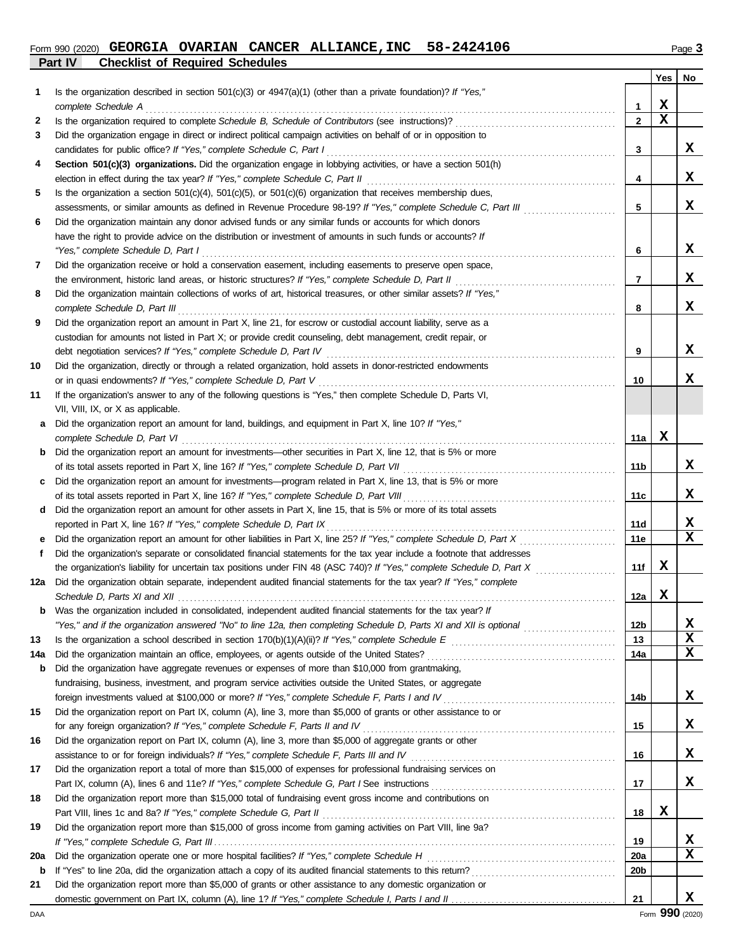#### **Part IV Checklist of Required Schedules Form 990 (2020) GEORGIA OVARIAN CANCER ALLIANCE, INC** 58-2424106 **Page 3** Page 3

|--|--|

|     |                                                                                                                                                                                                        |                 | Yes | No          |
|-----|--------------------------------------------------------------------------------------------------------------------------------------------------------------------------------------------------------|-----------------|-----|-------------|
| 1   | Is the organization described in section 501(c)(3) or 4947(a)(1) (other than a private foundation)? If "Yes,"                                                                                          |                 |     |             |
|     | complete Schedule A                                                                                                                                                                                    | 1               | x   |             |
| 2   |                                                                                                                                                                                                        | $\mathbf{2}$    | X   |             |
| 3   | Did the organization engage in direct or indirect political campaign activities on behalf of or in opposition to                                                                                       |                 |     |             |
|     | candidates for public office? If "Yes," complete Schedule C, Part I                                                                                                                                    | 3               |     | X.          |
| 4   | Section 501(c)(3) organizations. Did the organization engage in lobbying activities, or have a section 501(h)                                                                                          |                 |     | x           |
| 5   | election in effect during the tax year? If "Yes," complete Schedule C, Part II<br>Is the organization a section $501(c)(4)$ , $501(c)(5)$ , or $501(c)(6)$ organization that receives membership dues, | 4               |     |             |
|     | assessments, or similar amounts as defined in Revenue Procedure 98-19? If "Yes," complete Schedule C, Part III                                                                                         | 5               |     | X.          |
| 6   | Did the organization maintain any donor advised funds or any similar funds or accounts for which donors                                                                                                |                 |     |             |
|     | have the right to provide advice on the distribution or investment of amounts in such funds or accounts? If                                                                                            |                 |     |             |
|     | "Yes," complete Schedule D, Part I                                                                                                                                                                     | 6               |     | x           |
| 7   | Did the organization receive or hold a conservation easement, including easements to preserve open space,                                                                                              |                 |     |             |
|     | the environment, historic land areas, or historic structures? If "Yes," complete Schedule D, Part II                                                                                                   | 7               |     | X.          |
| 8   | Did the organization maintain collections of works of art, historical treasures, or other similar assets? If "Yes,"                                                                                    |                 |     |             |
|     | complete Schedule D, Part III                                                                                                                                                                          | 8               |     | X.          |
| 9   | Did the organization report an amount in Part X, line 21, for escrow or custodial account liability, serve as a                                                                                        |                 |     |             |
|     | custodian for amounts not listed in Part X; or provide credit counseling, debt management, credit repair, or                                                                                           |                 |     |             |
|     | debt negotiation services? If "Yes," complete Schedule D, Part IV                                                                                                                                      | 9               |     | X           |
| 10  | Did the organization, directly or through a related organization, hold assets in donor-restricted endowments                                                                                           |                 |     |             |
|     | or in quasi endowments? If "Yes," complete Schedule D, Part V                                                                                                                                          | 10              |     | X           |
| 11  | If the organization's answer to any of the following questions is "Yes," then complete Schedule D, Parts VI,                                                                                           |                 |     |             |
|     | VII, VIII, IX, or X as applicable.                                                                                                                                                                     |                 |     |             |
| a   | Did the organization report an amount for land, buildings, and equipment in Part X, line 10? If "Yes,"                                                                                                 |                 |     |             |
|     | complete Schedule D, Part VI                                                                                                                                                                           | 11a             | X   |             |
| b   | Did the organization report an amount for investments—other securities in Part X, line 12, that is 5% or more                                                                                          |                 |     |             |
|     | of its total assets reported in Part X, line 16? If "Yes," complete Schedule D, Part VII                                                                                                               | 11b             |     | X           |
| c   | Did the organization report an amount for investments—program related in Part X, line 13, that is 5% or more                                                                                           |                 |     |             |
|     | of its total assets reported in Part X, line 16? If "Yes," complete Schedule D, Part VIII                                                                                                              | 11c             |     | X           |
| d   | Did the organization report an amount for other assets in Part X, line 15, that is 5% or more of its total assets                                                                                      | <b>11d</b>      |     | x           |
| е   | reported in Part X, line 16? If "Yes," complete Schedule D, Part IX<br>Did the organization report an amount for other liabilities in Part X, line 25? If "Yes," complete Schedule D, Part X           | 11e             |     | $\mathbf x$ |
| f   | Did the organization's separate or consolidated financial statements for the tax year include a footnote that addresses                                                                                |                 |     |             |
|     | the organization's liability for uncertain tax positions under FIN 48 (ASC 740)? If "Yes," complete Schedule D, Part X                                                                                 | 11f             | x   |             |
| 12a | Did the organization obtain separate, independent audited financial statements for the tax year? If "Yes," complete                                                                                    |                 |     |             |
|     |                                                                                                                                                                                                        | 12a             | X   |             |
|     | Was the organization included in consolidated, independent audited financial statements for the tax year? If                                                                                           |                 |     |             |
|     | "Yes," and if the organization answered "No" to line 12a, then completing Schedule D, Parts XI and XII is optional <i>mimimimimim</i>                                                                  | 12 <sub>b</sub> |     | X           |
| 13  |                                                                                                                                                                                                        | 13              |     | X           |
| 14a | Did the organization maintain an office, employees, or agents outside of the United States?                                                                                                            | 14a             |     | X           |
| b   | Did the organization have aggregate revenues or expenses of more than \$10,000 from grantmaking,                                                                                                       |                 |     |             |
|     | fundraising, business, investment, and program service activities outside the United States, or aggregate                                                                                              |                 |     |             |
|     |                                                                                                                                                                                                        | 14b             |     | x           |
| 15  | Did the organization report on Part IX, column (A), line 3, more than \$5,000 of grants or other assistance to or                                                                                      |                 |     |             |
|     | for any foreign organization? If "Yes," complete Schedule F, Parts II and IV [[[[[[[[[[[[[[[[[[[[[[[[[[[[[[[[[                                                                                         | 15              |     | X           |
| 16  | Did the organization report on Part IX, column (A), line 3, more than \$5,000 of aggregate grants or other                                                                                             |                 |     |             |
|     |                                                                                                                                                                                                        | 16              |     | X.          |
| 17  | Did the organization report a total of more than \$15,000 of expenses for professional fundraising services on                                                                                         |                 |     |             |
|     |                                                                                                                                                                                                        | 17              |     | X.          |
| 18  | Did the organization report more than \$15,000 total of fundraising event gross income and contributions on                                                                                            |                 | x   |             |
| 19  | Did the organization report more than \$15,000 of gross income from gaming activities on Part VIII, line 9a?                                                                                           | 18              |     |             |
|     |                                                                                                                                                                                                        | 19              |     | X           |
| 20a |                                                                                                                                                                                                        | <b>20a</b>      |     | X           |
| b   |                                                                                                                                                                                                        | 20 <sub>b</sub> |     |             |
| 21  | Did the organization report more than \$5,000 of grants or other assistance to any domestic organization or                                                                                            |                 |     |             |
|     |                                                                                                                                                                                                        | 21              |     | x           |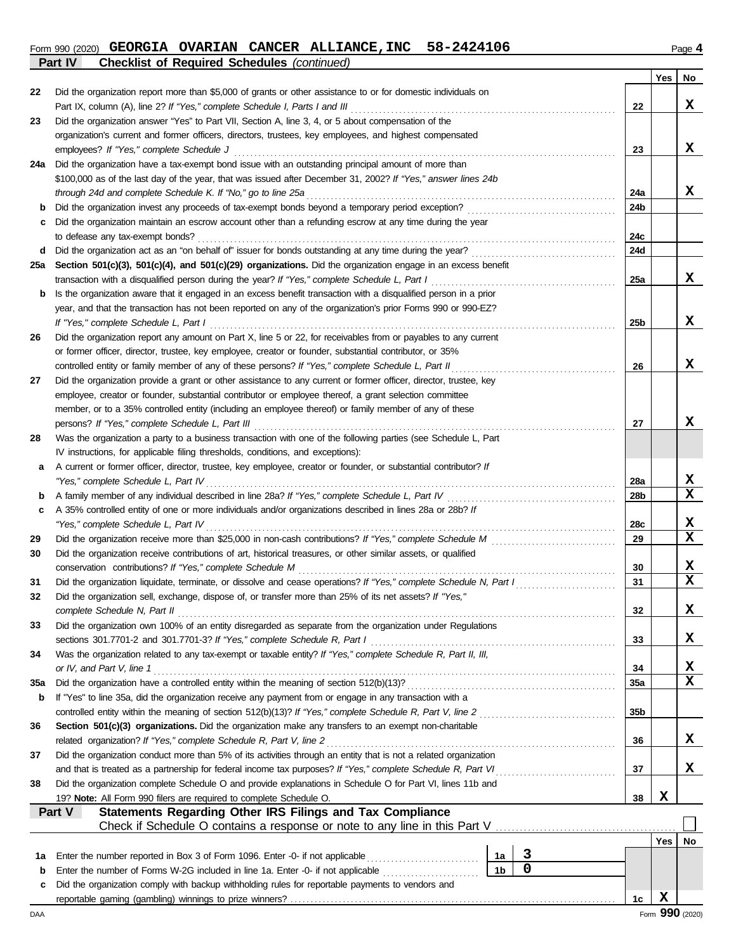#### **Form 990 (2020) GEORGIA OVARIAN CANCER ALLIANCE, INC** 58-2424106 **Page 4** Page 4 **Part IV Checklist of Required Schedules** *(continued)*

|        |                                                                                                                                           |                |   |     | Yes | No              |
|--------|-------------------------------------------------------------------------------------------------------------------------------------------|----------------|---|-----|-----|-----------------|
| 22     | Did the organization report more than \$5,000 of grants or other assistance to or for domestic individuals on                             |                |   |     |     |                 |
|        | Part IX, column (A), line 2? If "Yes," complete Schedule I, Parts I and III                                                               |                |   | 22  |     | X.              |
| 23     | Did the organization answer "Yes" to Part VII, Section A, line 3, 4, or 5 about compensation of the                                       |                |   |     |     |                 |
|        | organization's current and former officers, directors, trustees, key employees, and highest compensated                                   |                |   |     |     |                 |
|        | employees? If "Yes," complete Schedule J                                                                                                  |                |   | 23  |     | X.              |
| 24a    | Did the organization have a tax-exempt bond issue with an outstanding principal amount of more than                                       |                |   |     |     |                 |
|        | \$100,000 as of the last day of the year, that was issued after December 31, 2002? If "Yes," answer lines 24b                             |                |   |     |     |                 |
|        | through 24d and complete Schedule K. If "No," go to line 25a                                                                              |                |   | 24a |     | X.              |
| b<br>c | Did the organization maintain an escrow account other than a refunding escrow at any time during the year                                 |                |   | 24b |     |                 |
|        | to defease any tax-exempt bonds?                                                                                                          |                |   | 24с |     |                 |
| d      |                                                                                                                                           |                |   | 24d |     |                 |
| 25a    | Section 501(c)(3), 501(c)(4), and 501(c)(29) organizations. Did the organization engage in an excess benefit                              |                |   |     |     |                 |
|        | transaction with a disqualified person during the year? If "Yes," complete Schedule L, Part I                                             |                |   | 25a |     | x               |
| b      | Is the organization aware that it engaged in an excess benefit transaction with a disqualified person in a prior                          |                |   |     |     |                 |
|        | year, and that the transaction has not been reported on any of the organization's prior Forms 990 or 990-EZ?                              |                |   |     |     |                 |
|        | If "Yes," complete Schedule L, Part I                                                                                                     |                |   | 25b |     | X.              |
| 26     | Did the organization report any amount on Part X, line 5 or 22, for receivables from or payables to any current                           |                |   |     |     |                 |
|        | or former officer, director, trustee, key employee, creator or founder, substantial contributor, or 35%                                   |                |   |     |     |                 |
|        | controlled entity or family member of any of these persons? If "Yes," complete Schedule L, Part II                                        |                |   | 26  |     | X.              |
| 27     | Did the organization provide a grant or other assistance to any current or former officer, director, trustee, key                         |                |   |     |     |                 |
|        | employee, creator or founder, substantial contributor or employee thereof, a grant selection committee                                    |                |   |     |     |                 |
|        | member, or to a 35% controlled entity (including an employee thereof) or family member of any of these                                    |                |   |     |     |                 |
|        | persons? If "Yes," complete Schedule L, Part III                                                                                          |                |   | 27  |     | x               |
| 28     | Was the organization a party to a business transaction with one of the following parties (see Schedule L, Part                            |                |   |     |     |                 |
|        | IV instructions, for applicable filing thresholds, conditions, and exceptions):                                                           |                |   |     |     |                 |
| а      | A current or former officer, director, trustee, key employee, creator or founder, or substantial contributor? If                          |                |   |     |     |                 |
|        | "Yes," complete Schedule L, Part IV                                                                                                       |                |   | 28a |     | X<br>x          |
| b      | A 35% controlled entity of one or more individuals and/or organizations described in lines 28a or 28b? If                                 |                |   | 28b |     |                 |
| c      | "Yes," complete Schedule L, Part IV                                                                                                       |                |   | 28c |     | X               |
| 29     |                                                                                                                                           |                |   | 29  |     | x               |
| 30     | Did the organization receive contributions of art, historical treasures, or other similar assets, or qualified                            |                |   |     |     |                 |
|        | conservation contributions? If "Yes," complete Schedule M                                                                                 |                |   | 30  |     | x               |
| 31     | Did the organization liquidate, terminate, or dissolve and cease operations? If "Yes," complete Schedule N, Part I                        |                |   | 31  |     | x               |
| 32     | Did the organization sell, exchange, dispose of, or transfer more than 25% of its net assets? If "Yes,"                                   |                |   |     |     |                 |
|        | complete Schedule N, Part II                                                                                                              |                |   | 32  |     | x               |
| 33     | Did the organization own 100% of an entity disregarded as separate from the organization under Regulations                                |                |   |     |     |                 |
|        | sections 301.7701-2 and 301.7701-3? If "Yes," complete Schedule R, Part I                                                                 |                |   | 33  |     | x               |
| 34     | Was the organization related to any tax-exempt or taxable entity? If "Yes," complete Schedule R, Part II, III,                            |                |   |     |     |                 |
|        | or IV, and Part V, line 1                                                                                                                 |                |   | 34  |     | x               |
| 35a    |                                                                                                                                           |                |   | 35a |     | X               |
| b      | If "Yes" to line 35a, did the organization receive any payment from or engage in any transaction with a                                   |                |   |     |     |                 |
|        | controlled entity within the meaning of section 512(b)(13)? If "Yes," complete Schedule R, Part V, line 2                                 |                |   | 35b |     |                 |
| 36     | Section 501(c)(3) organizations. Did the organization make any transfers to an exempt non-charitable                                      |                |   |     |     |                 |
|        | related organization? If "Yes," complete Schedule R, Part V, line 2                                                                       |                |   | 36  |     | x               |
| 37     | Did the organization conduct more than 5% of its activities through an entity that is not a related organization                          |                |   |     |     |                 |
|        | and that is treated as a partnership for federal income tax purposes? If "Yes," complete Schedule R, Part VI                              |                |   | 37  |     | X               |
| 38     | Did the organization complete Schedule O and provide explanations in Schedule O for Part VI, lines 11b and                                |                |   |     | X   |                 |
|        | 19? Note: All Form 990 filers are required to complete Schedule O.<br>Part V<br>Statements Regarding Other IRS Filings and Tax Compliance |                |   | 38  |     |                 |
|        |                                                                                                                                           |                |   |     |     |                 |
|        |                                                                                                                                           |                |   |     | Yes | No              |
| 1a     | Enter the number reported in Box 3 of Form 1096. Enter -0- if not applicable                                                              | 1a             | 3 |     |     |                 |
| b      | Enter the number of Forms W-2G included in line 1a. Enter -0- if not applicable                                                           | 1 <sub>b</sub> | 0 |     |     |                 |
| c      | Did the organization comply with backup withholding rules for reportable payments to vendors and                                          |                |   |     |     |                 |
|        |                                                                                                                                           |                |   | 1c  | X   |                 |
| DAA    |                                                                                                                                           |                |   |     |     | Form 990 (2020) |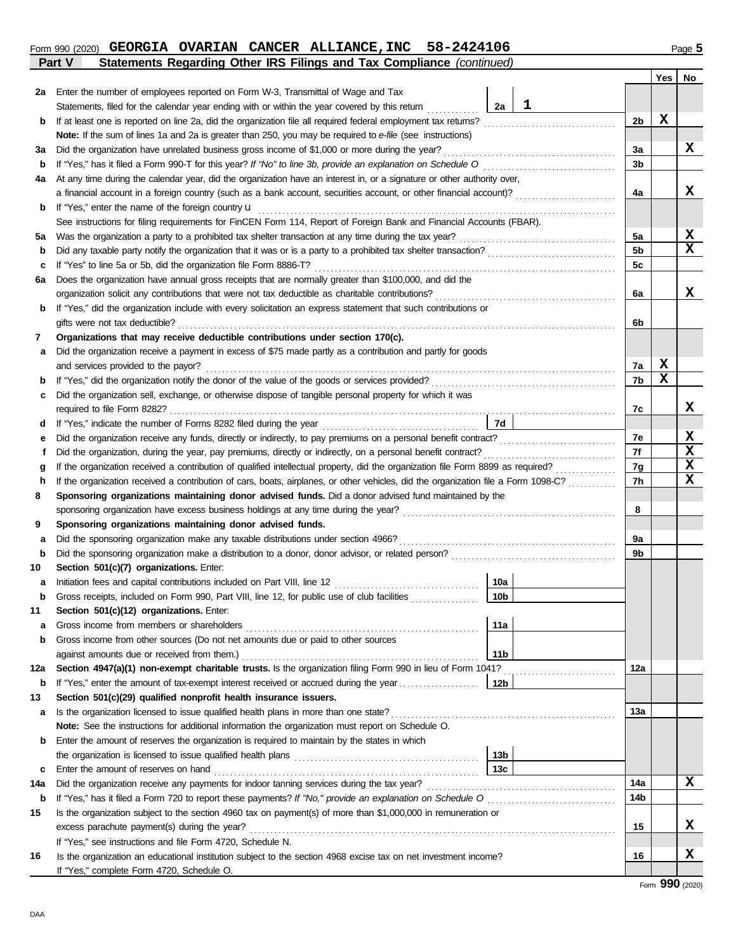## **Part V Statements Regarding Other IRS Filings and Tax Compliance** *(continued)* **Form 990 (2020) GEORGIA OVARIAN CANCER ALLIANCE, INC** 58-2424106 **Page 5** Page 5

|     |                                                                                                                                                   |                 |             |                | Yes | No          |
|-----|---------------------------------------------------------------------------------------------------------------------------------------------------|-----------------|-------------|----------------|-----|-------------|
| 2a  | Enter the number of employees reported on Form W-3, Transmittal of Wage and Tax                                                                   |                 |             |                |     |             |
|     | Statements, filed for the calendar year ending with or within the year covered by this return                                                     | 2a              | $\mathbf 1$ |                |     |             |
| b   | If at least one is reported on line 2a, did the organization file all required federal employment tax returns?                                    |                 |             | 2b             | х   |             |
|     | Note: If the sum of lines 1a and 2a is greater than 250, you may be required to e-file (see instructions)                                         |                 |             |                |     |             |
| за  | Did the organization have unrelated business gross income of \$1,000 or more during the year?                                                     |                 |             | 3a             |     | x           |
| b   | If "Yes," has it filed a Form 990-T for this year? If "No" to line 3b, provide an explanation on Schedule O                                       |                 |             | 3b             |     |             |
| 4a  | At any time during the calendar year, did the organization have an interest in, or a signature or other authority over,                           |                 |             |                |     |             |
|     |                                                                                                                                                   |                 |             | 4a             |     | x           |
| b   | If "Yes," enter the name of the foreign country u                                                                                                 |                 |             |                |     |             |
|     | See instructions for filing requirements for FinCEN Form 114, Report of Foreign Bank and Financial Accounts (FBAR).                               |                 |             |                |     |             |
| 5а  | Was the organization a party to a prohibited tax shelter transaction at any time during the tax year?                                             |                 |             | 5a             |     | X           |
| b   |                                                                                                                                                   |                 |             | 5 <sub>b</sub> |     | $\mathbf x$ |
| c   | If "Yes" to line 5a or 5b, did the organization file Form 8886-T?                                                                                 |                 |             | 5c             |     |             |
| 6а  | Does the organization have annual gross receipts that are normally greater than \$100,000, and did the                                            |                 |             |                |     |             |
|     | organization solicit any contributions that were not tax deductible as charitable contributions?                                                  |                 |             | 6а             |     | x           |
| b   | If "Yes," did the organization include with every solicitation an express statement that such contributions or                                    |                 |             |                |     |             |
|     | gifts were not tax deductible?                                                                                                                    |                 |             | 6b             |     |             |
| 7   | Organizations that may receive deductible contributions under section 170(c).                                                                     |                 |             |                |     |             |
| а   | Did the organization receive a payment in excess of \$75 made partly as a contribution and partly for goods                                       |                 |             |                |     |             |
|     | and services provided to the payor?                                                                                                               |                 |             | 7a             | X   |             |
| b   |                                                                                                                                                   |                 |             | 7b             | х   |             |
| c   | Did the organization sell, exchange, or otherwise dispose of tangible personal property for which it was                                          |                 |             |                |     |             |
|     |                                                                                                                                                   |                 |             | 7с             |     | x           |
| a   |                                                                                                                                                   | 7d              |             |                |     |             |
| е   | Did the organization receive any funds, directly or indirectly, to pay premiums on a personal benefit contract?                                   |                 |             | 7e             |     | x           |
| f   | Did the organization, during the year, pay premiums, directly or indirectly, on a personal benefit contract?                                      |                 |             |                |     | $\mathbf x$ |
| g   | If the organization received a contribution of qualified intellectual property, did the organization file Form 8899 as required?<br><u>.</u><br>. |                 |             |                |     | $\mathbf x$ |
| h   | If the organization received a contribution of cars, boats, airplanes, or other vehicles, did the organization file a Form 1098-C?                |                 |             |                |     | $\mathbf x$ |
| 8   | Sponsoring organizations maintaining donor advised funds. Did a donor advised fund maintained by the                                              |                 |             |                |     |             |
|     |                                                                                                                                                   |                 |             | 8              |     |             |
| 9   | Sponsoring organizations maintaining donor advised funds.                                                                                         |                 |             |                |     |             |
| а   | Did the sponsoring organization make any taxable distributions under section 4966?                                                                |                 |             | 9а             |     |             |
| b   |                                                                                                                                                   |                 |             | 9b             |     |             |
| 10  | Section 501(c)(7) organizations. Enter:                                                                                                           |                 |             |                |     |             |
| а   | Initiation fees and capital contributions included on Part VIII, line 12                                                                          | 10a             |             |                |     |             |
| b   | Gross receipts, included on Form 990, Part VIII, line 12, for public use of club facilities                                                       | 10 <sub>b</sub> |             |                |     |             |
| 11  | Section 501(c)(12) organizations. Enter:                                                                                                          |                 |             |                |     |             |
| а   | Gross income from members or shareholders                                                                                                         | 11a             |             |                |     |             |
| b   | Gross income from other sources (Do not net amounts due or paid to other sources                                                                  |                 |             |                |     |             |
|     | against amounts due or received from them.)                                                                                                       | 11 <sub>b</sub> |             |                |     |             |
| 12a | Section 4947(a)(1) non-exempt charitable trusts. Is the organization filing Form 990 in lieu of Form 1041?                                        |                 |             | 12a            |     |             |
| b   | If "Yes," enter the amount of tax-exempt interest received or accrued during the year                                                             | 12b             |             |                |     |             |
| 13  | Section 501(c)(29) qualified nonprofit health insurance issuers.                                                                                  |                 |             |                |     |             |
| а   | Is the organization licensed to issue qualified health plans in more than one state?                                                              |                 |             | 13a            |     |             |
|     | Note: See the instructions for additional information the organization must report on Schedule O.                                                 |                 |             |                |     |             |
| b   | Enter the amount of reserves the organization is required to maintain by the states in which                                                      |                 |             |                |     |             |
|     |                                                                                                                                                   | 13 <sub>b</sub> |             |                |     |             |
| c   | Enter the amount of reserves on hand                                                                                                              | 13 <sub>c</sub> |             |                |     |             |
| 14a | Did the organization receive any payments for indoor tanning services during the tax year?                                                        |                 |             | 14a            |     | X           |
| b   |                                                                                                                                                   |                 |             | 14b            |     |             |
| 15  | Is the organization subject to the section 4960 tax on payment(s) of more than \$1,000,000 in remuneration or                                     |                 |             |                |     |             |
|     | excess parachute payment(s) during the year?                                                                                                      |                 |             | 15             |     | X           |
|     | If "Yes," see instructions and file Form 4720, Schedule N.                                                                                        |                 |             |                |     |             |
| 16  | Is the organization an educational institution subject to the section 4968 excise tax on net investment income?                                   |                 |             | 16             |     | x           |
|     | If "Yes," complete Form 4720, Schedule O.                                                                                                         |                 |             |                |     |             |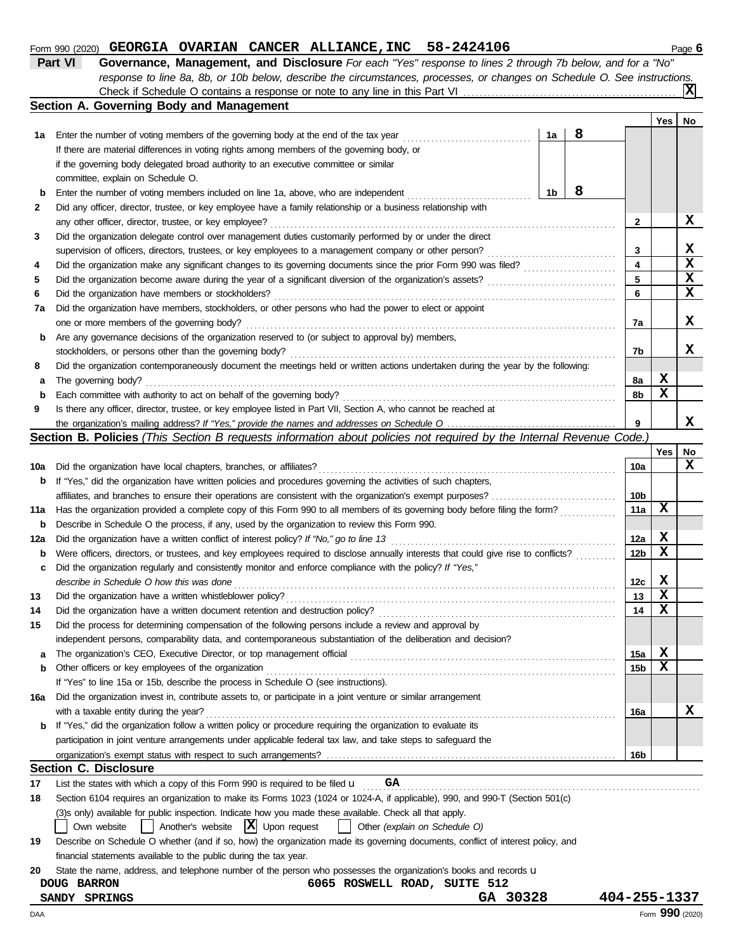#### **Form 990 (2020) GEORGIA OVARIAN CANCER ALLIANCE, INC** 58-2424106 **Page 6** Page 6

| Part VI | Governance, Management, and Disclosure For each "Yes" response to lines 2 through 7b below, and for a "No"                |
|---------|---------------------------------------------------------------------------------------------------------------------------|
|         | response to line 8a, 8b, or 10b below, describe the circumstances, processes, or changes on Schedule O. See instructions. |
|         | 冈<br>Check if Schedule O contains a response or note to any line in this Part VI                                          |

|     | Section A. Governing Body and Management                                                                                                                        |    |   |                         |             |                 |
|-----|-----------------------------------------------------------------------------------------------------------------------------------------------------------------|----|---|-------------------------|-------------|-----------------|
|     |                                                                                                                                                                 |    |   |                         | Yes         | No              |
| 1а  | Enter the number of voting members of the governing body at the end of the tax year                                                                             | 1a | 8 |                         |             |                 |
|     | If there are material differences in voting rights among members of the governing body, or                                                                      |    |   |                         |             |                 |
|     | if the governing body delegated broad authority to an executive committee or similar                                                                            |    |   |                         |             |                 |
|     | committee, explain on Schedule O.                                                                                                                               |    |   |                         |             |                 |
| b   | Enter the number of voting members included on line 1a, above, who are independent                                                                              | 1b | 8 |                         |             |                 |
| 2   | Did any officer, director, trustee, or key employee have a family relationship or a business relationship with                                                  |    |   |                         |             |                 |
|     | any other officer, director, trustee, or key employee?                                                                                                          |    |   | 2                       |             | x               |
| 3   | Did the organization delegate control over management duties customarily performed by or under the direct                                                       |    |   |                         |             |                 |
|     | supervision of officers, directors, trustees, or key employees to a management company or other person?                                                         |    |   | 3                       |             | X               |
| 4   | Did the organization make any significant changes to its governing documents since the prior Form 990 was filed?                                                |    |   | $\overline{\mathbf{4}}$ |             | $\mathbf x$     |
| 5   |                                                                                                                                                                 |    |   | 5                       |             | $\mathbf x$     |
| 6   | Did the organization have members or stockholders?                                                                                                              |    |   | 6                       |             | $\mathbf x$     |
| 7a  | Did the organization have members, stockholders, or other persons who had the power to elect or appoint                                                         |    |   |                         |             |                 |
|     | one or more members of the governing body?                                                                                                                      |    |   | 7a                      |             | x               |
| b   | Are any governance decisions of the organization reserved to (or subject to approval by) members,                                                               |    |   |                         |             |                 |
|     | stockholders, or persons other than the governing body?                                                                                                         |    |   | 7b                      |             | x               |
| 8   | Did the organization contemporaneously document the meetings held or written actions undertaken during the year by the following:                               |    |   |                         |             |                 |
| a   | The governing body?                                                                                                                                             |    |   | 8a                      | X           |                 |
| b   | Each committee with authority to act on behalf of the governing body?                                                                                           |    |   | 8b                      | X           |                 |
| 9   | Is there any officer, director, trustee, or key employee listed in Part VII, Section A, who cannot be reached at                                                |    |   |                         |             |                 |
|     |                                                                                                                                                                 |    |   | 9                       |             | x               |
|     | Section B. Policies (This Section B requests information about policies not required by the Internal Revenue Code.)                                             |    |   |                         |             |                 |
|     |                                                                                                                                                                 |    |   |                         | Yes         | No              |
| 10a | Did the organization have local chapters, branches, or affiliates?                                                                                              |    |   | 10a                     |             | x               |
| b   | If "Yes," did the organization have written policies and procedures governing the activities of such chapters,                                                  |    |   |                         |             |                 |
|     |                                                                                                                                                                 |    |   | 10 <sub>b</sub>         |             |                 |
| 11a | Has the organization provided a complete copy of this Form 990 to all members of its governing body before filing the form?                                     |    |   | 11a                     | $\mathbf x$ |                 |
| b   | Describe in Schedule O the process, if any, used by the organization to review this Form 990.                                                                   |    |   |                         |             |                 |
| 12a | Did the organization have a written conflict of interest policy? If "No," go to line 13                                                                         |    |   | 12a                     | X           |                 |
| b   | Were officers, directors, or trustees, and key employees required to disclose annually interests that could give rise to conflicts?                             |    |   | 12 <sub>b</sub>         | X           |                 |
| c   | Did the organization regularly and consistently monitor and enforce compliance with the policy? If "Yes,"                                                       |    |   |                         |             |                 |
|     | describe in Schedule O how this was done                                                                                                                        |    |   | 12c                     | X           |                 |
| 13  |                                                                                                                                                                 |    |   | 13                      | $\mathbf x$ |                 |
| 14  |                                                                                                                                                                 |    |   | 14                      | X           |                 |
| 15  | Did the process for determining compensation of the following persons include a review and approval by                                                          |    |   |                         |             |                 |
|     | independent persons, comparability data, and contemporaneous substantiation of the deliberation and decision?                                                   |    |   |                         |             |                 |
| a   |                                                                                                                                                                 |    |   | 15a                     | X           |                 |
| b   | Other officers or key employees of the organization                                                                                                             |    |   | 15 <sub>b</sub>         | X           |                 |
|     | If "Yes" to line 15a or 15b, describe the process in Schedule O (see instructions).                                                                             |    |   |                         |             |                 |
| 16a | Did the organization invest in, contribute assets to, or participate in a joint venture or similar arrangement                                                  |    |   |                         |             |                 |
|     | with a taxable entity during the year?                                                                                                                          |    |   | 16a                     |             | X               |
| b   | If "Yes," did the organization follow a written policy or procedure requiring the organization to evaluate its                                                  |    |   |                         |             |                 |
|     | participation in joint venture arrangements under applicable federal tax law, and take steps to safeguard the                                                   |    |   |                         |             |                 |
|     |                                                                                                                                                                 |    |   | 16b                     |             |                 |
|     | <b>Section C. Disclosure</b>                                                                                                                                    |    |   |                         |             |                 |
| 17  | GA<br>List the states with which a copy of this Form 990 is required to be filed $\mathbf u$                                                                    |    |   |                         |             |                 |
| 18  | Section 6104 requires an organization to make its Forms 1023 (1024 or 1024-A, if applicable), 990, and 990-T (Section 501(c)                                    |    |   |                         |             |                 |
|     | (3)s only) available for public inspection. Indicate how you made these available. Check all that apply.<br>$ \mathbf{X} $ Upon request                         |    |   |                         |             |                 |
|     | Own website<br>Another's website<br>Other (explain on Schedule O)                                                                                               |    |   |                         |             |                 |
| 19  | Describe on Schedule O whether (and if so, how) the organization made its governing documents, conflict of interest policy, and                                 |    |   |                         |             |                 |
|     | financial statements available to the public during the tax year.                                                                                               |    |   |                         |             |                 |
| 20  | State the name, address, and telephone number of the person who possesses the organization's books and records u<br>6065 ROSWELL ROAD, SUITE 512<br>DOUG BARRON |    |   |                         |             |                 |
|     | GA 30328<br>SANDY SPRINGS                                                                                                                                       |    |   | 404-255-1337            |             |                 |
| DAA |                                                                                                                                                                 |    |   |                         |             | Form 990 (2020) |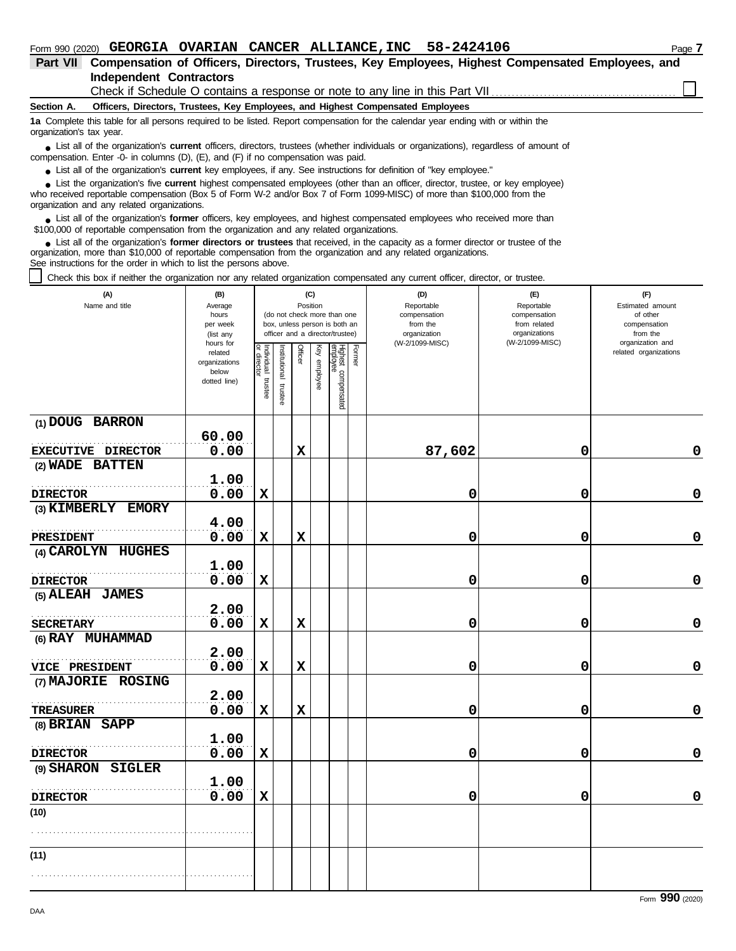| GEORGIA OVARIAN CANCER ALLIANCE, INC 58-2424106<br>Page 7<br>Form 990 (2020)                                                                                                                                                                                |  |  |  |  |  |  |  |  |  |
|-------------------------------------------------------------------------------------------------------------------------------------------------------------------------------------------------------------------------------------------------------------|--|--|--|--|--|--|--|--|--|
| Compensation of Officers, Directors, Trustees, Key Employees, Highest Compensated Employees, and<br><b>Part VII</b>                                                                                                                                         |  |  |  |  |  |  |  |  |  |
| <b>Independent Contractors</b>                                                                                                                                                                                                                              |  |  |  |  |  |  |  |  |  |
| Check if Schedule O contains a response or note to any line in this Part VII                                                                                                                                                                                |  |  |  |  |  |  |  |  |  |
| Officers, Directors, Trustees, Key Employees, and Highest Compensated Employees<br>Section A.                                                                                                                                                               |  |  |  |  |  |  |  |  |  |
| 1a Complete this table for all persons required to be listed. Report compensation for the calendar year ending with or within the<br>organization's tax year.                                                                                               |  |  |  |  |  |  |  |  |  |
| • List all of the organization's <b>current</b> officers, directors, trustees (whether individuals or organizations), regardless of amount of<br>compensation. Enter -0- in columns $(D)$ , $(E)$ , and $(F)$ if no compensation was paid.                  |  |  |  |  |  |  |  |  |  |
| • List all of the organization's current key employees, if any. See instructions for definition of "key employee."                                                                                                                                          |  |  |  |  |  |  |  |  |  |
| • List the organization's five current highest compensated employees (other than an officer, director, trustee, or key employee)<br>who received reportable compensation (Box 5 of Form W-2 and/or Box 7 of Form 1099-MISC) of more than \$100,000 from the |  |  |  |  |  |  |  |  |  |
| organization and any related organizations.                                                                                                                                                                                                                 |  |  |  |  |  |  |  |  |  |

List all of the organization's **former** officers, key employees, and highest compensated employees who received more than • List all of the organization's **former** officers, key employees, and highest compensate \$100,000 of reportable compensation from the organization and any related organizations.

List all of the organization's **former directors or trustees** that received, in the capacity as a former director or trustee of the organization, more than \$10,000 of reportable compensation from the organization and any related organizations. See instructions for the order in which to list the persons above. **•**

Check this box if neither the organization nor any related organization compensated any current officer, director, or trustee.

| (A)<br>Name and title       | (B)                    | (C)<br>Position                   |                       |                |              |                                 |        | (D)<br>Reportable               | (E)<br>Reportable                | (F)<br>Estimated amount      |
|-----------------------------|------------------------|-----------------------------------|-----------------------|----------------|--------------|---------------------------------|--------|---------------------------------|----------------------------------|------------------------------|
|                             | Average<br>hours       |                                   |                       |                |              | (do not check more than one     |        | compensation                    | compensation                     | of other                     |
|                             | per week               |                                   |                       |                |              | box, unless person is both an   |        | from the                        | from related                     | compensation                 |
|                             | (list any<br>hours for |                                   |                       |                |              | officer and a director/trustee) |        | organization<br>(W-2/1099-MISC) | organizations<br>(W-2/1099-MISC) | from the<br>organization and |
|                             | related                | Individual trustee<br>or director | Institutional trustee | <b>Officer</b> | Key employee |                                 | Former |                                 |                                  | related organizations        |
|                             | organizations          |                                   |                       |                |              |                                 |        |                                 |                                  |                              |
|                             | below<br>dotted line)  |                                   |                       |                |              |                                 |        |                                 |                                  |                              |
|                             |                        |                                   |                       |                |              |                                 |        |                                 |                                  |                              |
|                             |                        |                                   |                       |                |              | Highest compensated<br>employee |        |                                 |                                  |                              |
| (1) DOUG BARRON             |                        |                                   |                       |                |              |                                 |        |                                 |                                  |                              |
|                             | 60.00                  |                                   |                       |                |              |                                 |        |                                 |                                  |                              |
| EXECUTIVE DIRECTOR          | 0.00                   |                                   |                       | $\mathbf x$    |              |                                 |        | 87,602                          | 0                                | 0                            |
| (2) WADE BATTEN             |                        |                                   |                       |                |              |                                 |        |                                 |                                  |                              |
|                             | 1.00                   |                                   |                       |                |              |                                 |        |                                 |                                  |                              |
| <b>DIRECTOR</b>             | 0.00                   | $\mathbf x$                       |                       |                |              |                                 |        | 0                               | 0                                | $\mathbf 0$                  |
| (3) KIMBERLY EMORY          |                        |                                   |                       |                |              |                                 |        |                                 |                                  |                              |
|                             | 4.00                   |                                   |                       |                |              |                                 |        |                                 |                                  |                              |
| PRESIDENT                   | 0.00                   | $\mathbf x$                       |                       | $\mathbf x$    |              |                                 |        | 0                               | 0                                | $\pmb{0}$                    |
| (4) CAROLYN HUGHES          |                        |                                   |                       |                |              |                                 |        |                                 |                                  |                              |
|                             | 1.00                   |                                   |                       |                |              |                                 |        |                                 |                                  |                              |
| <b>DIRECTOR</b>             | 0.00                   | $\mathbf x$                       |                       |                |              |                                 |        | 0                               | 0                                | 0                            |
| (5) ALEAH JAMES             |                        |                                   |                       |                |              |                                 |        |                                 |                                  |                              |
|                             | 2.00                   |                                   |                       |                |              |                                 |        |                                 |                                  |                              |
| <b>SECRETARY</b>            | 0.00                   | $\mathbf x$                       |                       | $\mathbf x$    |              |                                 |        | 0                               | 0                                | $\mathbf 0$                  |
| (6) RAY MUHAMMAD            |                        |                                   |                       |                |              |                                 |        |                                 |                                  |                              |
|                             | 2.00                   |                                   |                       |                |              |                                 |        |                                 |                                  |                              |
| VICE PRESIDENT              | 0.00                   | X                                 |                       | $\mathbf x$    |              |                                 |        | 0                               | 0                                | $\mathbf 0$                  |
| (7) MAJORIE ROSING          |                        |                                   |                       |                |              |                                 |        |                                 |                                  |                              |
|                             | 2.00                   |                                   |                       |                |              |                                 |        |                                 |                                  |                              |
| <b>TREASURER</b>            | 0.00                   | $\mathbf x$                       |                       | $\mathbf x$    |              |                                 |        | 0                               | 0                                | 0                            |
| (8) BRIAN SAPP              |                        |                                   |                       |                |              |                                 |        |                                 |                                  |                              |
|                             | 1.00                   |                                   |                       |                |              |                                 |        |                                 |                                  |                              |
| <b>DIRECTOR</b>             | 0.00                   | $\mathbf x$                       |                       |                |              |                                 |        | 0                               | 0                                | $\mathbf 0$                  |
| (9) SHARON<br><b>SIGLER</b> |                        |                                   |                       |                |              |                                 |        |                                 |                                  |                              |
|                             | 1.00                   |                                   |                       |                |              |                                 |        |                                 |                                  |                              |
| <b>DIRECTOR</b>             | 0.00                   | $\mathbf x$                       |                       |                |              |                                 |        | 0                               | 0                                | 0                            |
| (10)                        |                        |                                   |                       |                |              |                                 |        |                                 |                                  |                              |
|                             |                        |                                   |                       |                |              |                                 |        |                                 |                                  |                              |
| (11)                        |                        |                                   |                       |                |              |                                 |        |                                 |                                  |                              |
|                             |                        |                                   |                       |                |              |                                 |        |                                 |                                  |                              |
|                             |                        |                                   |                       |                |              |                                 |        |                                 |                                  |                              |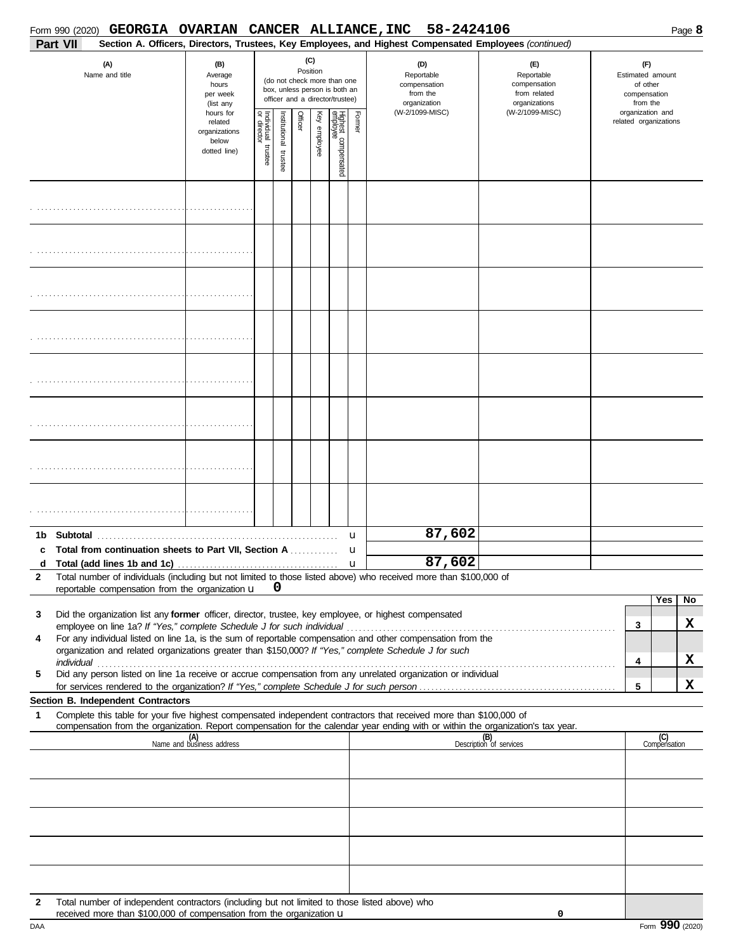|              | Form 990 (2020)<br>Part VII | GEORGIA OVARIAN CANCER ALLIANCE, INC                                                                                                                                  |                                                                |                       |                      |         |                 |                                                                                                 |        | 58-2424106<br>Section A. Officers, Directors, Trustees, Key Employees, and Highest Compensated Employees (continued)                                                                                                                                                                                                                                                                                                                               |                                                                    |  |                                                                 | Page 8  |
|--------------|-----------------------------|-----------------------------------------------------------------------------------------------------------------------------------------------------------------------|----------------------------------------------------------------|-----------------------|----------------------|---------|-----------------|-------------------------------------------------------------------------------------------------|--------|----------------------------------------------------------------------------------------------------------------------------------------------------------------------------------------------------------------------------------------------------------------------------------------------------------------------------------------------------------------------------------------------------------------------------------------------------|--------------------------------------------------------------------|--|-----------------------------------------------------------------|---------|
|              |                             | (A)<br>Name and title                                                                                                                                                 | (B)<br>Average<br>hours<br>per week<br>(list any               |                       |                      |         | (C)<br>Position | (do not check more than one<br>box, unless person is both an<br>officer and a director/trustee) |        | (D)<br>Reportable<br>compensation<br>from the<br>organization                                                                                                                                                                                                                                                                                                                                                                                      | (E)<br>Reportable<br>compensation<br>from related<br>organizations |  | (F)<br>Estimated amount<br>of other<br>compensation<br>from the |         |
|              |                             |                                                                                                                                                                       | hours for<br>related<br>organizations<br>below<br>dotted line) | Individual<br>trustee | nstitutional trustee | Officer | Key employee    | Highest compensated<br>employee                                                                 | Former | (W-2/1099-MISC)                                                                                                                                                                                                                                                                                                                                                                                                                                    | (W-2/1099-MISC)                                                    |  | organization and<br>related organizations                       |         |
|              |                             |                                                                                                                                                                       |                                                                |                       |                      |         |                 |                                                                                                 |        |                                                                                                                                                                                                                                                                                                                                                                                                                                                    |                                                                    |  |                                                                 |         |
|              |                             |                                                                                                                                                                       |                                                                |                       |                      |         |                 |                                                                                                 |        |                                                                                                                                                                                                                                                                                                                                                                                                                                                    |                                                                    |  |                                                                 |         |
|              |                             |                                                                                                                                                                       |                                                                |                       |                      |         |                 |                                                                                                 |        |                                                                                                                                                                                                                                                                                                                                                                                                                                                    |                                                                    |  |                                                                 |         |
|              |                             |                                                                                                                                                                       |                                                                |                       |                      |         |                 |                                                                                                 |        |                                                                                                                                                                                                                                                                                                                                                                                                                                                    |                                                                    |  |                                                                 |         |
|              |                             |                                                                                                                                                                       |                                                                |                       |                      |         |                 |                                                                                                 |        |                                                                                                                                                                                                                                                                                                                                                                                                                                                    |                                                                    |  |                                                                 |         |
|              |                             |                                                                                                                                                                       |                                                                |                       |                      |         |                 |                                                                                                 |        |                                                                                                                                                                                                                                                                                                                                                                                                                                                    |                                                                    |  |                                                                 |         |
|              |                             |                                                                                                                                                                       |                                                                |                       |                      |         |                 |                                                                                                 |        |                                                                                                                                                                                                                                                                                                                                                                                                                                                    |                                                                    |  |                                                                 |         |
|              |                             |                                                                                                                                                                       |                                                                |                       |                      |         |                 |                                                                                                 |        |                                                                                                                                                                                                                                                                                                                                                                                                                                                    |                                                                    |  |                                                                 |         |
| С            |                             | <b>Total from continuation sheets to Part VII, Section A</b>                                                                                                          |                                                                |                       |                      |         |                 |                                                                                                 | u<br>u | 87,602                                                                                                                                                                                                                                                                                                                                                                                                                                             |                                                                    |  |                                                                 |         |
| $\mathbf{2}$ |                             | reportable compensation from the organization u                                                                                                                       |                                                                |                       | 0                    |         |                 |                                                                                                 |        | d Total (add lines 1b and 1c) $\ldots$ $\ldots$ $\ldots$ $\ldots$ $\ldots$ $\ldots$ $\ldots$ $\ldots$ $\ldots$ $\ldots$ $\ldots$ $\ldots$ $\ldots$ $\ldots$ $\ldots$ $\ldots$ $\ldots$ $\ldots$ $\ldots$ $\ldots$ $\ldots$ $\ldots$ $\ldots$ $\ldots$ $\ldots$ $\ldots$ $\ldots$ $\ldots$ $\ldots$ $\ldots$ $\ldots$ $\ldots$<br>Total number of individuals (including but not limited to those listed above) who received more than \$100,000 of |                                                                    |  |                                                                 |         |
| 3            |                             |                                                                                                                                                                       |                                                                |                       |                      |         |                 |                                                                                                 |        | Did the organization list any former officer, director, trustee, key employee, or highest compensated                                                                                                                                                                                                                                                                                                                                              |                                                                    |  | Yes                                                             | No<br>x |
| 4            |                             |                                                                                                                                                                       |                                                                |                       |                      |         |                 |                                                                                                 |        | For any individual listed on line 1a, is the sum of reportable compensation and other compensation from the<br>organization and related organizations greater than \$150,000? If "Yes," complete Schedule J for such                                                                                                                                                                                                                               |                                                                    |  | 3<br>4                                                          | x       |
| 5            |                             |                                                                                                                                                                       |                                                                |                       |                      |         |                 |                                                                                                 |        | Did any person listed on line 1a receive or accrue compensation from any unrelated organization or individual                                                                                                                                                                                                                                                                                                                                      |                                                                    |  | 5                                                               | X       |
| 1            |                             | Section B. Independent Contractors                                                                                                                                    |                                                                |                       |                      |         |                 |                                                                                                 |        | Complete this table for your five highest compensated independent contractors that received more than \$100,000 of                                                                                                                                                                                                                                                                                                                                 |                                                                    |  |                                                                 |         |
|              |                             |                                                                                                                                                                       | (A)<br>Name and business address                               |                       |                      |         |                 |                                                                                                 |        | compensation from the organization. Report compensation for the calendar year ending with or within the organization's tax year.                                                                                                                                                                                                                                                                                                                   | (B)<br>Description of services                                     |  | (C)<br>Compensation                                             |         |
|              |                             |                                                                                                                                                                       |                                                                |                       |                      |         |                 |                                                                                                 |        |                                                                                                                                                                                                                                                                                                                                                                                                                                                    |                                                                    |  |                                                                 |         |
|              |                             |                                                                                                                                                                       |                                                                |                       |                      |         |                 |                                                                                                 |        |                                                                                                                                                                                                                                                                                                                                                                                                                                                    |                                                                    |  |                                                                 |         |
|              |                             |                                                                                                                                                                       |                                                                |                       |                      |         |                 |                                                                                                 |        |                                                                                                                                                                                                                                                                                                                                                                                                                                                    |                                                                    |  |                                                                 |         |
|              |                             |                                                                                                                                                                       |                                                                |                       |                      |         |                 |                                                                                                 |        |                                                                                                                                                                                                                                                                                                                                                                                                                                                    |                                                                    |  |                                                                 |         |
|              |                             |                                                                                                                                                                       |                                                                |                       |                      |         |                 |                                                                                                 |        |                                                                                                                                                                                                                                                                                                                                                                                                                                                    |                                                                    |  |                                                                 |         |
| 2            |                             | Total number of independent contractors (including but not limited to those listed above) who<br>received more than \$100,000 of compensation from the organization u |                                                                |                       |                      |         |                 |                                                                                                 |        |                                                                                                                                                                                                                                                                                                                                                                                                                                                    | 0                                                                  |  |                                                                 |         |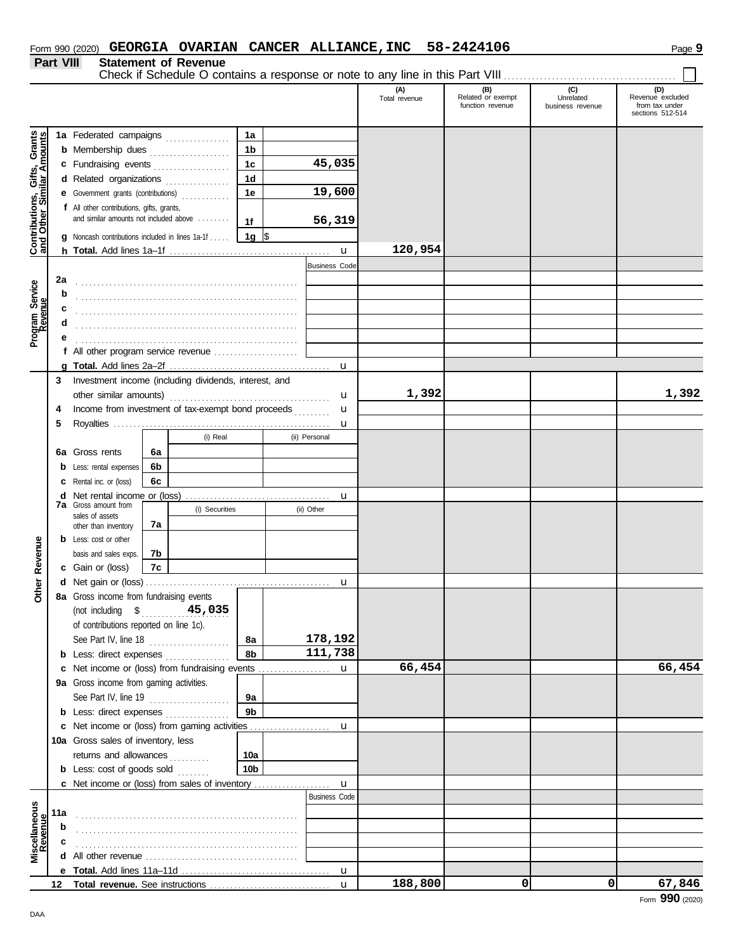**Part VIII Statement of Revenue**

Check if Schedule O contains a response or note to any line in this Part VIII . . . . . . . . . . . . . . . . . . . . . . . . . . . . . . . . . . . . . . . . . . .

|                                                                  |             |                                                                                     |                                                                                      |                 |   |                      | (A)<br>Total revenue | (B)<br>Related or exempt<br>function revenue | (C)<br>Unrelated<br>business revenue | (D)<br>Revenue excluded<br>from tax under<br>sections 512-514 |
|------------------------------------------------------------------|-------------|-------------------------------------------------------------------------------------|--------------------------------------------------------------------------------------|-----------------|---|----------------------|----------------------|----------------------------------------------|--------------------------------------|---------------------------------------------------------------|
|                                                                  |             | 1a Federated campaigns                                                              |                                                                                      | 1a              |   |                      |                      |                                              |                                      |                                                               |
|                                                                  |             | <b>b</b> Membership dues                                                            |                                                                                      | 1 <sub>b</sub>  |   |                      |                      |                                              |                                      |                                                               |
|                                                                  |             |                                                                                     |                                                                                      | 1 <sub>c</sub>  |   | 45,035               |                      |                                              |                                      |                                                               |
|                                                                  |             | c Fundraising events                                                                |                                                                                      |                 |   |                      |                      |                                              |                                      |                                                               |
|                                                                  |             | d Related organizations                                                             | .                                                                                    | 1d              |   |                      |                      |                                              |                                      |                                                               |
|                                                                  |             | e Government grants (contributions)                                                 |                                                                                      | 1е              |   | 19,600               |                      |                                              |                                      |                                                               |
| <b>Contributions, Gifts, Grants</b><br>and Other Similar Amounts |             | f All other contributions, gifts, grants,<br>and similar amounts not included above |                                                                                      | 1f              |   | 56,319               |                      |                                              |                                      |                                                               |
|                                                                  |             | <b>g</b> Noncash contributions included in lines 1a-1f                              |                                                                                      | 1g $\sqrt{3}$   |   |                      |                      |                                              |                                      |                                                               |
|                                                                  |             |                                                                                     |                                                                                      |                 |   | u                    | 120,954              |                                              |                                      |                                                               |
|                                                                  |             |                                                                                     |                                                                                      |                 |   | <b>Business Code</b> |                      |                                              |                                      |                                                               |
|                                                                  | 2a          |                                                                                     |                                                                                      |                 |   |                      |                      |                                              |                                      |                                                               |
|                                                                  | b           |                                                                                     |                                                                                      |                 |   |                      |                      |                                              |                                      |                                                               |
|                                                                  | c           |                                                                                     |                                                                                      |                 |   |                      |                      |                                              |                                      |                                                               |
|                                                                  | d           |                                                                                     |                                                                                      |                 |   |                      |                      |                                              |                                      |                                                               |
| Program Service<br>Revenue                                       | е           |                                                                                     |                                                                                      |                 |   |                      |                      |                                              |                                      |                                                               |
|                                                                  |             |                                                                                     | <b>f</b> All other program service revenue $\ldots$ , $\ldots$ , $\ldots$ , $\ldots$ |                 |   |                      |                      |                                              |                                      |                                                               |
|                                                                  |             |                                                                                     |                                                                                      |                 |   | $\mathbf u$          |                      |                                              |                                      |                                                               |
|                                                                  | 3           |                                                                                     | Investment income (including dividends, interest, and                                |                 |   |                      |                      |                                              |                                      |                                                               |
|                                                                  |             |                                                                                     |                                                                                      |                 |   | u                    | 1,392                |                                              |                                      | 1,392                                                         |
|                                                                  | 4           | Income from investment of tax-exempt bond proceeds                                  |                                                                                      |                 | u |                      |                      |                                              |                                      |                                                               |
|                                                                  |             |                                                                                     |                                                                                      |                 |   |                      |                      |                                              |                                      |                                                               |
|                                                                  | 5           |                                                                                     | (i) Real                                                                             |                 |   | u<br>(ii) Personal   |                      |                                              |                                      |                                                               |
|                                                                  |             |                                                                                     |                                                                                      |                 |   |                      |                      |                                              |                                      |                                                               |
|                                                                  | 6а          | Gross rents                                                                         | 6a                                                                                   |                 |   |                      |                      |                                              |                                      |                                                               |
|                                                                  | b           | Less: rental expenses                                                               | 6b                                                                                   |                 |   |                      |                      |                                              |                                      |                                                               |
|                                                                  | c           | Rental inc. or (loss)                                                               | 6c                                                                                   |                 |   |                      |                      |                                              |                                      |                                                               |
|                                                                  | d           | Net rental income or (loss)<br><b>7a</b> Gross amount from                          |                                                                                      |                 |   | u                    |                      |                                              |                                      |                                                               |
|                                                                  |             | sales of assets                                                                     | (i) Securities                                                                       |                 |   | (ii) Other           |                      |                                              |                                      |                                                               |
|                                                                  |             | other than inventory                                                                | 7a                                                                                   |                 |   |                      |                      |                                              |                                      |                                                               |
|                                                                  | b           | Less: cost or other                                                                 |                                                                                      |                 |   |                      |                      |                                              |                                      |                                                               |
| Revenue                                                          |             | basis and sales exps.                                                               | 7b                                                                                   |                 |   |                      |                      |                                              |                                      |                                                               |
|                                                                  |             | c Gain or (loss)                                                                    | 7с                                                                                   |                 |   |                      |                      |                                              |                                      |                                                               |
| Other                                                            | d           |                                                                                     |                                                                                      |                 |   | u                    |                      |                                              |                                      |                                                               |
|                                                                  |             | 8a Gross income from fundraising events                                             |                                                                                      |                 |   |                      |                      |                                              |                                      |                                                               |
|                                                                  |             | (not including \$                                                                   | 45,035                                                                               |                 |   |                      |                      |                                              |                                      |                                                               |
|                                                                  |             | of contributions reported on line 1c).                                              |                                                                                      |                 |   |                      |                      |                                              |                                      |                                                               |
|                                                                  |             | See Part IV, line 18                                                                | .                                                                                    | 8а              |   | 178,192              |                      |                                              |                                      |                                                               |
|                                                                  |             | <b>b</b> Less: direct expenses                                                      |                                                                                      | 8b              |   | 111,738              |                      |                                              |                                      |                                                               |
|                                                                  | c           |                                                                                     | Net income or (loss) from fundraising events                                         |                 |   | u                    | 66,454               |                                              |                                      | 66,454                                                        |
|                                                                  |             | 9a Gross income from gaming activities.                                             |                                                                                      |                 |   |                      |                      |                                              |                                      |                                                               |
|                                                                  |             | See Part IV, line 19                                                                | .                                                                                    | 9a              |   |                      |                      |                                              |                                      |                                                               |
|                                                                  |             | <b>b</b> Less: direct expenses                                                      |                                                                                      | 9 <sub>b</sub>  |   |                      |                      |                                              |                                      |                                                               |
|                                                                  | c           |                                                                                     | Net income or (loss) from gaming activities                                          |                 |   | u                    |                      |                                              |                                      |                                                               |
|                                                                  |             | 10a Gross sales of inventory, less                                                  |                                                                                      |                 |   |                      |                      |                                              |                                      |                                                               |
|                                                                  |             | returns and allowances                                                              | a a a a a a a                                                                        | 10a             |   |                      |                      |                                              |                                      |                                                               |
|                                                                  |             | <b>b</b> Less: cost of goods sold                                                   |                                                                                      | 10 <sub>b</sub> |   |                      |                      |                                              |                                      |                                                               |
|                                                                  |             |                                                                                     | c Net income or (loss) from sales of inventory                                       |                 |   | u                    |                      |                                              |                                      |                                                               |
|                                                                  |             |                                                                                     |                                                                                      |                 |   | <b>Business Code</b> |                      |                                              |                                      |                                                               |
|                                                                  | 11a         |                                                                                     |                                                                                      |                 |   |                      |                      |                                              |                                      |                                                               |
|                                                                  | $\mathbf b$ |                                                                                     |                                                                                      |                 |   |                      |                      |                                              |                                      |                                                               |
|                                                                  |             |                                                                                     |                                                                                      |                 |   |                      |                      |                                              |                                      |                                                               |
| Miscellaneous<br>Revenue                                         | d           |                                                                                     |                                                                                      |                 |   |                      |                      |                                              |                                      |                                                               |
|                                                                  |             |                                                                                     |                                                                                      |                 |   | u                    |                      |                                              |                                      |                                                               |
|                                                                  | 12          |                                                                                     |                                                                                      |                 |   | $\mathbf{u}$         | 188,800              | 0                                            | 0                                    | 67,846                                                        |
|                                                                  |             |                                                                                     |                                                                                      |                 |   |                      |                      |                                              |                                      | Form 990 (2020)                                               |
|                                                                  |             |                                                                                     |                                                                                      |                 |   |                      |                      |                                              |                                      |                                                               |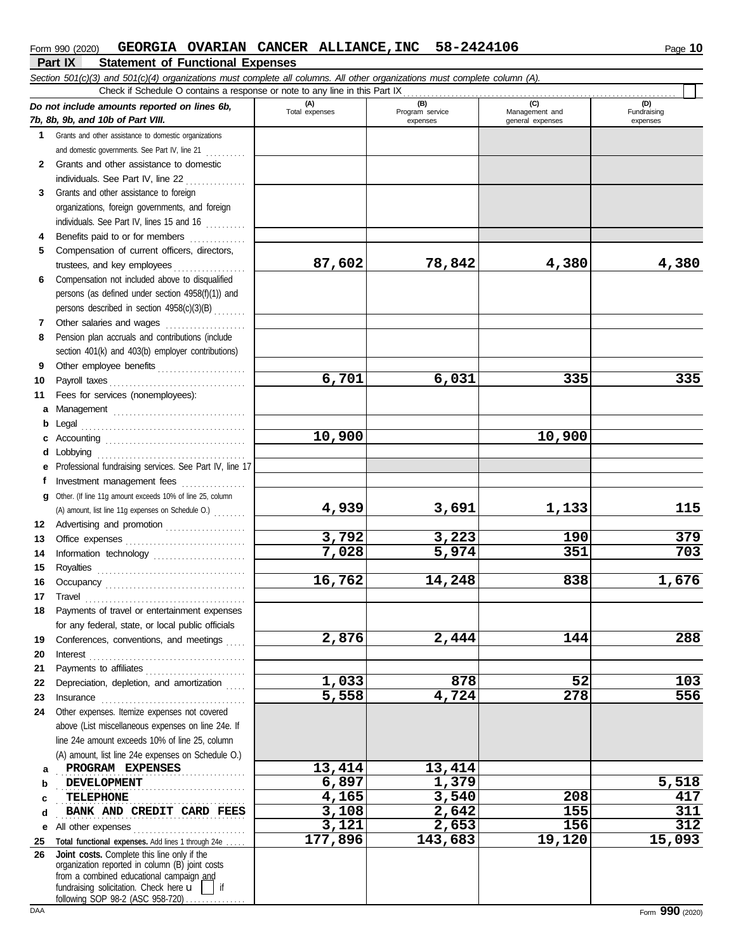#### **Part IX Statement of Functional Expenses Form 990 (2020) GEORGIA OVARIAN CANCER ALLIANCE, INC** 58-2424106 Page 10

|         | Section 501(c)(3) and 501(c)(4) organizations must complete all columns. All other organizations must complete column (A).<br>Check if Schedule O contains a response or note to any line in this Part IX |                |                             |                                    |                         |  |  |  |  |  |  |
|---------|-----------------------------------------------------------------------------------------------------------------------------------------------------------------------------------------------------------|----------------|-----------------------------|------------------------------------|-------------------------|--|--|--|--|--|--|
|         |                                                                                                                                                                                                           | (A)            | (B)                         | (C)                                | (D)                     |  |  |  |  |  |  |
|         | Do not include amounts reported on lines 6b,<br>7b, 8b, 9b, and 10b of Part VIII.                                                                                                                         | Total expenses | Program service<br>expenses | Management and<br>general expenses | Fundraising<br>expenses |  |  |  |  |  |  |
| 1       | Grants and other assistance to domestic organizations                                                                                                                                                     |                |                             |                                    |                         |  |  |  |  |  |  |
|         | and domestic governments. See Part IV, line 21                                                                                                                                                            |                |                             |                                    |                         |  |  |  |  |  |  |
|         | 2 Grants and other assistance to domestic                                                                                                                                                                 |                |                             |                                    |                         |  |  |  |  |  |  |
|         |                                                                                                                                                                                                           |                |                             |                                    |                         |  |  |  |  |  |  |
| 3       | Grants and other assistance to foreign                                                                                                                                                                    |                |                             |                                    |                         |  |  |  |  |  |  |
|         | organizations, foreign governments, and foreign                                                                                                                                                           |                |                             |                                    |                         |  |  |  |  |  |  |
|         | individuals. See Part IV, lines 15 and 16                                                                                                                                                                 |                |                             |                                    |                         |  |  |  |  |  |  |
|         | Benefits paid to or for members                                                                                                                                                                           |                |                             |                                    |                         |  |  |  |  |  |  |
| 5       | Compensation of current officers, directors,                                                                                                                                                              |                |                             |                                    |                         |  |  |  |  |  |  |
|         | trustees, and key employees                                                                                                                                                                               | 87,602         | 78,842                      | 4,380                              | 4,380                   |  |  |  |  |  |  |
| 6       | Compensation not included above to disqualified                                                                                                                                                           |                |                             |                                    |                         |  |  |  |  |  |  |
|         | persons (as defined under section 4958(f)(1)) and                                                                                                                                                         |                |                             |                                    |                         |  |  |  |  |  |  |
|         | persons described in section 4958(c)(3)(B)                                                                                                                                                                |                |                             |                                    |                         |  |  |  |  |  |  |
| 7       | Other salaries and wages<br>.                                                                                                                                                                             |                |                             |                                    |                         |  |  |  |  |  |  |
| 8       | Pension plan accruals and contributions (include                                                                                                                                                          |                |                             |                                    |                         |  |  |  |  |  |  |
|         | section 401(k) and 403(b) employer contributions)                                                                                                                                                         |                |                             |                                    |                         |  |  |  |  |  |  |
| 9       | Other employee benefits                                                                                                                                                                                   |                |                             |                                    |                         |  |  |  |  |  |  |
| 10      | Payroll taxes                                                                                                                                                                                             | 6,701          | 6,031                       | 335                                | 335                     |  |  |  |  |  |  |
| 11      | Fees for services (nonemployees):                                                                                                                                                                         |                |                             |                                    |                         |  |  |  |  |  |  |
| a       | Management                                                                                                                                                                                                |                |                             |                                    |                         |  |  |  |  |  |  |
| b       |                                                                                                                                                                                                           |                |                             | 10,900                             |                         |  |  |  |  |  |  |
|         |                                                                                                                                                                                                           | 10,900         |                             |                                    |                         |  |  |  |  |  |  |
| d       | Lobbying                                                                                                                                                                                                  |                |                             |                                    |                         |  |  |  |  |  |  |
| е<br>f  | Professional fundraising services. See Part IV, line 17<br>Investment management fees                                                                                                                     |                |                             |                                    |                         |  |  |  |  |  |  |
|         | g Other. (If line 11g amount exceeds 10% of line 25, column                                                                                                                                               |                |                             |                                    |                         |  |  |  |  |  |  |
|         | (A) amount, list line 11g expenses on Schedule O.)                                                                                                                                                        | 4,939          | 3,691                       | 1,133                              | 115                     |  |  |  |  |  |  |
| 12      | Advertising and promotion                                                                                                                                                                                 |                |                             |                                    |                         |  |  |  |  |  |  |
| 13      |                                                                                                                                                                                                           | 3,792          | 3,223                       | 190                                | 379                     |  |  |  |  |  |  |
| 14      | Information technology                                                                                                                                                                                    | 7,028          | 5,974                       | 351                                | 703                     |  |  |  |  |  |  |
| 15      |                                                                                                                                                                                                           |                |                             |                                    |                         |  |  |  |  |  |  |
| 16      |                                                                                                                                                                                                           | 16,762         | 14,248                      | 838                                | 1,676                   |  |  |  |  |  |  |
| 17      |                                                                                                                                                                                                           |                |                             |                                    |                         |  |  |  |  |  |  |
| 18      | Payments of travel or entertainment expenses                                                                                                                                                              |                |                             |                                    |                         |  |  |  |  |  |  |
|         | for any federal, state, or local public officials                                                                                                                                                         |                |                             |                                    |                         |  |  |  |  |  |  |
| 19      | Conferences, conventions, and meetings                                                                                                                                                                    | 2,876          | 2,444                       | 144                                | 288                     |  |  |  |  |  |  |
| 20      |                                                                                                                                                                                                           |                |                             |                                    |                         |  |  |  |  |  |  |
| 21      | Payments to affiliates                                                                                                                                                                                    |                |                             |                                    |                         |  |  |  |  |  |  |
| 22      | Depreciation, depletion, and amortization                                                                                                                                                                 | 1,033          | 878                         | 52                                 | 103                     |  |  |  |  |  |  |
| 23      |                                                                                                                                                                                                           | 5,558          | 4,724                       | 278                                | 556                     |  |  |  |  |  |  |
| 24      | Other expenses. Itemize expenses not covered                                                                                                                                                              |                |                             |                                    |                         |  |  |  |  |  |  |
|         | above (List miscellaneous expenses on line 24e. If                                                                                                                                                        |                |                             |                                    |                         |  |  |  |  |  |  |
|         | line 24e amount exceeds 10% of line 25, column                                                                                                                                                            |                |                             |                                    |                         |  |  |  |  |  |  |
|         | (A) amount, list line 24e expenses on Schedule O.)                                                                                                                                                        |                |                             |                                    |                         |  |  |  |  |  |  |
| a       | PROGRAM EXPENSES                                                                                                                                                                                          | 13,414         | 13,414                      |                                    |                         |  |  |  |  |  |  |
| b       | <b>DEVELOPMENT</b><br>TELEPHONE                                                                                                                                                                           | 6,897<br>4,165 | 1,379<br>3,540              | 208                                | 5,518<br>417            |  |  |  |  |  |  |
| c       |                                                                                                                                                                                                           | 3,108          | 2,642                       | 155                                | 311                     |  |  |  |  |  |  |
| d       | BANK AND CREDIT CARD FEES                                                                                                                                                                                 | 3,121          | 2,653                       | 156                                | 312                     |  |  |  |  |  |  |
| е<br>25 | Total functional expenses. Add lines 1 through 24e                                                                                                                                                        | 177,896        | 143,683                     | 19,120                             | 15,093                  |  |  |  |  |  |  |
| 26      | Joint costs. Complete this line only if the                                                                                                                                                               |                |                             |                                    |                         |  |  |  |  |  |  |
|         | organization reported in column (B) joint costs                                                                                                                                                           |                |                             |                                    |                         |  |  |  |  |  |  |
|         | from a combined educational campaign and<br>fundraising solicitation. Check here u                                                                                                                        |                |                             |                                    |                         |  |  |  |  |  |  |
|         | following SOP 98-2 (ASC 958-720)                                                                                                                                                                          |                |                             |                                    |                         |  |  |  |  |  |  |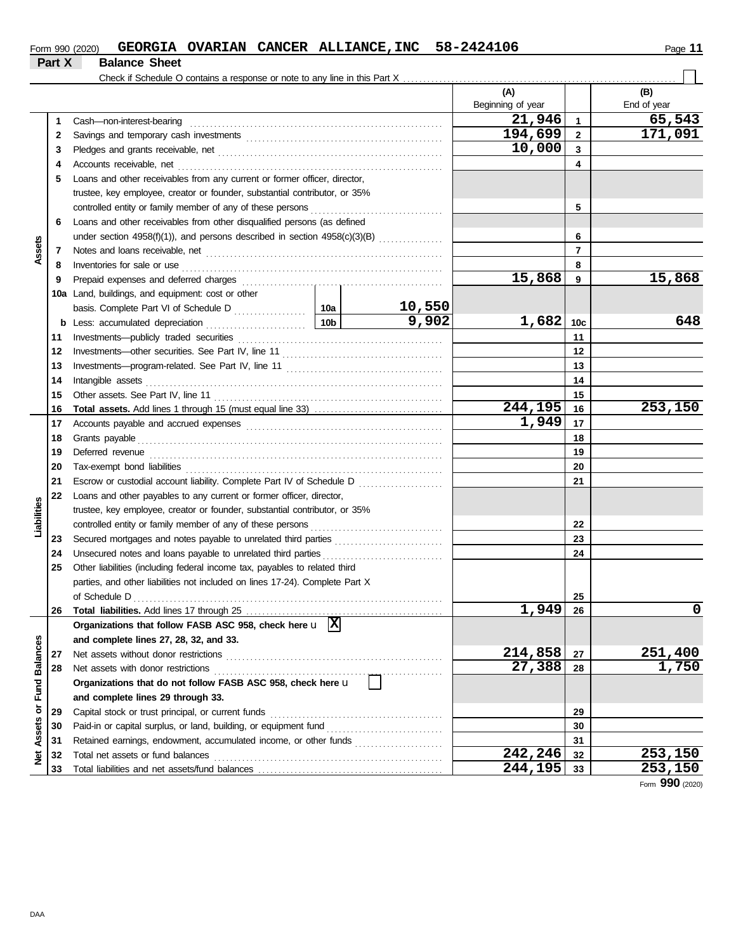| Form 990 (2020) |                      |  | GEORGIA OVARIAN CANCER ALLIANCE, INC 58-2424106 | -44<br>Page |
|-----------------|----------------------|--|-------------------------------------------------|-------------|
| Part X          | <b>Balance Sheet</b> |  |                                                 |             |

|                      |    |                                                                              |     |         | (A)<br>Beginning of year |                 | (B)<br>End of year |
|----------------------|----|------------------------------------------------------------------------------|-----|---------|--------------------------|-----------------|--------------------|
|                      | 1  | Cash-non-interest-bearing                                                    |     |         | 21,946                   | $\mathbf{1}$    | 65,543             |
|                      | 2  |                                                                              |     |         | 194,699                  | $\mathbf{2}$    | 171,091            |
|                      | 3  |                                                                              |     |         | 10,000                   | 3               |                    |
|                      | 4  | Accounts receivable, net                                                     |     |         |                          | 4               |                    |
|                      | 5  | Loans and other receivables from any current or former officer, director,    |     |         |                          |                 |                    |
|                      |    | trustee, key employee, creator or founder, substantial contributor, or 35%   |     |         |                          |                 |                    |
|                      |    | controlled entity or family member of any of these persons                   |     |         |                          | 5               |                    |
|                      | 6  | Loans and other receivables from other disqualified persons (as defined      |     |         |                          |                 |                    |
|                      |    | under section 4958(f)(1)), and persons described in section 4958(c)(3)(B)    |     |         |                          | 6               |                    |
| Assets               | 7  |                                                                              |     |         |                          | $\overline{7}$  |                    |
|                      | 8  | Inventories for sale or use                                                  |     |         |                          | 8               |                    |
|                      | 9  | Prepaid expenses and deferred charges                                        |     |         | 15,868                   | 9               | 15,868             |
|                      |    | 10a Land, buildings, and equipment: cost or other                            |     |         |                          |                 |                    |
|                      |    |                                                                              |     | 10,550  |                          |                 |                    |
|                      | b  | Less: accumulated depreciation                                               | 10b | 9,902   | 1,682                    | 10 <sub>c</sub> | 648                |
|                      | 11 |                                                                              |     |         |                          | 11              |                    |
|                      | 12 |                                                                              |     |         |                          | 12              |                    |
|                      | 13 |                                                                              |     |         |                          | 13              |                    |
|                      | 14 | Intangible assets                                                            |     |         |                          | 14              |                    |
|                      | 15 |                                                                              |     |         |                          | 15              |                    |
|                      | 16 |                                                                              |     |         | 244,195                  | 16              | 253,150            |
|                      | 17 |                                                                              |     |         | 1,949                    | 17              |                    |
|                      | 18 |                                                                              |     |         |                          | 18              |                    |
|                      | 19 | Deferred revenue                                                             |     |         | 19                       |                 |                    |
|                      | 20 |                                                                              |     |         | 20                       |                 |                    |
|                      | 21 | Escrow or custodial account liability. Complete Part IV of Schedule D        |     |         |                          | 21              |                    |
|                      | 22 | Loans and other payables to any current or former officer, director,         |     |         |                          |                 |                    |
| Liabilities          |    | trustee, key employee, creator or founder, substantial contributor, or 35%   |     |         |                          |                 |                    |
|                      |    |                                                                              |     |         |                          | 22              |                    |
|                      | 23 |                                                                              |     |         |                          | 23              |                    |
|                      | 24 | Unsecured notes and loans payable to unrelated third parties                 |     |         |                          | 24              |                    |
|                      | 25 | Other liabilities (including federal income tax, payables to related third   |     |         |                          |                 |                    |
|                      |    | parties, and other liabilities not included on lines 17-24). Complete Part X |     |         |                          |                 |                    |
|                      |    |                                                                              |     |         |                          | 25              |                    |
|                      | 26 |                                                                              |     |         | 1,949                    | 26              | U                  |
|                      |    | Organizations that follow FASB ASC 958, check here $\mathbf{u}$  X           |     |         |                          |                 |                    |
|                      |    | and complete lines 27, 28, 32, and 33.                                       |     |         |                          |                 |                    |
|                      | 27 | Net assets without donor restrictions                                        |     |         | 214,858                  | 27              | 251,400            |
| <b>Fund Balances</b> | 28 | Net assets with donor restrictions                                           |     |         | 27,388                   | 28              | 1,750              |
|                      |    | Organizations that do not follow FASB ASC 958, check here u                  |     |         |                          |                 |                    |
|                      |    | and complete lines 29 through 33.                                            |     |         |                          |                 |                    |
|                      | 29 |                                                                              |     |         |                          | 29              |                    |
|                      | 30 | Paid-in or capital surplus, or land, building, or equipment fund             |     |         |                          | 30              |                    |
|                      | 31 |                                                                              |     |         |                          | 31              |                    |
| Net Assets or        | 32 | Total net assets or fund balances                                            |     | 242,246 | 32                       | 253,150         |                    |
|                      | 33 |                                                                              |     |         | 244,195                  | 33              | 253,150            |

Form **990** (2020)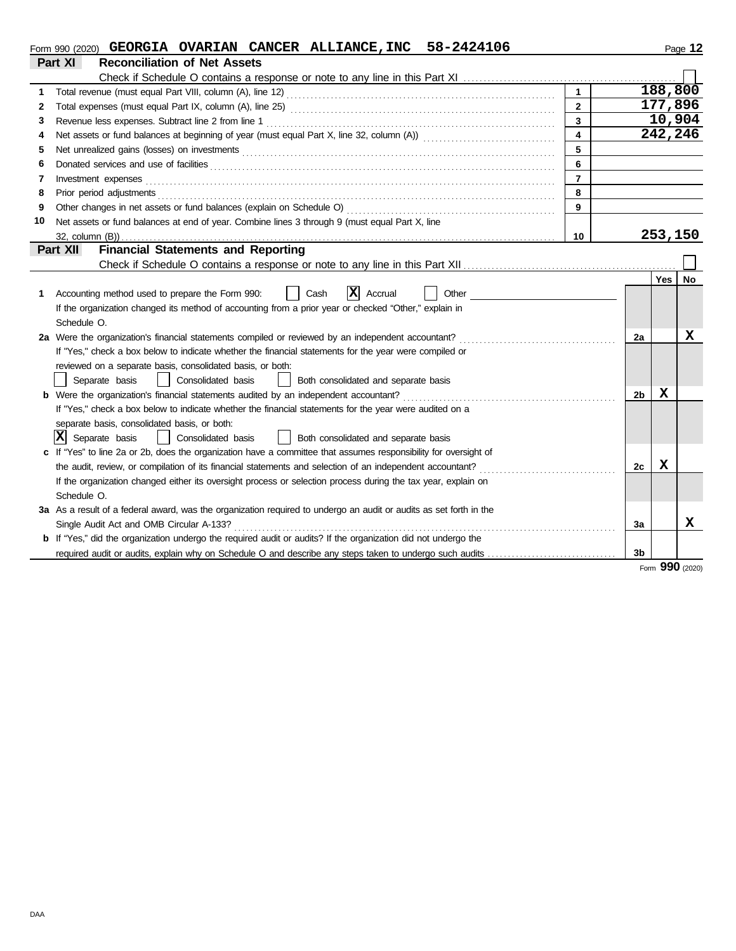|  |  |  |  | $_{\rm Form}$ 990 (2020) GEORGIA OVARIAN CANCER ALLIANCE, INC 58-2424106 |  | ା 2<br>Page |
|--|--|--|--|--------------------------------------------------------------------------|--|-------------|
|--|--|--|--|--------------------------------------------------------------------------|--|-------------|

| חו<br>-2 |  |
|----------|--|
|----------|--|

|    | Part XI<br><b>Reconciliation of Net Assets</b>                                                                                                                                                                                       |                         |                |         |                 |
|----|--------------------------------------------------------------------------------------------------------------------------------------------------------------------------------------------------------------------------------------|-------------------------|----------------|---------|-----------------|
|    |                                                                                                                                                                                                                                      |                         |                |         |                 |
| 1  |                                                                                                                                                                                                                                      | $\mathbf{1}$            |                | 188,800 |                 |
| 2  |                                                                                                                                                                                                                                      | $\mathbf{2}$            |                | 177,896 |                 |
| 3  |                                                                                                                                                                                                                                      | 3                       |                | 10,904  |                 |
| 4  |                                                                                                                                                                                                                                      | $\overline{\mathbf{4}}$ |                | 242,246 |                 |
| 5  |                                                                                                                                                                                                                                      | 5                       |                |         |                 |
| 6  | Donated services and use of facilities <b>constant of the constant of the constant of the constant of the constant of the constant of the constant of the constant of the constant of the constant of the constant of the consta</b> | 6                       |                |         |                 |
| 7  | Investment expenses                                                                                                                                                                                                                  | $\overline{7}$          |                |         |                 |
| 8  | Prior period adjustments                                                                                                                                                                                                             | 8                       |                |         |                 |
| 9  |                                                                                                                                                                                                                                      | 9                       |                |         |                 |
| 10 | Net assets or fund balances at end of year. Combine lines 3 through 9 (must equal Part X, line                                                                                                                                       |                         |                |         |                 |
|    |                                                                                                                                                                                                                                      | 10                      |                | 253,150 |                 |
|    | <b>Financial Statements and Reporting</b><br>Part XII                                                                                                                                                                                |                         |                |         |                 |
|    |                                                                                                                                                                                                                                      |                         |                |         |                 |
|    |                                                                                                                                                                                                                                      |                         |                | Yes     | No              |
| 1. | X<br>Other<br>Accounting method used to prepare the Form 990:<br>Cash<br>Accrual                                                                                                                                                     |                         |                |         |                 |
|    | If the organization changed its method of accounting from a prior year or checked "Other," explain in                                                                                                                                |                         |                |         |                 |
|    | Schedule O.                                                                                                                                                                                                                          |                         |                |         |                 |
|    | 2a Were the organization's financial statements compiled or reviewed by an independent accountant?                                                                                                                                   |                         | 2a             |         | x               |
|    | If "Yes," check a box below to indicate whether the financial statements for the year were compiled or                                                                                                                               |                         |                |         |                 |
|    | reviewed on a separate basis, consolidated basis, or both:                                                                                                                                                                           |                         |                |         |                 |
|    | Separate basis<br>Consolidated basis<br>Both consolidated and separate basis                                                                                                                                                         |                         |                |         |                 |
|    | Were the organization's financial statements audited by an independent accountant?                                                                                                                                                   |                         | 2b             | x       |                 |
|    | If "Yes," check a box below to indicate whether the financial statements for the year were audited on a                                                                                                                              |                         |                |         |                 |
|    | separate basis, consolidated basis, or both:                                                                                                                                                                                         |                         |                |         |                 |
|    | X<br>Separate basis<br>Consolidated basis<br>Both consolidated and separate basis                                                                                                                                                    |                         |                |         |                 |
|    | c If "Yes" to line 2a or 2b, does the organization have a committee that assumes responsibility for oversight of                                                                                                                     |                         |                |         |                 |
|    |                                                                                                                                                                                                                                      |                         | 2c             | x       |                 |
|    | If the organization changed either its oversight process or selection process during the tax year, explain on                                                                                                                        |                         |                |         |                 |
|    | Schedule O.                                                                                                                                                                                                                          |                         |                |         |                 |
|    | 3a As a result of a federal award, was the organization required to undergo an audit or audits as set forth in the                                                                                                                   |                         |                |         |                 |
|    | Single Audit Act and OMB Circular A-133?                                                                                                                                                                                             |                         | За             |         | x               |
|    | b If "Yes," did the organization undergo the required audit or audits? If the organization did not undergo the                                                                                                                       |                         |                |         |                 |
|    |                                                                                                                                                                                                                                      |                         | 3 <sub>b</sub> |         |                 |
|    |                                                                                                                                                                                                                                      |                         |                |         | Form 990 (2020) |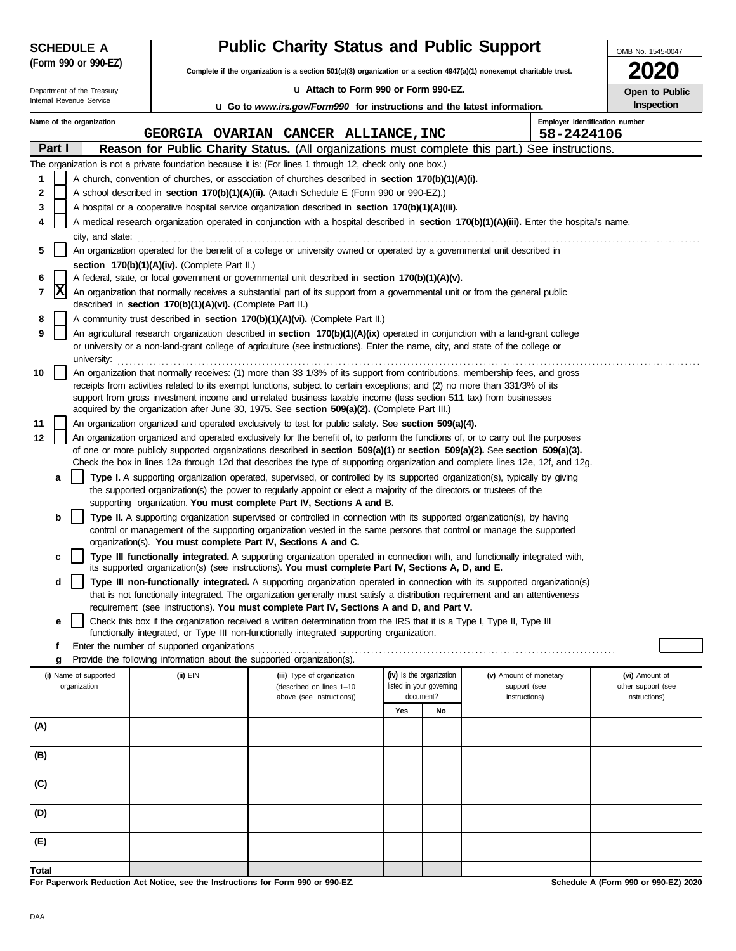| <b>SCHEDULE A</b>                             | <b>Public Charity Status and Public Support</b>                                  | OMB No. 1545-0047                                                                                                                                                                                                                                                      |                          |                          |                               |                                              |                                      |  |  |  |
|-----------------------------------------------|----------------------------------------------------------------------------------|------------------------------------------------------------------------------------------------------------------------------------------------------------------------------------------------------------------------------------------------------------------------|--------------------------|--------------------------|-------------------------------|----------------------------------------------|--------------------------------------|--|--|--|
| (Form 990 or 990-EZ)                          |                                                                                  | Complete if the organization is a section 501(c)(3) organization or a section 4947(a)(1) nonexempt charitable trust.                                                                                                                                                   |                          |                          |                               |                                              |                                      |  |  |  |
| Department of the Treasury                    |                                                                                  | La Attach to Form 990 or Form 990-EZ.                                                                                                                                                                                                                                  |                          |                          |                               |                                              | Open to Public                       |  |  |  |
| Internal Revenue Service                      |                                                                                  | u Go to www.irs.gov/Form990 for instructions and the latest information.                                                                                                                                                                                               |                          |                          |                               |                                              | Inspection                           |  |  |  |
| Name of the organization                      |                                                                                  | GEORGIA OVARIAN CANCER ALLIANCE, INC                                                                                                                                                                                                                                   |                          |                          |                               | Employer identification number<br>58-2424106 |                                      |  |  |  |
| Part I                                        |                                                                                  | Reason for Public Charity Status. (All organizations must complete this part.) See instructions.                                                                                                                                                                       |                          |                          |                               |                                              |                                      |  |  |  |
|                                               |                                                                                  | The organization is not a private foundation because it is: (For lines 1 through 12, check only one box.)                                                                                                                                                              |                          |                          |                               |                                              |                                      |  |  |  |
| 1                                             |                                                                                  | A church, convention of churches, or association of churches described in section 170(b)(1)(A)(i).                                                                                                                                                                     |                          |                          |                               |                                              |                                      |  |  |  |
| 2                                             |                                                                                  | A school described in <b>section 170(b)(1)(A)(ii).</b> (Attach Schedule E (Form 990 or 990-EZ).)                                                                                                                                                                       |                          |                          |                               |                                              |                                      |  |  |  |
| 3                                             |                                                                                  | A hospital or a cooperative hospital service organization described in section 170(b)(1)(A)(iii).                                                                                                                                                                      |                          |                          |                               |                                              |                                      |  |  |  |
| 4                                             |                                                                                  | A medical research organization operated in conjunction with a hospital described in section 170(b)(1)(A)(iii). Enter the hospital's name,                                                                                                                             |                          |                          |                               |                                              |                                      |  |  |  |
| city, and state:<br>5                         |                                                                                  | An organization operated for the benefit of a college or university owned or operated by a governmental unit described in                                                                                                                                              |                          |                          |                               |                                              |                                      |  |  |  |
| section 170(b)(1)(A)(iv). (Complete Part II.) |                                                                                  |                                                                                                                                                                                                                                                                        |                          |                          |                               |                                              |                                      |  |  |  |
| 6                                             |                                                                                  | A federal, state, or local government or governmental unit described in section 170(b)(1)(A)(v).                                                                                                                                                                       |                          |                          |                               |                                              |                                      |  |  |  |
| x<br>7                                        | described in section 170(b)(1)(A)(vi). (Complete Part II.)                       | An organization that normally receives a substantial part of its support from a governmental unit or from the general public                                                                                                                                           |                          |                          |                               |                                              |                                      |  |  |  |
| 8                                             |                                                                                  | A community trust described in section 170(b)(1)(A)(vi). (Complete Part II.)                                                                                                                                                                                           |                          |                          |                               |                                              |                                      |  |  |  |
| 9                                             |                                                                                  | An agricultural research organization described in section 170(b)(1)(A)(ix) operated in conjunction with a land-grant college<br>or university or a non-land-grant college of agriculture (see instructions). Enter the name, city, and state of the college or        |                          |                          |                               |                                              |                                      |  |  |  |
| university:<br>10                             |                                                                                  | An organization that normally receives: (1) more than 33 1/3% of its support from contributions, membership fees, and gross                                                                                                                                            |                          |                          |                               |                                              |                                      |  |  |  |
|                                               |                                                                                  | receipts from activities related to its exempt functions, subject to certain exceptions; and (2) no more than 331/3% of its                                                                                                                                            |                          |                          |                               |                                              |                                      |  |  |  |
|                                               |                                                                                  | support from gross investment income and unrelated business taxable income (less section 511 tax) from businesses<br>acquired by the organization after June 30, 1975. See section 509(a)(2). (Complete Part III.)                                                     |                          |                          |                               |                                              |                                      |  |  |  |
| 11                                            |                                                                                  | An organization organized and operated exclusively to test for public safety. See section 509(a)(4).                                                                                                                                                                   |                          |                          |                               |                                              |                                      |  |  |  |
| 12                                            |                                                                                  | An organization organized and operated exclusively for the benefit of, to perform the functions of, or to carry out the purposes                                                                                                                                       |                          |                          |                               |                                              |                                      |  |  |  |
|                                               |                                                                                  | of one or more publicly supported organizations described in section $509(a)(1)$ or section $509(a)(2)$ . See section $509(a)(3)$ .<br>Check the box in lines 12a through 12d that describes the type of supporting organization and complete lines 12e, 12f, and 12g. |                          |                          |                               |                                              |                                      |  |  |  |
| a                                             |                                                                                  | Type I. A supporting organization operated, supervised, or controlled by its supported organization(s), typically by giving                                                                                                                                            |                          |                          |                               |                                              |                                      |  |  |  |
|                                               |                                                                                  | the supported organization(s) the power to regularly appoint or elect a majority of the directors or trustees of the<br>supporting organization. You must complete Part IV, Sections A and B.                                                                          |                          |                          |                               |                                              |                                      |  |  |  |
| b                                             |                                                                                  | <b>Type II.</b> A supporting organization supervised or controlled in connection with its supported organization(s), by having<br>control or management of the supporting organization vested in the same persons that control or manage the supported                 |                          |                          |                               |                                              |                                      |  |  |  |
|                                               |                                                                                  | organization(s). You must complete Part IV, Sections A and C.                                                                                                                                                                                                          |                          |                          |                               |                                              |                                      |  |  |  |
| c                                             |                                                                                  | Type III functionally integrated. A supporting organization operated in connection with, and functionally integrated with,<br>its supported organization(s) (see instructions). You must complete Part IV, Sections A, D, and E.                                       |                          |                          |                               |                                              |                                      |  |  |  |
| d                                             |                                                                                  | Type III non-functionally integrated. A supporting organization operated in connection with its supported organization(s)<br>that is not functionally integrated. The organization generally must satisfy a distribution requirement and an attentiveness              |                          |                          |                               |                                              |                                      |  |  |  |
|                                               |                                                                                  | requirement (see instructions). You must complete Part IV, Sections A and D, and Part V.                                                                                                                                                                               |                          |                          |                               |                                              |                                      |  |  |  |
| е                                             |                                                                                  | Check this box if the organization received a written determination from the IRS that it is a Type I, Type II, Type III<br>functionally integrated, or Type III non-functionally integrated supporting organization.                                                   |                          |                          |                               |                                              |                                      |  |  |  |
| f                                             | Enter the number of supported organizations                                      |                                                                                                                                                                                                                                                                        |                          |                          |                               |                                              |                                      |  |  |  |
| g                                             | Provide the following information about the supported organization(s).           |                                                                                                                                                                                                                                                                        |                          |                          |                               |                                              |                                      |  |  |  |
| (i) Name of supported                         | (ii) EIN                                                                         | (iii) Type of organization                                                                                                                                                                                                                                             | (iv) Is the organization |                          | (v) Amount of monetary        |                                              | (vi) Amount of                       |  |  |  |
| organization                                  |                                                                                  | (described on lines 1-10<br>above (see instructions))                                                                                                                                                                                                                  | document?                | listed in your governing | support (see<br>instructions) |                                              | other support (see<br>instructions)  |  |  |  |
|                                               |                                                                                  |                                                                                                                                                                                                                                                                        | Yes                      | No                       |                               |                                              |                                      |  |  |  |
| (A)                                           |                                                                                  |                                                                                                                                                                                                                                                                        |                          |                          |                               |                                              |                                      |  |  |  |
| (B)                                           |                                                                                  |                                                                                                                                                                                                                                                                        |                          |                          |                               |                                              |                                      |  |  |  |
| (C)                                           |                                                                                  |                                                                                                                                                                                                                                                                        |                          |                          |                               |                                              |                                      |  |  |  |
|                                               |                                                                                  |                                                                                                                                                                                                                                                                        |                          |                          |                               |                                              |                                      |  |  |  |
| (D)                                           |                                                                                  |                                                                                                                                                                                                                                                                        |                          |                          |                               |                                              |                                      |  |  |  |
| (E)                                           |                                                                                  |                                                                                                                                                                                                                                                                        |                          |                          |                               |                                              |                                      |  |  |  |
| Total                                         |                                                                                  |                                                                                                                                                                                                                                                                        |                          |                          |                               |                                              |                                      |  |  |  |
|                                               | For Paperwork Reduction Act Notice, see the Instructions for Form 990 or 990-EZ. |                                                                                                                                                                                                                                                                        |                          |                          |                               |                                              | Schedule A (Form 990 or 990-EZ) 2020 |  |  |  |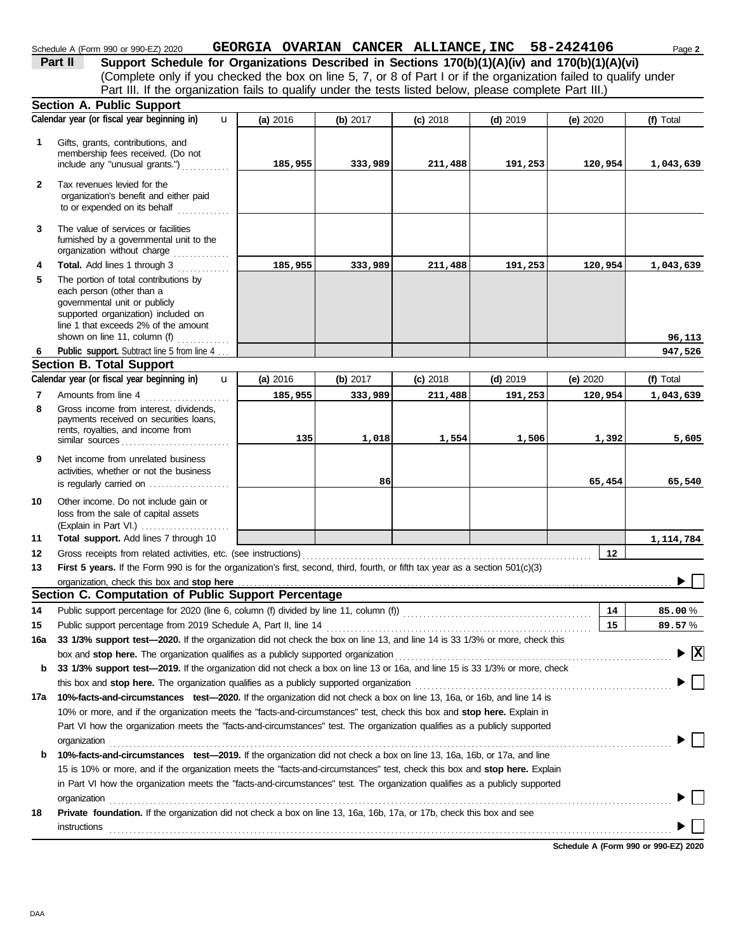# Schedule A (Form 990 or 990-EZ) 2020 **GEORGIA OVARIAN CANCER ALLIANCE, INC** 58-2424106 Page 2

(Complete only if you checked the box on line 5, 7, or 8 of Part I or if the organization failed to qualify under **Part II** Support Schedule for Organizations Described in Sections 170(b)(1)(A)(iv) and 170(b)(1)(A)(vi) Part III. If the organization fails to qualify under the tests listed below, please complete Part III.)

|     | Section A. Public Support                                                                                                                                                          |          |            |            |            |          |                                 |
|-----|------------------------------------------------------------------------------------------------------------------------------------------------------------------------------------|----------|------------|------------|------------|----------|---------------------------------|
|     | Calendar year (or fiscal year beginning in)<br>$\mathbf{u}$                                                                                                                        | (a) 2016 | (b) $2017$ | $(c)$ 2018 | $(d)$ 2019 | (e) 2020 | (f) Total                       |
| 1   | Gifts, grants, contributions, and<br>membership fees received. (Do not<br>include any "unusual grants.")                                                                           | 185,955  | 333,989    | 211,488    | 191,253    | 120,954  | 1,043,639                       |
| 2   | Tax revenues levied for the<br>organization's benefit and either paid<br>to or expended on its behalf                                                                              |          |            |            |            |          |                                 |
| 3   | The value of services or facilities<br>furnished by a governmental unit to the<br>organization without charge                                                                      |          |            |            |            |          |                                 |
| 4   | Total. Add lines 1 through 3                                                                                                                                                       | 185,955  | 333,989    | 211,488    | 191,253    | 120,954  | 1,043,639                       |
| 5   | The portion of total contributions by<br>each person (other than a<br>governmental unit or publicly<br>supported organization) included on<br>line 1 that exceeds 2% of the amount |          |            |            |            |          |                                 |
|     | shown on line 11, column (f)                                                                                                                                                       |          |            |            |            |          | 96,113                          |
| 6   | Public support. Subtract line 5 from line 4                                                                                                                                        |          |            |            |            |          | 947,526                         |
|     | <b>Section B. Total Support</b>                                                                                                                                                    |          |            |            |            |          |                                 |
|     | Calendar year (or fiscal year beginning in)<br>$\mathbf{u}$                                                                                                                        | (a) 2016 | (b) $2017$ | $(c)$ 2018 | $(d)$ 2019 | (e) 2020 | (f) Total                       |
| 7   | Amounts from line 4                                                                                                                                                                | 185,955  | 333,989    | 211,488    | 191,253    | 120,954  | 1,043,639                       |
| 8   | Gross income from interest, dividends,<br>payments received on securities loans,<br>rents, royalties, and income from<br>similar sources                                           | 135      | 1,018      | 1,554      | 1,506      | 1,392    | 5,605                           |
| 9   | Net income from unrelated business<br>activities, whether or not the business<br>is regularly carried on                                                                           |          | 86         |            |            | 65,454   | 65,540                          |
| 10  | Other income. Do not include gain or<br>loss from the sale of capital assets                                                                                                       |          |            |            |            |          |                                 |
| 11  | Total support. Add lines 7 through 10                                                                                                                                              |          |            |            |            |          | 1,114,784                       |
| 12  | Gross receipts from related activities, etc. (see instructions)                                                                                                                    |          |            |            |            | 12       |                                 |
| 13  | First 5 years. If the Form 990 is for the organization's first, second, third, fourth, or fifth tax year as a section 501(c)(3)                                                    |          |            |            |            |          |                                 |
|     | organization, check this box and stop here                                                                                                                                         |          |            |            |            |          |                                 |
|     | Section C. Computation of Public Support Percentage                                                                                                                                |          |            |            |            |          |                                 |
| 14  | Public support percentage for 2020 (line 6, column (f) divided by line 11, column (f)) [[[[[[[[[[[[[[[[[[[[[[                                                                      |          |            |            |            | 14       | 85.00%                          |
| 15  | Public support percentage from 2019 Schedule A, Part II, line 14                                                                                                                   |          |            |            |            | 15       | 89.57%                          |
| 16a | 33 1/3% support test—2020. If the organization did not check the box on line 13, and line 14 is 33 1/3% or more, check this                                                        |          |            |            |            |          |                                 |
|     | box and stop here. The organization qualifies as a publicly supported organization                                                                                                 |          |            |            |            |          | $\blacktriangleright$ $\vert$ X |
| b   | 33 1/3% support test-2019. If the organization did not check a box on line 13 or 16a, and line 15 is 33 1/3% or more, check                                                        |          |            |            |            |          |                                 |
|     | this box and stop here. The organization qualifies as a publicly supported organization                                                                                            |          |            |            |            |          |                                 |
| 17a | 10%-facts-and-circumstances test-2020. If the organization did not check a box on line 13, 16a, or 16b, and line 14 is                                                             |          |            |            |            |          |                                 |
|     | 10% or more, and if the organization meets the "facts-and-circumstances" test, check this box and stop here. Explain in                                                            |          |            |            |            |          |                                 |
|     | Part VI how the organization meets the "facts-and-circumstances" test. The organization qualifies as a publicly supported                                                          |          |            |            |            |          |                                 |
|     | organization                                                                                                                                                                       |          |            |            |            |          |                                 |
| b   | 10%-facts-and-circumstances test-2019. If the organization did not check a box on line 13, 16a, 16b, or 17a, and line                                                              |          |            |            |            |          |                                 |
|     | 15 is 10% or more, and if the organization meets the "facts-and-circumstances" test, check this box and stop here. Explain                                                         |          |            |            |            |          |                                 |
|     | in Part VI how the organization meets the "facts-and-circumstances" test. The organization qualifies as a publicly supported                                                       |          |            |            |            |          |                                 |
|     | organization                                                                                                                                                                       |          |            |            |            |          |                                 |
| 18  | Private foundation. If the organization did not check a box on line 13, 16a, 16b, 17a, or 17b, check this box and see                                                              |          |            |            |            |          |                                 |
|     | instructions                                                                                                                                                                       |          |            |            |            |          |                                 |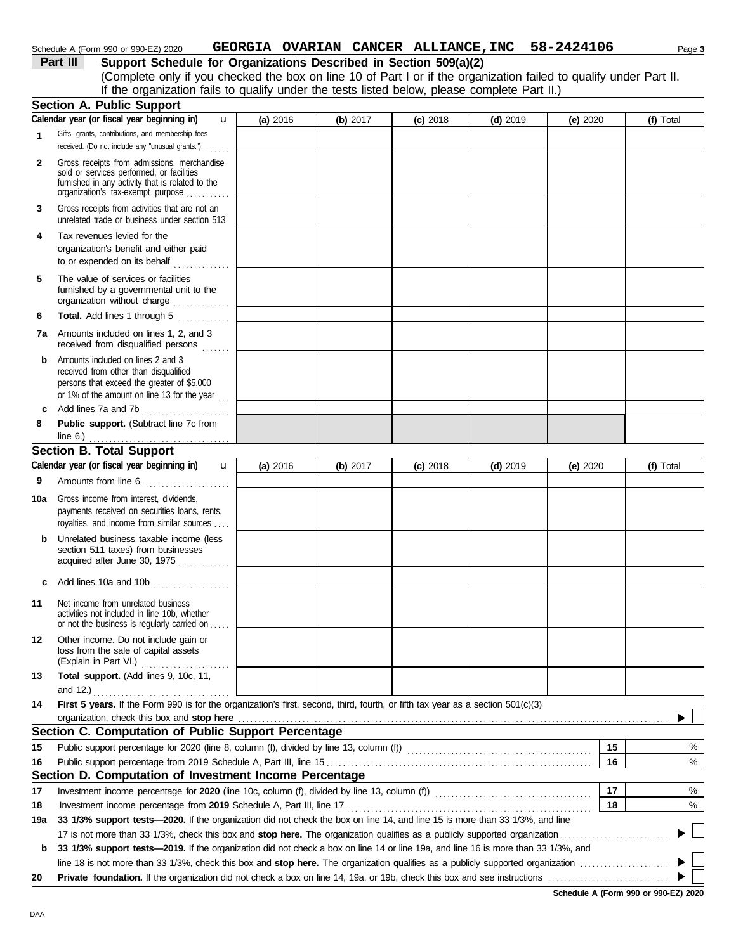#### Schedule A (Form 990 or 990-EZ) 2020 **GEORGIA OVARIAN CANCER ALLIANCE, INC** 58-2424106 Page 3

# **Part III Support Schedule for Organizations Described in Section 509(a)(2)**

(Complete only if you checked the box on line 10 of Part I or if the organization failed to qualify under Part II. If the organization fails to qualify under the tests listed below, please complete Part II.)

|              | <b>Section A. Public Support</b>                                                                                                                                        |          |          |            |            |            |    |                                          |
|--------------|-------------------------------------------------------------------------------------------------------------------------------------------------------------------------|----------|----------|------------|------------|------------|----|------------------------------------------|
|              | Calendar year (or fiscal year beginning in)<br>u                                                                                                                        | (a) 2016 | (b) 2017 | $(c)$ 2018 | $(d)$ 2019 | (e) $2020$ |    | (f) Total                                |
| 1            | Gifts, grants, contributions, and membership fees<br>received. (Do not include any "unusual grants.")                                                                   |          |          |            |            |            |    |                                          |
|              | .                                                                                                                                                                       |          |          |            |            |            |    |                                          |
| $\mathbf{2}$ | Gross receipts from admissions, merchandise<br>sold or services performed, or facilities                                                                                |          |          |            |            |            |    |                                          |
|              | furnished in any activity that is related to the<br>organization's tax-exempt purpose                                                                                   |          |          |            |            |            |    |                                          |
| 3            | Gross receipts from activities that are not an<br>unrelated trade or business under section 513                                                                         |          |          |            |            |            |    |                                          |
| 4            | Tax revenues levied for the<br>organization's benefit and either paid<br>to or expended on its behalf                                                                   |          |          |            |            |            |    |                                          |
| 5            | The value of services or facilities<br>furnished by a governmental unit to the<br>organization without charge                                                           |          |          |            |            |            |    |                                          |
| 6            | Total. Add lines 1 through 5                                                                                                                                            |          |          |            |            |            |    |                                          |
|              | <b>7a</b> Amounts included on lines 1, 2, and 3<br>received from disqualified persons                                                                                   |          |          |            |            |            |    |                                          |
| b            | Amounts included on lines 2 and 3<br>received from other than disqualified<br>persons that exceed the greater of \$5,000<br>or 1% of the amount on line 13 for the year |          |          |            |            |            |    |                                          |
| c            | Add lines 7a and 7b                                                                                                                                                     |          |          |            |            |            |    |                                          |
| 8            | Public support. (Subtract line 7c from                                                                                                                                  |          |          |            |            |            |    |                                          |
|              | line $6.$ )<br><b>Section B. Total Support</b>                                                                                                                          |          |          |            |            |            |    |                                          |
|              | Calendar year (or fiscal year beginning in)                                                                                                                             |          |          |            |            |            |    |                                          |
|              | $\mathbf{u}$                                                                                                                                                            | (a) 2016 | (b) 2017 | $(c)$ 2018 | $(d)$ 2019 | (e) $2020$ |    | (f) Total                                |
| 9            | Amounts from line 6                                                                                                                                                     |          |          |            |            |            |    |                                          |
| 10a          | Gross income from interest, dividends,<br>payments received on securities loans, rents,<br>royalties, and income from similar sources                                   |          |          |            |            |            |    |                                          |
| b            | Unrelated business taxable income (less<br>section 511 taxes) from businesses<br>acquired after June 30, 1975                                                           |          |          |            |            |            |    |                                          |
| c            | Add lines 10a and 10b                                                                                                                                                   |          |          |            |            |            |    |                                          |
| 11           | Net income from unrelated business<br>activities not included in line 10b, whether<br>or not the business is regularly carried on                                       |          |          |            |            |            |    |                                          |
| 12           | Other income. Do not include gain or<br>loss from the sale of capital assets<br>(Explain in Part VI.)<br>.                                                              |          |          |            |            |            |    |                                          |
| 13           | Total support. (Add lines 9, 10c, 11,                                                                                                                                   |          |          |            |            |            |    |                                          |
|              | and 12.)                                                                                                                                                                |          |          |            |            |            |    |                                          |
| 14           | First 5 years. If the Form 990 is for the organization's first, second, third, fourth, or fifth tax year as a section 501(c)(3)                                         |          |          |            |            |            |    |                                          |
|              | organization, check this box and stop here                                                                                                                              |          |          |            |            |            |    |                                          |
|              | Section C. Computation of Public Support Percentage                                                                                                                     |          |          |            |            |            |    |                                          |
| 15           |                                                                                                                                                                         |          |          |            |            |            | 15 | %                                        |
| 16           |                                                                                                                                                                         |          |          |            |            |            | 16 | %                                        |
|              | Section D. Computation of Investment Income Percentage                                                                                                                  |          |          |            |            |            |    |                                          |
| 17           |                                                                                                                                                                         |          |          |            |            |            | 17 | %                                        |
| 18           | Investment income percentage from 2019 Schedule A, Part III, line 17                                                                                                    |          |          |            |            |            | 18 | %                                        |
| 19a          | 33 1/3% support tests-2020. If the organization did not check the box on line 14, and line 15 is more than 33 1/3%, and line                                            |          |          |            |            |            |    | $\begin{array}{c} \boxed{1} \end{array}$ |
|              |                                                                                                                                                                         |          |          |            |            |            |    |                                          |
| b            | 33 1/3% support tests-2019. If the organization did not check a box on line 14 or line 19a, and line 16 is more than 33 1/3%, and                                       |          |          |            |            |            |    |                                          |
|              |                                                                                                                                                                         |          |          |            |            |            |    | $\mathbf{I}$                             |
| 20           |                                                                                                                                                                         |          |          |            |            |            |    |                                          |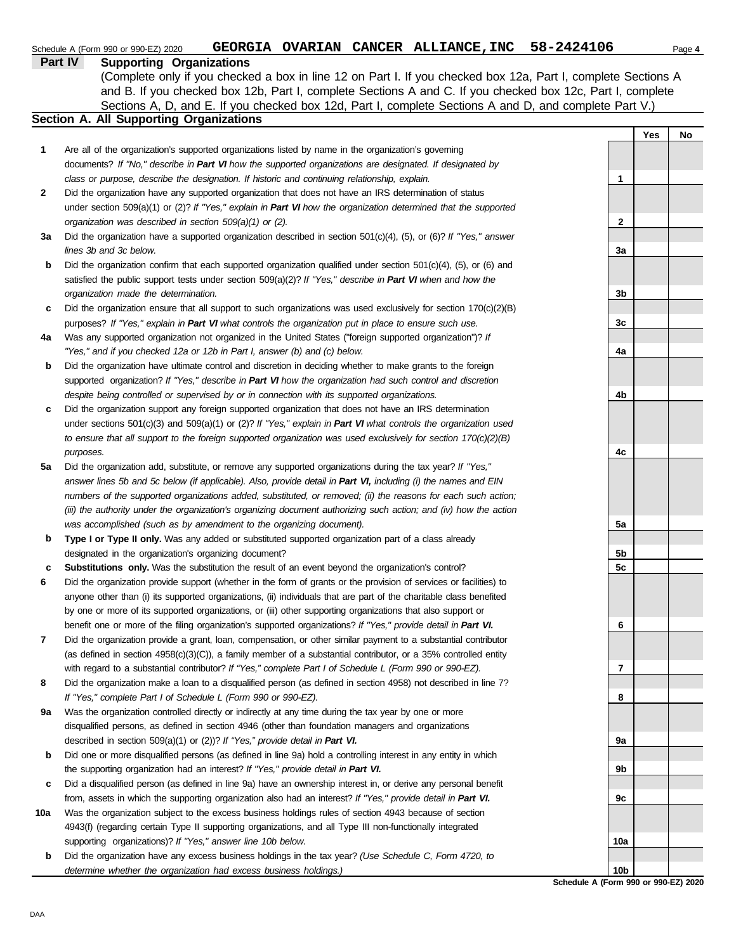|     | Part IV<br><b>Supporting Organizations</b>                                                                          |                 |     |    |
|-----|---------------------------------------------------------------------------------------------------------------------|-----------------|-----|----|
|     | (Complete only if you checked a box in line 12 on Part I. If you checked box 12a, Part I, complete Sections A       |                 |     |    |
|     | and B. If you checked box 12b, Part I, complete Sections A and C. If you checked box 12c, Part I, complete          |                 |     |    |
|     | Sections A, D, and E. If you checked box 12d, Part I, complete Sections A and D, and complete Part V.)              |                 |     |    |
|     | Section A. All Supporting Organizations                                                                             |                 |     |    |
|     |                                                                                                                     |                 | Yes | No |
| 1   | Are all of the organization's supported organizations listed by name in the organization's governing                |                 |     |    |
|     | documents? If "No," describe in Part VI how the supported organizations are designated. If designated by            |                 |     |    |
|     | class or purpose, describe the designation. If historic and continuing relationship, explain.                       | 1               |     |    |
| 2   | Did the organization have any supported organization that does not have an IRS determination of status              |                 |     |    |
|     | under section $509(a)(1)$ or (2)? If "Yes," explain in Part VI how the organization determined that the supported   |                 |     |    |
|     | organization was described in section $509(a)(1)$ or (2).                                                           | 2               |     |    |
| за  | Did the organization have a supported organization described in section $501(c)(4)$ , (5), or (6)? If "Yes," answer |                 |     |    |
|     | lines 3b and 3c below.                                                                                              | 3a              |     |    |
| b   | Did the organization confirm that each supported organization qualified under section 501(c)(4), (5), or (6) and    |                 |     |    |
|     | satisfied the public support tests under section $509(a)(2)$ ? If "Yes," describe in Part VI when and how the       |                 |     |    |
|     | organization made the determination.                                                                                | 3b              |     |    |
| c   | Did the organization ensure that all support to such organizations was used exclusively for section $170(c)(2)(B)$  |                 |     |    |
|     | purposes? If "Yes," explain in Part VI what controls the organization put in place to ensure such use.              | 3c              |     |    |
| 4a  | Was any supported organization not organized in the United States ("foreign supported organization")? If            |                 |     |    |
|     | "Yes," and if you checked 12a or 12b in Part I, answer (b) and (c) below.                                           | 4a              |     |    |
| b   | Did the organization have ultimate control and discretion in deciding whether to make grants to the foreign         |                 |     |    |
|     | supported organization? If "Yes," describe in Part VI how the organization had such control and discretion          |                 |     |    |
|     | despite being controlled or supervised by or in connection with its supported organizations.                        | 4b              |     |    |
| c   | Did the organization support any foreign supported organization that does not have an IRS determination             |                 |     |    |
|     | under sections $501(c)(3)$ and $509(a)(1)$ or (2)? If "Yes," explain in Part VI what controls the organization used |                 |     |    |
|     | to ensure that all support to the foreign supported organization was used exclusively for section 170(c)(2)(B)      |                 |     |    |
|     | purposes.                                                                                                           | 4c              |     |    |
| 5a  | Did the organization add, substitute, or remove any supported organizations during the tax year? If "Yes,"          |                 |     |    |
|     | answer lines 5b and 5c below (if applicable). Also, provide detail in Part VI, including (i) the names and EIN      |                 |     |    |
|     | numbers of the supported organizations added, substituted, or removed; (ii) the reasons for each such action;       |                 |     |    |
|     | (iii) the authority under the organization's organizing document authorizing such action; and (iv) how the action   |                 |     |    |
|     | was accomplished (such as by amendment to the organizing document).                                                 | 5a              |     |    |
| b   | Type I or Type II only. Was any added or substituted supported organization part of a class already                 |                 |     |    |
|     | designated in the organization's organizing document?                                                               | 5b              |     |    |
| c   | <b>Substitutions only.</b> Was the substitution the result of an event beyond the organization's control?           | 5c              |     |    |
| 6   | Did the organization provide support (whether in the form of grants or the provision of services or facilities) to  |                 |     |    |
|     | anyone other than (i) its supported organizations, (ii) individuals that are part of the charitable class benefited |                 |     |    |
|     | by one or more of its supported organizations, or (iii) other supporting organizations that also support or         |                 |     |    |
|     | benefit one or more of the filing organization's supported organizations? If "Yes," provide detail in Part VI.      | 6               |     |    |
| 7   | Did the organization provide a grant, loan, compensation, or other similar payment to a substantial contributor     |                 |     |    |
|     | (as defined in section $4958(c)(3)(C)$ ), a family member of a substantial contributor, or a 35% controlled entity  |                 |     |    |
|     | with regard to a substantial contributor? If "Yes," complete Part I of Schedule L (Form 990 or 990-EZ).             | 7               |     |    |
| 8   | Did the organization make a loan to a disqualified person (as defined in section 4958) not described in line 7?     |                 |     |    |
|     | If "Yes," complete Part I of Schedule L (Form 990 or 990-EZ).                                                       | 8               |     |    |
| 9а  | Was the organization controlled directly or indirectly at any time during the tax year by one or more               |                 |     |    |
|     | disqualified persons, as defined in section 4946 (other than foundation managers and organizations                  |                 |     |    |
|     | described in section 509(a)(1) or (2))? If "Yes," provide detail in Part VI.                                        | 9a              |     |    |
| b   | Did one or more disqualified persons (as defined in line 9a) hold a controlling interest in any entity in which     |                 |     |    |
|     | the supporting organization had an interest? If "Yes," provide detail in Part VI.                                   | 9b              |     |    |
| c   | Did a disqualified person (as defined in line 9a) have an ownership interest in, or derive any personal benefit     |                 |     |    |
|     | from, assets in which the supporting organization also had an interest? If "Yes," provide detail in Part VI.        | 9с              |     |    |
| 10a | Was the organization subject to the excess business holdings rules of section 4943 because of section               |                 |     |    |
|     | 4943(f) (regarding certain Type II supporting organizations, and all Type III non-functionally integrated           |                 |     |    |
|     | supporting organizations)? If "Yes," answer line 10b below.                                                         | 10a             |     |    |
| b   | Did the organization have any excess business holdings in the tax year? (Use Schedule C, Form 4720, to              |                 |     |    |
|     | determine whether the organization had excess business holdings.)                                                   | 10 <sub>b</sub> |     |    |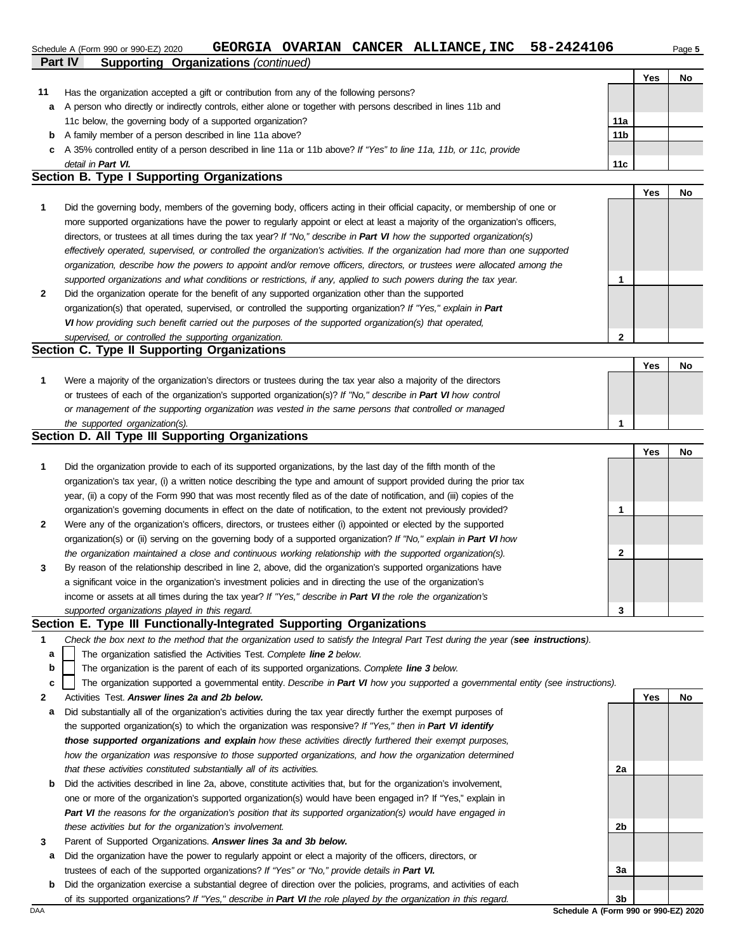### Schedule A (Form 990 or 990-EZ) 2020 **GEORGIA OVARIAN CANCER ALLIANCE, INC** 58-2424106 Page 5

|    | Part IV<br><b>Supporting Organizations (continued)</b>                                                             |                 |     |    |
|----|--------------------------------------------------------------------------------------------------------------------|-----------------|-----|----|
|    |                                                                                                                    |                 | Yes | No |
| 11 | Has the organization accepted a gift or contribution from any of the following persons?                            |                 |     |    |
| a  | A person who directly or indirectly controls, either alone or together with persons described in lines 11b and     |                 |     |    |
|    | 11c below, the governing body of a supported organization?                                                         | 11a             |     |    |
| b  | A family member of a person described in line 11a above?                                                           | 11 <sub>b</sub> |     |    |
| C. | A 35% controlled entity of a person described in line 11a or 11b above? If "Yes" to line 11a, 11b, or 11c, provide |                 |     |    |
|    | detail in Part VI.                                                                                                 | 11c             |     |    |

#### **Section B. Type I Supporting Organizations**

|                                                                                                                                |               | Yes | No |
|--------------------------------------------------------------------------------------------------------------------------------|---------------|-----|----|
| Did the governing body, members of the governing body, officers acting in their official capacity, or membership of one or     |               |     |    |
| more supported organizations have the power to regularly appoint or elect at least a majority of the organization's officers,  |               |     |    |
| directors, or trustees at all times during the tax year? If "No," describe in Part VI how the supported organization(s)        |               |     |    |
| effectively operated, supervised, or controlled the organization's activities. If the organization had more than one supported |               |     |    |
| organization, describe how the powers to appoint and/or remove officers, directors, or trustees were allocated among the       |               |     |    |
| supported organizations and what conditions or restrictions, if any, applied to such powers during the tax year.               |               |     |    |
| Did the organization operate for the benefit of any supported organization other than the supported                            |               |     |    |
| organization(s) that operated, supervised, or controlled the supporting organization? If "Yes," explain in Part                |               |     |    |
| VI how providing such benefit carried out the purposes of the supported organization(s) that operated,                         |               |     |    |
| supervised, or controlled the supporting organization.                                                                         | $\mathcal{P}$ |     |    |
| Section C. Type II Supporting Organizations                                                                                    |               |     |    |

#### Were a majority of the organization's directors or trustees during the tax year also a majority of the directors or trustees of each of the organization's supported organization(s)? *If "No," describe in Part VI how control* **1** *or management of the supporting organization was vested in the same persons that controlled or managed the supported organization(s).* **Yes No 1**

#### **Section D. All Type III Supporting Organizations**

|                |                                                                                                                        |   | Yes | No |
|----------------|------------------------------------------------------------------------------------------------------------------------|---|-----|----|
| 1              | Did the organization provide to each of its supported organizations, by the last day of the fifth month of the         |   |     |    |
|                | organization's tax year, (i) a written notice describing the type and amount of support provided during the prior tax  |   |     |    |
|                | year, (ii) a copy of the Form 990 that was most recently filed as of the date of notification, and (iii) copies of the |   |     |    |
|                | organization's governing documents in effect on the date of notification, to the extent not previously provided?       |   |     |    |
| $\overline{2}$ | Were any of the organization's officers, directors, or trustees either (i) appointed or elected by the supported       |   |     |    |
|                | organization(s) or (ii) serving on the governing body of a supported organization? If "No," explain in Part VI how     |   |     |    |
|                | the organization maintained a close and continuous working relationship with the supported organization(s).            | ົ |     |    |
| $\mathbf{3}$   | By reason of the relationship described in line 2, above, did the organization's supported organizations have          |   |     |    |
|                | a significant voice in the organization's investment policies and in directing the use of the organization's           |   |     |    |
|                | income or assets at all times during the tax year? If "Yes," describe in Part VI the role the organization's           |   |     |    |
|                | supported organizations played in this regard.                                                                         | 3 |     |    |

#### **Section E. Type III Functionally-Integrated Supporting Organizations**

| Check the box next to the method that the organization used to satisfy the Integral Part Test during the year (see instructions). |  |  |
|-----------------------------------------------------------------------------------------------------------------------------------|--|--|

- The organization satisfied the Activities Test. *Complete line 2 below.* **a**
- The organization is the parent of each of its supported organizations. *Complete line 3 below.* **b**

The organization supported a governmental entity. *Describe in Part VI how you supported a governmental entity (see instructions).* **c**

- **2** Activities Test. *Answer lines 2a and 2b below.*
- **a** Did substantially all of the organization's activities during the tax year directly further the exempt purposes of the supported organization(s) to which the organization was responsive? *If "Yes," then in Part VI identify those supported organizations and explain how these activities directly furthered their exempt purposes, how the organization was responsive to those supported organizations, and how the organization determined that these activities constituted substantially all of its activities.*
- **b** Did the activities described in line 2a, above, constitute activities that, but for the organization's involvement, one or more of the organization's supported organization(s) would have been engaged in? If "Yes," explain in *Part VI the reasons for the organization's position that its supported organization(s) would have engaged in these activities but for the organization's involvement.*
- **3** Parent of Supported Organizations. *Answer lines 3a and 3b below.*
- **a** Did the organization have the power to regularly appoint or elect a majority of the officers, directors, or trustees of each of the supported organizations? *If "Yes" or "No," provide details in Part VI.*
- **b** Did the organization exercise a substantial degree of direction over the policies, programs, and activities of each of its supported organizations? *If "Yes," describe in Part VI the role played by the organization in this regard.*

**Yes No 2a 2b 3a 3b**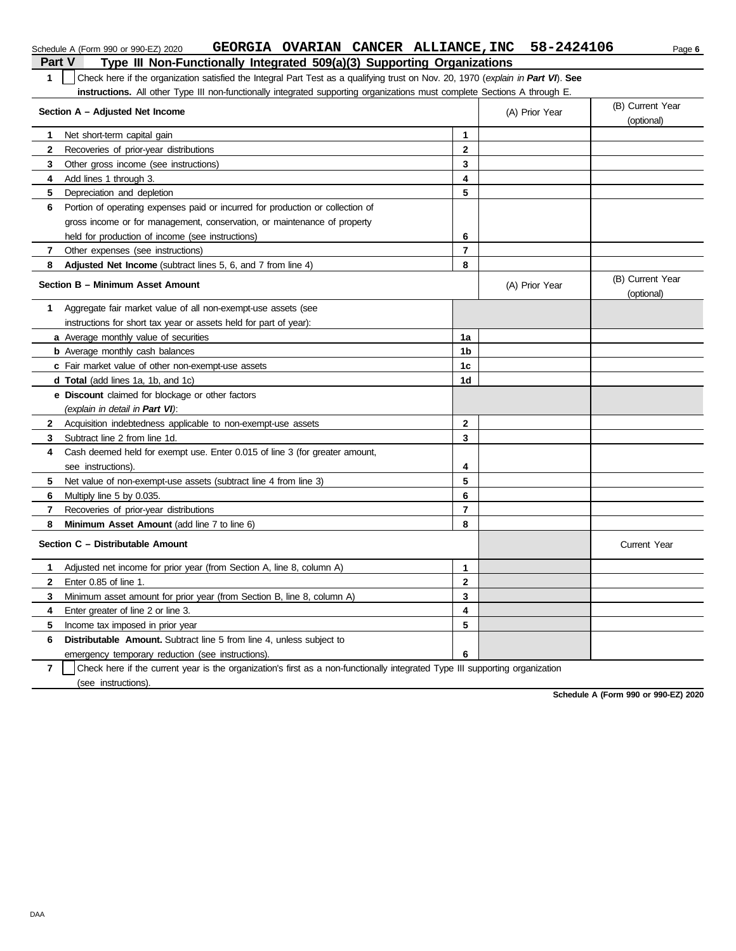| Part V         | Type III Non-Functionally Integrated 509(a)(3) Supporting Organizations                                                          |                |                |                                |  |  |  |
|----------------|----------------------------------------------------------------------------------------------------------------------------------|----------------|----------------|--------------------------------|--|--|--|
| 1.             | Check here if the organization satisfied the Integral Part Test as a qualifying trust on Nov. 20, 1970 (explain in Part VI). See |                |                |                                |  |  |  |
|                | instructions. All other Type III non-functionally integrated supporting organizations must complete Sections A through E.        |                |                |                                |  |  |  |
|                | Section A - Adjusted Net Income                                                                                                  |                | (A) Prior Year | (B) Current Year               |  |  |  |
|                |                                                                                                                                  |                |                | (optional)                     |  |  |  |
| 1              | Net short-term capital gain                                                                                                      | 1              |                |                                |  |  |  |
| $\mathbf{2}$   | Recoveries of prior-year distributions                                                                                           | $\mathbf{2}$   |                |                                |  |  |  |
| 3              | Other gross income (see instructions)                                                                                            | 3              |                |                                |  |  |  |
| 4              | Add lines 1 through 3.                                                                                                           | 4              |                |                                |  |  |  |
| 5              | Depreciation and depletion                                                                                                       | 5              |                |                                |  |  |  |
| 6              | Portion of operating expenses paid or incurred for production or collection of                                                   |                |                |                                |  |  |  |
|                | gross income or for management, conservation, or maintenance of property                                                         |                |                |                                |  |  |  |
|                | held for production of income (see instructions)                                                                                 | 6              |                |                                |  |  |  |
| 7              | Other expenses (see instructions)                                                                                                | $\overline{7}$ |                |                                |  |  |  |
| 8              | Adjusted Net Income (subtract lines 5, 6, and 7 from line 4)                                                                     | 8              |                |                                |  |  |  |
|                | Section B - Minimum Asset Amount                                                                                                 |                | (A) Prior Year | (B) Current Year<br>(optional) |  |  |  |
| 1              | Aggregate fair market value of all non-exempt-use assets (see                                                                    |                |                |                                |  |  |  |
|                | instructions for short tax year or assets held for part of year):                                                                |                |                |                                |  |  |  |
|                | a Average monthly value of securities                                                                                            | 1a             |                |                                |  |  |  |
|                | <b>b</b> Average monthly cash balances                                                                                           | 1b             |                |                                |  |  |  |
|                | c Fair market value of other non-exempt-use assets                                                                               | 1 <sub>c</sub> |                |                                |  |  |  |
|                | <b>d Total</b> (add lines 1a, 1b, and 1c)                                                                                        | 1d             |                |                                |  |  |  |
|                | e Discount claimed for blockage or other factors                                                                                 |                |                |                                |  |  |  |
|                | (explain in detail in Part VI):                                                                                                  |                |                |                                |  |  |  |
| $\mathbf{2}$   | Acquisition indebtedness applicable to non-exempt-use assets                                                                     | $\mathbf{2}$   |                |                                |  |  |  |
| 3              | Subtract line 2 from line 1d.                                                                                                    | 3              |                |                                |  |  |  |
| 4              | Cash deemed held for exempt use. Enter 0.015 of line 3 (for greater amount,                                                      |                |                |                                |  |  |  |
|                | see instructions).                                                                                                               | 4              |                |                                |  |  |  |
| 5              | Net value of non-exempt-use assets (subtract line 4 from line 3)                                                                 | 5              |                |                                |  |  |  |
| 6              | Multiply line 5 by 0.035.                                                                                                        | 6              |                |                                |  |  |  |
| 7              | Recoveries of prior-year distributions                                                                                           | $\overline{7}$ |                |                                |  |  |  |
| 8              | Minimum Asset Amount (add line 7 to line 6)                                                                                      | 8              |                |                                |  |  |  |
|                | Section C - Distributable Amount                                                                                                 |                |                | <b>Current Year</b>            |  |  |  |
| 1              | Adjusted net income for prior year (from Section A, line 8, column A)                                                            | 1              |                |                                |  |  |  |
| $\mathbf{2}$   | Enter 0.85 of line 1.                                                                                                            | $\mathbf{2}$   |                |                                |  |  |  |
| 3              | Minimum asset amount for prior year (from Section B, line 8, column A)                                                           | 3              |                |                                |  |  |  |
| 4              | Enter greater of line 2 or line 3.                                                                                               | 4              |                |                                |  |  |  |
| 5              | Income tax imposed in prior year                                                                                                 | 5              |                |                                |  |  |  |
| 6              | <b>Distributable Amount.</b> Subtract line 5 from line 4, unless subject to                                                      |                |                |                                |  |  |  |
|                | emergency temporary reduction (see instructions).                                                                                | 6              |                |                                |  |  |  |
| $\overline{7}$ | Check here if the current year is the organization's first as a non-functionally integrated Type III supporting organization     |                |                |                                |  |  |  |

**Schedule A (Form 990 or 990-EZ) 2020**

Schedule A (Form 990 or 990-EZ) 2020 **GEORGIA OVARIAN CANCER ALLIANCE, INC** 58-2424106 Page 6

(see instructions).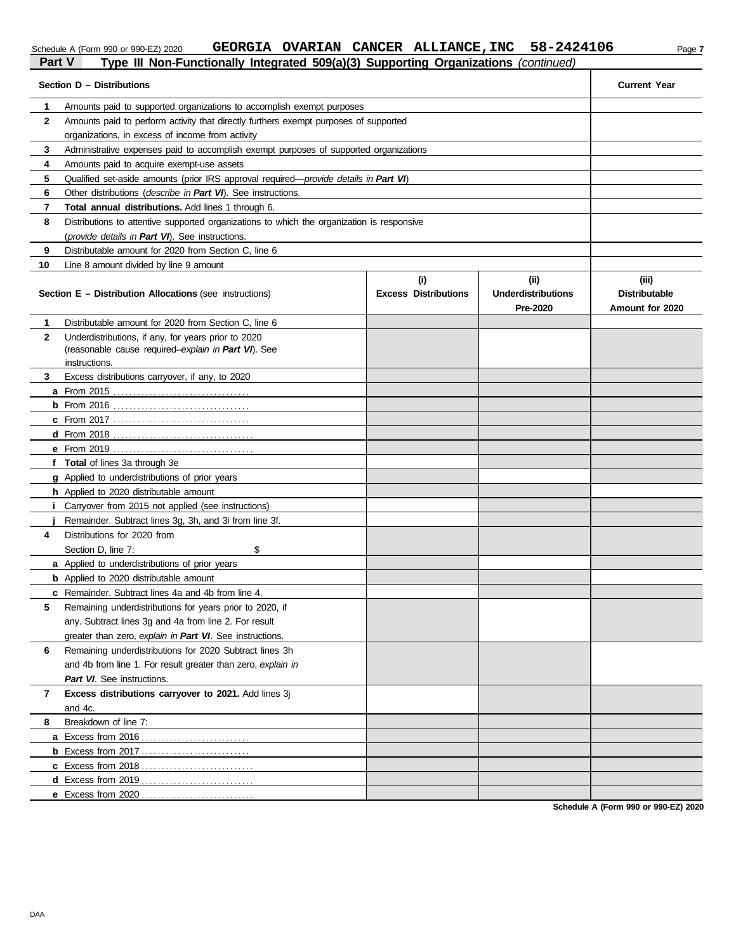# Schedule A (Form 990 or 990-EZ) 2020 **GEORGIA OVARIAN CANCER ALLIANCE, INC** 58-2424106 Page 7

# **Part V Type III Non-Functionally Integrated 509(a)(3) Supporting Organizations** *(continued)* **Part V Type III Non-Functionally Integrated 509(a)(3) Supporting Organizations** *(continued)*

|              | Section D - Distributions                                                                                                                  |                                    |                                                | <b>Current Year</b>                              |
|--------------|--------------------------------------------------------------------------------------------------------------------------------------------|------------------------------------|------------------------------------------------|--------------------------------------------------|
|              |                                                                                                                                            |                                    |                                                |                                                  |
| 1            | Amounts paid to supported organizations to accomplish exempt purposes                                                                      |                                    |                                                |                                                  |
| $\mathbf{2}$ | Amounts paid to perform activity that directly furthers exempt purposes of supported                                                       |                                    |                                                |                                                  |
|              | organizations, in excess of income from activity                                                                                           |                                    |                                                |                                                  |
| 3            | Administrative expenses paid to accomplish exempt purposes of supported organizations                                                      |                                    |                                                |                                                  |
| 4<br>5       | Amounts paid to acquire exempt-use assets<br>Qualified set-aside amounts (prior IRS approval required— <i>provide details in Part VI</i> ) |                                    |                                                |                                                  |
| 6            |                                                                                                                                            |                                    |                                                |                                                  |
| 7            | Other distributions ( <i>describe in Part VI</i> ). See instructions.<br>Total annual distributions. Add lines 1 through 6.                |                                    |                                                |                                                  |
| 8            |                                                                                                                                            |                                    |                                                |                                                  |
|              | Distributions to attentive supported organizations to which the organization is responsive                                                 |                                    |                                                |                                                  |
| 9            | (provide details in Part VI). See instructions.<br>Distributable amount for 2020 from Section C, line 6                                    |                                    |                                                |                                                  |
| 10           | Line 8 amount divided by line 9 amount                                                                                                     |                                    |                                                |                                                  |
|              |                                                                                                                                            |                                    |                                                |                                                  |
|              | <b>Section E - Distribution Allocations (see instructions)</b>                                                                             | (i)<br><b>Excess Distributions</b> | (iii)<br><b>Underdistributions</b><br>Pre-2020 | (iii)<br><b>Distributable</b><br>Amount for 2020 |
| 1.           | Distributable amount for 2020 from Section C, line 6                                                                                       |                                    |                                                |                                                  |
| 2            | Underdistributions, if any, for years prior to 2020                                                                                        |                                    |                                                |                                                  |
|              | (reasonable cause required-explain in Part VI). See                                                                                        |                                    |                                                |                                                  |
|              | instructions.                                                                                                                              |                                    |                                                |                                                  |
| 3            | Excess distributions carryover, if any, to 2020                                                                                            |                                    |                                                |                                                  |
|              |                                                                                                                                            |                                    |                                                |                                                  |
|              |                                                                                                                                            |                                    |                                                |                                                  |
|              |                                                                                                                                            |                                    |                                                |                                                  |
|              |                                                                                                                                            |                                    |                                                |                                                  |
|              |                                                                                                                                            |                                    |                                                |                                                  |
|              | f Total of lines 3a through 3e                                                                                                             |                                    |                                                |                                                  |
|              | <b>g</b> Applied to underdistributions of prior years<br><b>h</b> Applied to 2020 distributable amount                                     |                                    |                                                |                                                  |
|              | Carryover from 2015 not applied (see instructions)                                                                                         |                                    |                                                |                                                  |
|              | Remainder. Subtract lines 3g, 3h, and 3i from line 3f.                                                                                     |                                    |                                                |                                                  |
| 4            | Distributions for 2020 from                                                                                                                |                                    |                                                |                                                  |
|              | \$<br>Section D, line 7:                                                                                                                   |                                    |                                                |                                                  |
|              | <b>a</b> Applied to underdistributions of prior years                                                                                      |                                    |                                                |                                                  |
|              | <b>b</b> Applied to 2020 distributable amount                                                                                              |                                    |                                                |                                                  |
|              | <b>c</b> Remainder. Subtract lines 4a and 4b from line 4.                                                                                  |                                    |                                                |                                                  |
|              | Remaining underdistributions for years prior to 2020, if                                                                                   |                                    |                                                |                                                  |
|              | any. Subtract lines 3g and 4a from line 2. For result                                                                                      |                                    |                                                |                                                  |
|              | greater than zero, explain in Part VI. See instructions.                                                                                   |                                    |                                                |                                                  |
| 6            | Remaining underdistributions for 2020 Subtract lines 3h                                                                                    |                                    |                                                |                                                  |
|              | and 4b from line 1. For result greater than zero, explain in                                                                               |                                    |                                                |                                                  |
|              | Part VI. See instructions.                                                                                                                 |                                    |                                                |                                                  |
| 7            | Excess distributions carryover to 2021. Add lines 3j                                                                                       |                                    |                                                |                                                  |
|              | and 4c.                                                                                                                                    |                                    |                                                |                                                  |
| 8            | Breakdown of line 7:                                                                                                                       |                                    |                                                |                                                  |
|              |                                                                                                                                            |                                    |                                                |                                                  |
|              | <b>b</b> Excess from 2017                                                                                                                  |                                    |                                                |                                                  |
|              |                                                                                                                                            |                                    |                                                |                                                  |
|              |                                                                                                                                            |                                    |                                                |                                                  |
|              |                                                                                                                                            |                                    |                                                |                                                  |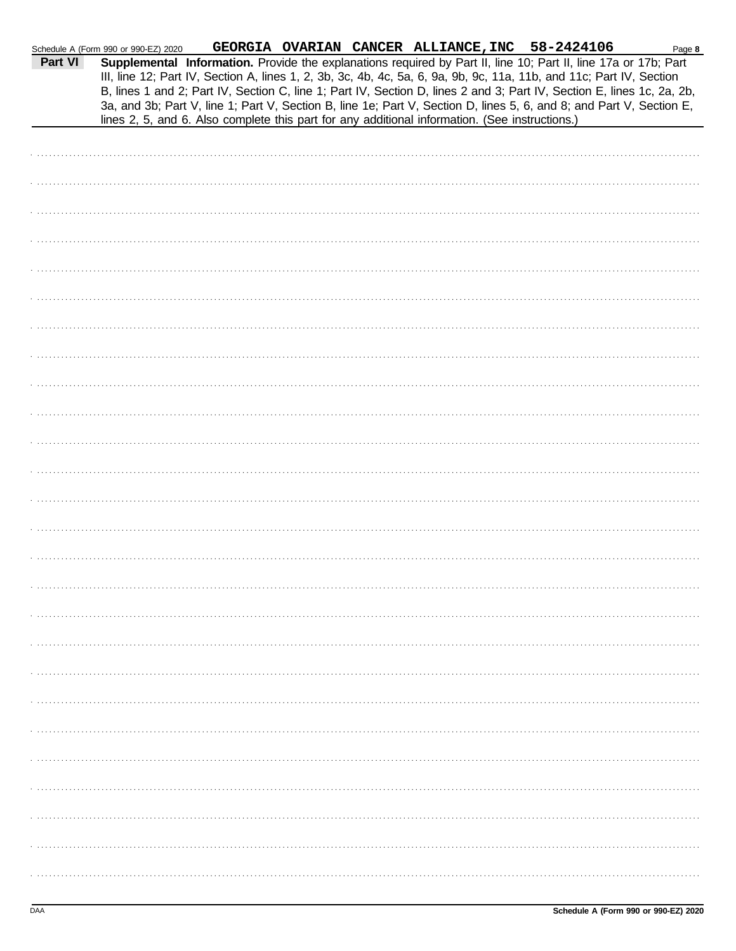|         | Schedule A (Form 990 or 990-EZ) 2020 |  | GEORGIA OVARIAN CANCER ALLIANCE, INC 58-2424106                                                |                                                                                                                                                                                                                                                                                                                                                                                                                                                                                           | Page 8 |
|---------|--------------------------------------|--|------------------------------------------------------------------------------------------------|-------------------------------------------------------------------------------------------------------------------------------------------------------------------------------------------------------------------------------------------------------------------------------------------------------------------------------------------------------------------------------------------------------------------------------------------------------------------------------------------|--------|
| Part VI |                                      |  | lines 2, 5, and 6. Also complete this part for any additional information. (See instructions.) | Supplemental Information. Provide the explanations required by Part II, line 10; Part II, line 17a or 17b; Part<br>III, line 12; Part IV, Section A, lines 1, 2, 3b, 3c, 4b, 4c, 5a, 6, 9a, 9b, 9c, 11a, 11b, and 11c; Part IV, Section<br>B, lines 1 and 2; Part IV, Section C, line 1; Part IV, Section D, lines 2 and 3; Part IV, Section E, lines 1c, 2a, 2b,<br>3a, and 3b; Part V, line 1; Part V, Section B, line 1e; Part V, Section D, lines 5, 6, and 8; and Part V, Section E, |        |
|         |                                      |  |                                                                                                |                                                                                                                                                                                                                                                                                                                                                                                                                                                                                           |        |
|         |                                      |  |                                                                                                |                                                                                                                                                                                                                                                                                                                                                                                                                                                                                           |        |
|         |                                      |  |                                                                                                |                                                                                                                                                                                                                                                                                                                                                                                                                                                                                           |        |
|         |                                      |  |                                                                                                |                                                                                                                                                                                                                                                                                                                                                                                                                                                                                           |        |
|         |                                      |  |                                                                                                |                                                                                                                                                                                                                                                                                                                                                                                                                                                                                           |        |
|         |                                      |  |                                                                                                |                                                                                                                                                                                                                                                                                                                                                                                                                                                                                           |        |
|         |                                      |  |                                                                                                |                                                                                                                                                                                                                                                                                                                                                                                                                                                                                           |        |
|         |                                      |  |                                                                                                |                                                                                                                                                                                                                                                                                                                                                                                                                                                                                           |        |
|         |                                      |  |                                                                                                |                                                                                                                                                                                                                                                                                                                                                                                                                                                                                           |        |
|         |                                      |  |                                                                                                |                                                                                                                                                                                                                                                                                                                                                                                                                                                                                           |        |
|         |                                      |  |                                                                                                |                                                                                                                                                                                                                                                                                                                                                                                                                                                                                           |        |
|         |                                      |  |                                                                                                |                                                                                                                                                                                                                                                                                                                                                                                                                                                                                           |        |
|         |                                      |  |                                                                                                |                                                                                                                                                                                                                                                                                                                                                                                                                                                                                           |        |
|         |                                      |  |                                                                                                |                                                                                                                                                                                                                                                                                                                                                                                                                                                                                           |        |
|         |                                      |  |                                                                                                |                                                                                                                                                                                                                                                                                                                                                                                                                                                                                           |        |
|         |                                      |  |                                                                                                |                                                                                                                                                                                                                                                                                                                                                                                                                                                                                           |        |
|         |                                      |  |                                                                                                |                                                                                                                                                                                                                                                                                                                                                                                                                                                                                           |        |
|         |                                      |  |                                                                                                |                                                                                                                                                                                                                                                                                                                                                                                                                                                                                           |        |
|         |                                      |  |                                                                                                |                                                                                                                                                                                                                                                                                                                                                                                                                                                                                           |        |
|         |                                      |  |                                                                                                |                                                                                                                                                                                                                                                                                                                                                                                                                                                                                           |        |
|         |                                      |  |                                                                                                |                                                                                                                                                                                                                                                                                                                                                                                                                                                                                           |        |
|         |                                      |  |                                                                                                |                                                                                                                                                                                                                                                                                                                                                                                                                                                                                           |        |
|         |                                      |  |                                                                                                |                                                                                                                                                                                                                                                                                                                                                                                                                                                                                           |        |
|         |                                      |  |                                                                                                |                                                                                                                                                                                                                                                                                                                                                                                                                                                                                           |        |
|         |                                      |  |                                                                                                |                                                                                                                                                                                                                                                                                                                                                                                                                                                                                           |        |
|         |                                      |  |                                                                                                |                                                                                                                                                                                                                                                                                                                                                                                                                                                                                           |        |
|         |                                      |  |                                                                                                |                                                                                                                                                                                                                                                                                                                                                                                                                                                                                           |        |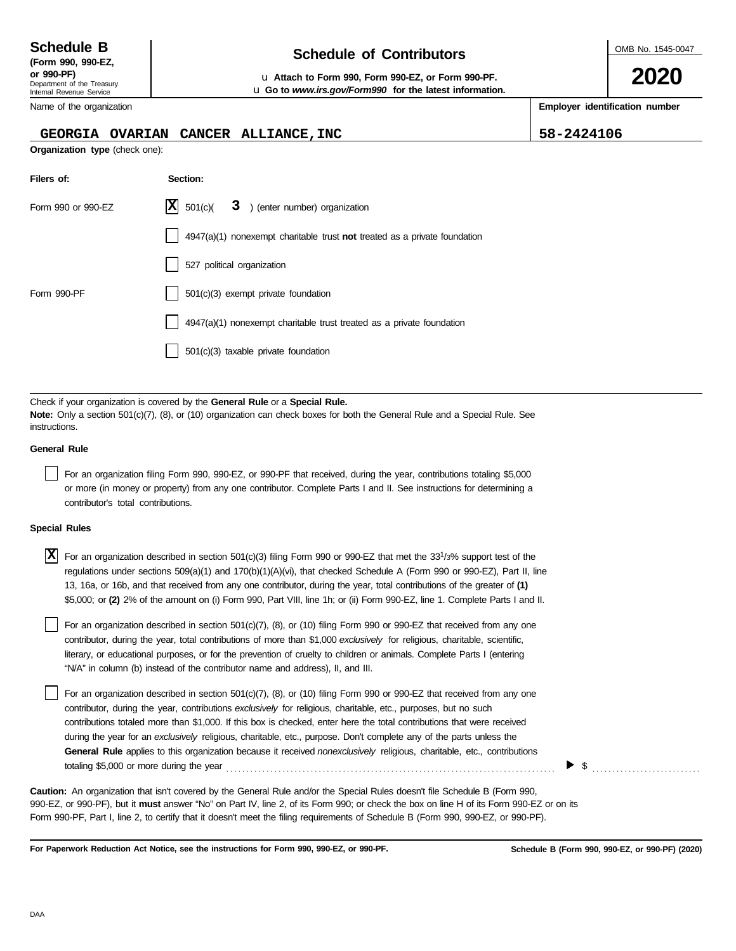| --------              |  |
|-----------------------|--|
| (Form 990, 990-EZ,    |  |
| $or$ QQ $\Omega$ -PF) |  |

Department of the Treasury

# **Schedule of Contributors Schedule B**

**or 990-PF)** u **Attach to Form 990, Form 990-EZ, or Form 990-PF.** u **Go to** *www.irs.gov/Form990* **for the latest information.**

Internal Revenue Service Name of the organization

#### **GEORGIA OVARIAN CANCER ALLIANCE,INC 58-2424106**

**Organization type** (check one):

| Filers of:         | Section:                                                                    |
|--------------------|-----------------------------------------------------------------------------|
| Form 990 or 990-EZ | $\vert$ <b>X</b> $501(c)$<br>3 ) (enter number) organization                |
|                    | $4947(a)(1)$ nonexempt charitable trust not treated as a private foundation |
|                    | 527 political organization                                                  |
| Form 990-PF        | $501(c)(3)$ exempt private foundation                                       |
|                    | $4947(a)(1)$ nonexempt charitable trust treated as a private foundation     |
|                    | $501(c)(3)$ taxable private foundation                                      |

Check if your organization is covered by the **General Rule** or a **Special Rule. Note:** Only a section 501(c)(7), (8), or (10) organization can check boxes for both the General Rule and a Special Rule. See instructions.

#### **General Rule**

For an organization filing Form 990, 990-EZ, or 990-PF that received, during the year, contributions totaling \$5,000 or more (in money or property) from any one contributor. Complete Parts I and II. See instructions for determining a contributor's total contributions.

#### **Special Rules**

X For an organization described in section 501(c)(3) filing Form 990 or 990-EZ that met the 33<sup>1</sup>/3% support test of the regulations under sections 509(a)(1) and 170(b)(1)(A)(vi), that checked Schedule A (Form 990 or 990-EZ), Part II, line 13, 16a, or 16b, and that received from any one contributor, during the year, total contributions of the greater of **(1)** \$5,000; or **(2)** 2% of the amount on (i) Form 990, Part VIII, line 1h; or (ii) Form 990-EZ, line 1. Complete Parts I and II.

literary, or educational purposes, or for the prevention of cruelty to children or animals. Complete Parts I (entering For an organization described in section 501(c)(7), (8), or (10) filing Form 990 or 990-EZ that received from any one contributor, during the year, total contributions of more than \$1,000 *exclusively* for religious, charitable, scientific, "N/A" in column (b) instead of the contributor name and address), II, and III.

For an organization described in section 501(c)(7), (8), or (10) filing Form 990 or 990-EZ that received from any one contributor, during the year, contributions *exclusively* for religious, charitable, etc., purposes, but no such contributions totaled more than \$1,000. If this box is checked, enter here the total contributions that were received during the year for an *exclusively* religious, charitable, etc., purpose. Don't complete any of the parts unless the **General Rule** applies to this organization because it received *nonexclusively* religious, charitable, etc., contributions totaling \$5,000 or more during the year . . . . . . . . . . . . . . . . . . . . . . . . . . . . . . . . . . . . . . . . . . . . . . . . . . . . . . . . . . . . . . . . . . . . . . . . . . . . . . . . . .

990-EZ, or 990-PF), but it **must** answer "No" on Part IV, line 2, of its Form 990; or check the box on line H of its Form 990-EZ or on its Form 990-PF, Part I, line 2, to certify that it doesn't meet the filing requirements of Schedule B (Form 990, 990-EZ, or 990-PF). **Caution:** An organization that isn't covered by the General Rule and/or the Special Rules doesn't file Schedule B (Form 990,

**For Paperwork Reduction Act Notice, see the instructions for Form 990, 990-EZ, or 990-PF.**

\$ . . . . . . . . . . . . . . . . . . . . . . . . . . .



**2020**

**Employer identification number**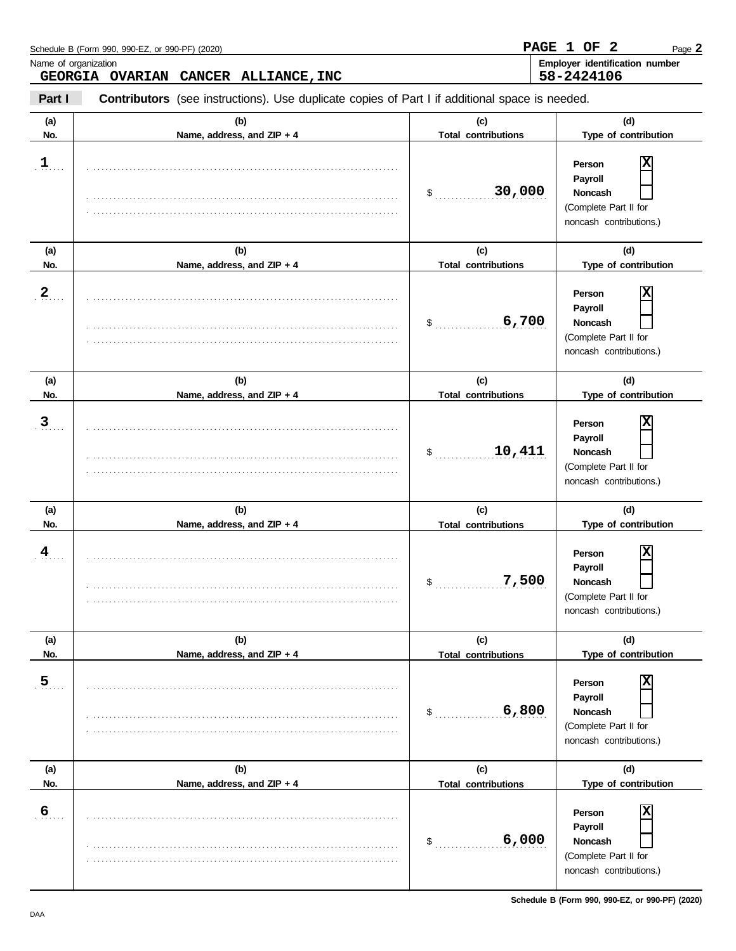| Name of organization    | Schedule B (Form 990, 990-EZ, or 990-PF) (2020)                                                                                        |                                   | $\overline{\mathbf{2}}$<br>PAGE 1 OF<br>Page 2<br>Employer identification number                |
|-------------------------|----------------------------------------------------------------------------------------------------------------------------------------|-----------------------------------|-------------------------------------------------------------------------------------------------|
| Part I                  | GEORGIA OVARIAN CANCER ALLIANCE, INC<br>Contributors (see instructions). Use duplicate copies of Part I if additional space is needed. |                                   | 58-2424106                                                                                      |
| (a)<br>No.              | (b)<br>Name, address, and ZIP + 4                                                                                                      | (c)<br><b>Total contributions</b> | (d)<br>Type of contribution                                                                     |
| $\frac{1}{n}$           |                                                                                                                                        | 30,000<br>$\mathsf{\$}$           | X<br>Person<br>Payroll<br>Noncash<br>(Complete Part II for<br>noncash contributions.)           |
| (a)                     | (b)                                                                                                                                    | (c)                               | (d)                                                                                             |
| No.                     | Name, address, and ZIP + 4                                                                                                             | <b>Total contributions</b>        | Type of contribution                                                                            |
| $\overline{2}$          |                                                                                                                                        | 6,700<br>\$                       | Х<br>Person<br>Payroll<br>Noncash<br>(Complete Part II for<br>noncash contributions.)           |
| (a)                     | (b)                                                                                                                                    | (c)                               | (d)                                                                                             |
| No.                     | Name, address, and ZIP + 4                                                                                                             | <b>Total contributions</b>        | Type of contribution                                                                            |
| $\overline{3}$          |                                                                                                                                        | 10,411<br>\$                      | X<br>Person<br>Payroll<br>Noncash<br>(Complete Part II for<br>noncash contributions.)           |
| (a)                     | (b)                                                                                                                                    | (c)                               | (d)                                                                                             |
| No.                     | Name, address, and ZIP + 4                                                                                                             | <b>Total contributions</b>        | Type of contribution                                                                            |
| $\overline{\mathbf{4}}$ |                                                                                                                                        | 7,500<br>P.                       | X<br>Person<br>Payroll<br>Noncash<br>$\Box$<br>(Complete Part II for<br>noncash contributions.) |
| (a)                     | (b)                                                                                                                                    | (c)                               | (d)                                                                                             |
| No.                     | Name, address, and ZIP + 4                                                                                                             | <b>Total contributions</b>        | Type of contribution                                                                            |
| $\overline{5}$          |                                                                                                                                        | 6,800<br>\$                       | Χ<br>Person<br>Payroll<br><b>Noncash</b><br>(Complete Part II for<br>noncash contributions.)    |
| (a)                     | (b)                                                                                                                                    | (c)                               | (d)                                                                                             |
| No.                     | Name, address, and ZIP + 4                                                                                                             | <b>Total contributions</b>        | Type of contribution                                                                            |
| $\overline{6}$          |                                                                                                                                        | 6,000<br>\$                       | Χ<br>Person<br>Payroll<br><b>Noncash</b><br>(Complete Part II for<br>noncash contributions.)    |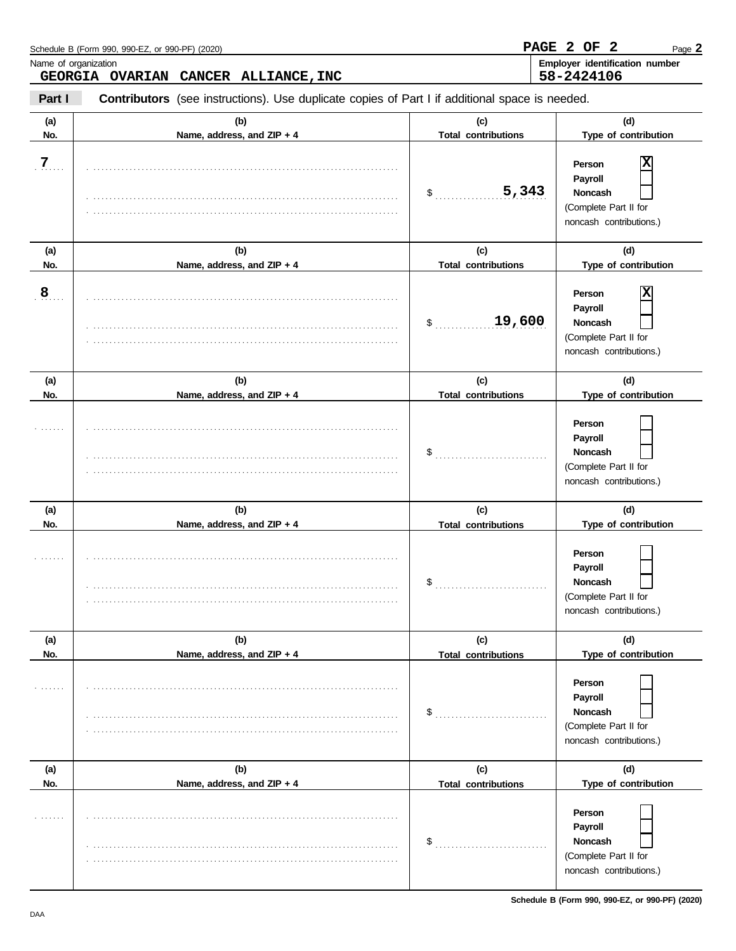|                      | Schedule B (Form 990, 990-EZ, or 990-PF) (2020)                                                |                                   | PAGE 2 OF 2<br>Page 2                                                                                        |
|----------------------|------------------------------------------------------------------------------------------------|-----------------------------------|--------------------------------------------------------------------------------------------------------------|
| Name of organization | GEORGIA OVARIAN CANCER ALLIANCE, INC                                                           |                                   | Employer identification number<br>58-2424106                                                                 |
| Part I               | Contributors (see instructions). Use duplicate copies of Part I if additional space is needed. |                                   |                                                                                                              |
| (a)<br>No.           | (b)<br>Name, address, and ZIP + 4                                                              | (c)<br><b>Total contributions</b> | (d)<br>Type of contribution                                                                                  |
| $\overline{7}$       |                                                                                                | 5,343<br>$\frac{1}{2}$            | Χ<br>Person<br>Payroll<br>Noncash<br>(Complete Part II for<br>noncash contributions.)                        |
| (a)                  | (b)                                                                                            | (c)                               | (d)                                                                                                          |
| No.                  | Name, address, and ZIP + 4                                                                     | <b>Total contributions</b>        | Type of contribution                                                                                         |
| $\overline{8}$       |                                                                                                | 19,600<br>\$                      | х<br>Person<br>Payroll<br>Noncash<br>(Complete Part II for<br>noncash contributions.)                        |
| (a)                  | (b)                                                                                            | (c)                               | (d)                                                                                                          |
| No.                  | Name, address, and ZIP + 4                                                                     | <b>Total contributions</b>        | Type of contribution                                                                                         |
|                      |                                                                                                | \$                                | Person<br>Payroll<br>Noncash<br>(Complete Part II for<br>noncash contributions.)                             |
| (a)                  | (b)                                                                                            | (c)                               | (d)                                                                                                          |
| No.                  | Name, address, and ZIP + 4                                                                     | <b>Total contributions</b>        | Type of contribution                                                                                         |
|                      |                                                                                                | $\mathbbmss{S}$ , , , , , , ,     | Person<br>Payroll<br>Noncash<br>$\overline{\phantom{a}}$<br>(Complete Part II for<br>noncash contributions.) |
| (a)                  | (b)                                                                                            | (c)                               | (d)                                                                                                          |
| No.                  | Name, address, and ZIP + 4                                                                     | <b>Total contributions</b>        | Type of contribution                                                                                         |
|                      |                                                                                                | \$                                | Person<br>Payroll<br><b>Noncash</b><br>(Complete Part II for<br>noncash contributions.)                      |
| (a)                  | (b)                                                                                            | (c)                               | (d)                                                                                                          |
| No.                  | Name, address, and ZIP + 4                                                                     | <b>Total contributions</b>        | Type of contribution                                                                                         |
|                      |                                                                                                | \$                                | Person<br>Payroll<br><b>Noncash</b><br>(Complete Part II for<br>noncash contributions.)                      |

**Schedule B (Form 990, 990-EZ, or 990-PF) (2020)**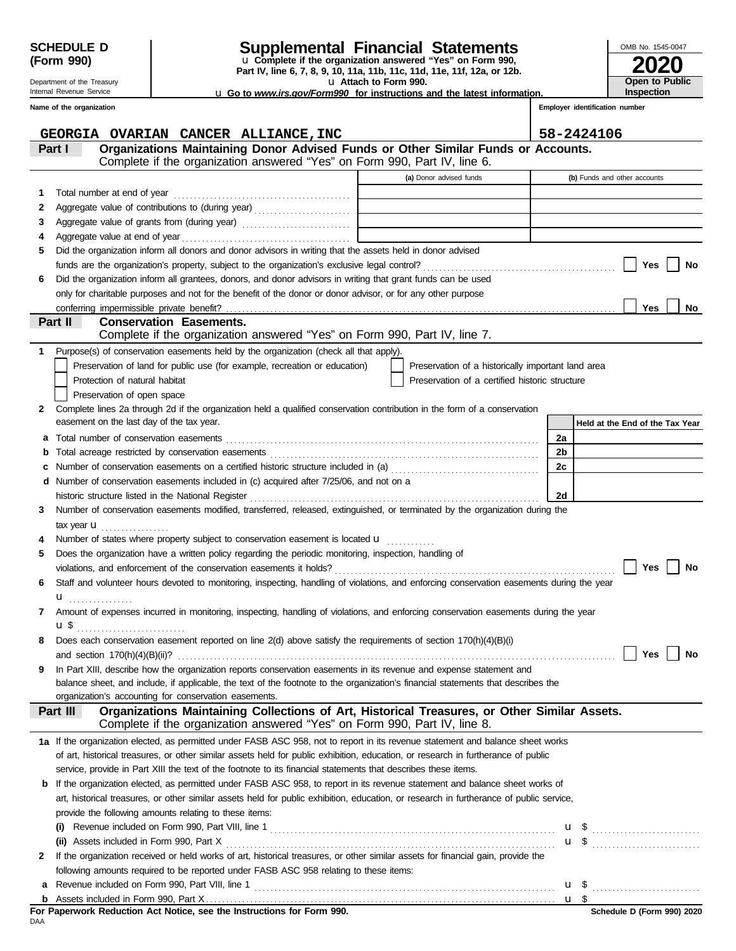| SCHEDULE D |  |
|------------|--|
| (Form 990) |  |

Department of the Treasury Internal Revenue Service **Name of the organization**

# **SCHEDULE D Supplemental Financial Statements**

u **Attach to Form 990. Part IV, line 6, 7, 8, 9, 10, 11a, 11b, 11c, 11d, 11e, 11f, 12a, or 12b.** u **Complete if the organization answered "Yes" on Form 990,**

u **Go to** *www.irs.gov/Form990* **for instructions and the latest information.**

| OMB No. 1545-0047 |
|-------------------|
| <b>2020</b>       |
|                   |
| Open to Public    |
| Inspection        |

**Employer identification number**

|    | GEORGIA OVARIAN CANCER ALLIANCE, INC                                                                                                                                               |                                                                            | 58-2424106                      |
|----|------------------------------------------------------------------------------------------------------------------------------------------------------------------------------------|----------------------------------------------------------------------------|---------------------------------|
|    | Organizations Maintaining Donor Advised Funds or Other Similar Funds or Accounts.<br>Part I                                                                                        |                                                                            |                                 |
|    | Complete if the organization answered "Yes" on Form 990, Part IV, line 6.                                                                                                          |                                                                            |                                 |
|    |                                                                                                                                                                                    | (a) Donor advised funds                                                    | (b) Funds and other accounts    |
| 1  | Total number at end of year                                                                                                                                                        |                                                                            |                                 |
| 2  | Aggregate value of contributions to (during year)                                                                                                                                  | the control of the control of the control of the control of the control of |                                 |
| 3  | Aggregate value of grants from (during year)                                                                                                                                       |                                                                            |                                 |
| 4  |                                                                                                                                                                                    |                                                                            |                                 |
| 5. | Did the organization inform all donors and donor advisors in writing that the assets held in donor advised                                                                         |                                                                            |                                 |
|    |                                                                                                                                                                                    |                                                                            | <b>Yes</b><br>No                |
| 6  | Did the organization inform all grantees, donors, and donor advisors in writing that grant funds can be used                                                                       |                                                                            |                                 |
|    | only for charitable purposes and not for the benefit of the donor or donor advisor, or for any other purpose                                                                       |                                                                            |                                 |
|    |                                                                                                                                                                                    |                                                                            | <b>Yes</b><br>No                |
|    | Part II<br><b>Conservation Easements.</b><br>Complete if the organization answered "Yes" on Form 990, Part IV, line 7.                                                             |                                                                            |                                 |
|    |                                                                                                                                                                                    |                                                                            |                                 |
| 1. | Purpose(s) of conservation easements held by the organization (check all that apply).                                                                                              |                                                                            |                                 |
|    | Preservation of land for public use (for example, recreation or education)                                                                                                         | Preservation of a historically important land area                         |                                 |
|    | Protection of natural habitat                                                                                                                                                      | Preservation of a certified historic structure                             |                                 |
|    | Preservation of open space                                                                                                                                                         |                                                                            |                                 |
| 2  | Complete lines 2a through 2d if the organization held a qualified conservation contribution in the form of a conservation<br>easement on the last day of the tax year.             |                                                                            |                                 |
|    |                                                                                                                                                                                    |                                                                            | Held at the End of the Tax Year |
| а  |                                                                                                                                                                                    |                                                                            | 2a                              |
| b  |                                                                                                                                                                                    |                                                                            | 2b                              |
| c  |                                                                                                                                                                                    |                                                                            | 2c                              |
| d  | Number of conservation easements included in (c) acquired after 7/25/06, and not on a                                                                                              |                                                                            |                                 |
|    | historic structure listed in the National Register<br>Number of conservation easements modified, transferred, released, extinguished, or terminated by the organization during the |                                                                            | 2d                              |
| 3  |                                                                                                                                                                                    |                                                                            |                                 |
|    | tax year <b>u</b><br>.                                                                                                                                                             |                                                                            |                                 |
|    | Number of states where property subject to conservation easement is located <b>u</b>                                                                                               |                                                                            |                                 |
| 5  | Does the organization have a written policy regarding the periodic monitoring, inspection, handling of                                                                             |                                                                            | Yes<br><b>No</b>                |
|    |                                                                                                                                                                                    |                                                                            |                                 |
| 6  | Staff and volunteer hours devoted to monitoring, inspecting, handling of violations, and enforcing conservation easements during the year                                          |                                                                            |                                 |
| 7  | u<br>. <b>.</b> .<br>Amount of expenses incurred in monitoring, inspecting, handling of violations, and enforcing conservation easements during the year                           |                                                                            |                                 |
|    | u \$                                                                                                                                                                               |                                                                            |                                 |
|    | Does each conservation easement reported on line $2(d)$ above satisfy the requirements of section $170(h)(4)(B)(i)$                                                                |                                                                            |                                 |
|    | and section $170(h)(4)(B)(ii)?$                                                                                                                                                    |                                                                            | Yes<br>No                       |
| 9  | In Part XIII, describe how the organization reports conservation easements in its revenue and expense statement and                                                                |                                                                            |                                 |
|    | balance sheet, and include, if applicable, the text of the footnote to the organization's financial statements that describes the                                                  |                                                                            |                                 |
|    | organization's accounting for conservation easements.                                                                                                                              |                                                                            |                                 |
|    | Organizations Maintaining Collections of Art, Historical Treasures, or Other Similar Assets.<br>Part III                                                                           |                                                                            |                                 |
|    | Complete if the organization answered "Yes" on Form 990, Part IV, line 8.                                                                                                          |                                                                            |                                 |
|    | 1a If the organization elected, as permitted under FASB ASC 958, not to report in its revenue statement and balance sheet works                                                    |                                                                            |                                 |
|    | of art, historical treasures, or other similar assets held for public exhibition, education, or research in furtherance of public                                                  |                                                                            |                                 |
|    | service, provide in Part XIII the text of the footnote to its financial statements that describes these items.                                                                     |                                                                            |                                 |
| b  | If the organization elected, as permitted under FASB ASC 958, to report in its revenue statement and balance sheet works of                                                        |                                                                            |                                 |
|    | art, historical treasures, or other similar assets held for public exhibition, education, or research in furtherance of public service,                                            |                                                                            |                                 |
|    | provide the following amounts relating to these items:                                                                                                                             |                                                                            |                                 |
|    | (i)                                                                                                                                                                                |                                                                            | $\mathbf{u}$ \$                 |
|    |                                                                                                                                                                                    |                                                                            | $\mathbf{u}$ \$                 |
| 2  | If the organization received or held works of art, historical treasures, or other similar assets for financial gain, provide the                                                   |                                                                            |                                 |
|    | following amounts required to be reported under FASB ASC 958 relating to these items:                                                                                              |                                                                            |                                 |
| a  |                                                                                                                                                                                    |                                                                            |                                 |
| b  |                                                                                                                                                                                    |                                                                            |                                 |

DAA **For Paperwork Reduction Act Notice, see the Instructions for Form 990.**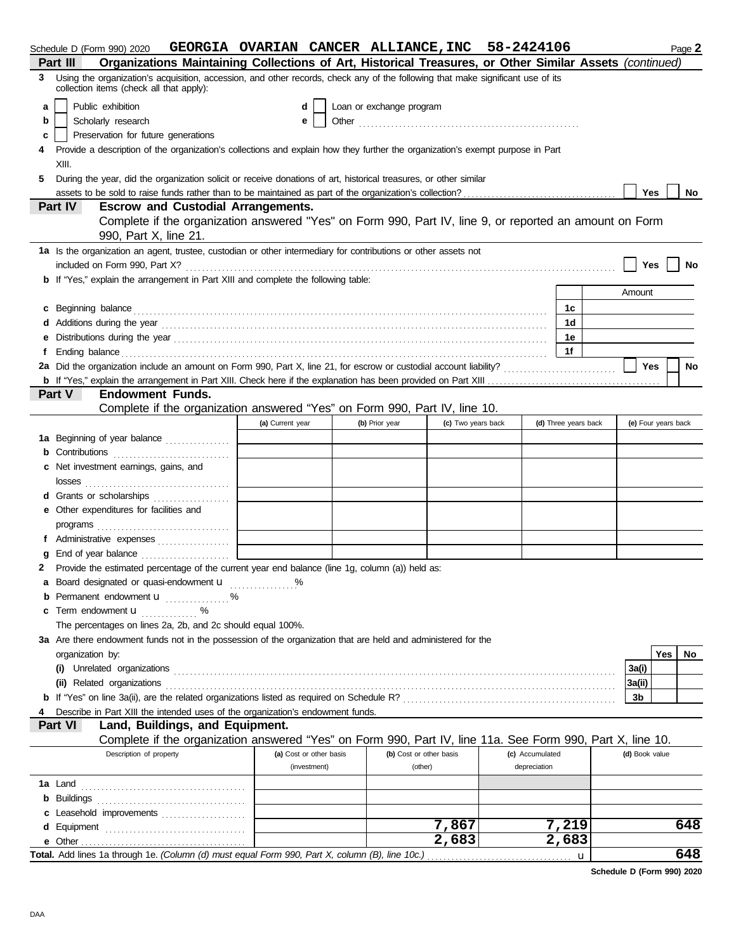|    | Schedule D (Form 990) 2020                                                                                                                                                                                                     | GEORGIA OVARIAN CANCER ALLIANCE, INC 58-2424106 |                          |                    |                 |                      |                | Page 2              |  |
|----|--------------------------------------------------------------------------------------------------------------------------------------------------------------------------------------------------------------------------------|-------------------------------------------------|--------------------------|--------------------|-----------------|----------------------|----------------|---------------------|--|
|    | Organizations Maintaining Collections of Art, Historical Treasures, or Other Similar Assets (continued)<br>Part III                                                                                                            |                                                 |                          |                    |                 |                      |                |                     |  |
| 3  | Using the organization's acquisition, accession, and other records, check any of the following that make significant use of its<br>collection items (check all that apply):                                                    |                                                 |                          |                    |                 |                      |                |                     |  |
| a  | Public exhibition                                                                                                                                                                                                              | d                                               | Loan or exchange program |                    |                 |                      |                |                     |  |
| b  | Scholarly research                                                                                                                                                                                                             |                                                 |                          |                    |                 |                      |                |                     |  |
| c  | Preservation for future generations                                                                                                                                                                                            |                                                 |                          |                    |                 |                      |                |                     |  |
| 4  | Provide a description of the organization's collections and explain how they further the organization's exempt purpose in Part                                                                                                 |                                                 |                          |                    |                 |                      |                |                     |  |
|    | XIII.                                                                                                                                                                                                                          |                                                 |                          |                    |                 |                      |                |                     |  |
| 5. | During the year, did the organization solicit or receive donations of art, historical treasures, or other similar                                                                                                              |                                                 |                          |                    |                 |                      |                |                     |  |
|    |                                                                                                                                                                                                                                |                                                 |                          |                    |                 |                      |                | <b>Yes</b><br>No    |  |
|    | Part IV<br><b>Escrow and Custodial Arrangements.</b>                                                                                                                                                                           |                                                 |                          |                    |                 |                      |                |                     |  |
|    | Complete if the organization answered "Yes" on Form 990, Part IV, line 9, or reported an amount on Form<br>990, Part X, line 21.                                                                                               |                                                 |                          |                    |                 |                      |                |                     |  |
|    | 1a Is the organization an agent, trustee, custodian or other intermediary for contributions or other assets not                                                                                                                |                                                 |                          |                    |                 |                      |                |                     |  |
|    | included on Form 990, Part X?                                                                                                                                                                                                  |                                                 |                          |                    |                 |                      |                | Yes<br>No           |  |
|    | <b>b</b> If "Yes," explain the arrangement in Part XIII and complete the following table:                                                                                                                                      |                                                 |                          |                    |                 |                      |                |                     |  |
|    |                                                                                                                                                                                                                                |                                                 |                          |                    |                 |                      | Amount         |                     |  |
|    | c Beginning balance encourance and a series of the series of the series of the series of the series of the series of the series of the series of the series of the series of the series of the series of the series of the ser |                                                 |                          |                    |                 | 1с                   |                |                     |  |
|    |                                                                                                                                                                                                                                |                                                 |                          |                    |                 | 1 <sub>d</sub>       |                |                     |  |
|    |                                                                                                                                                                                                                                |                                                 |                          |                    |                 | 1е                   |                |                     |  |
|    |                                                                                                                                                                                                                                |                                                 |                          |                    |                 | 1f                   |                |                     |  |
|    |                                                                                                                                                                                                                                |                                                 |                          |                    |                 |                      |                | Yes<br>No           |  |
|    |                                                                                                                                                                                                                                |                                                 |                          |                    |                 |                      |                |                     |  |
|    | Part V<br><b>Endowment Funds.</b>                                                                                                                                                                                              |                                                 |                          |                    |                 |                      |                |                     |  |
|    | Complete if the organization answered "Yes" on Form 990, Part IV, line 10.                                                                                                                                                     |                                                 |                          |                    |                 |                      |                |                     |  |
|    |                                                                                                                                                                                                                                | (a) Current year                                | (b) Prior year           | (c) Two years back |                 | (d) Three years back |                | (e) Four years back |  |
|    | 1a Beginning of year balance                                                                                                                                                                                                   |                                                 |                          |                    |                 |                      |                |                     |  |
|    | <b>b</b> Contributions <b>contributions</b>                                                                                                                                                                                    |                                                 |                          |                    |                 |                      |                |                     |  |
| c  | Net investment earnings, gains, and                                                                                                                                                                                            |                                                 |                          |                    |                 |                      |                |                     |  |
|    | losses                                                                                                                                                                                                                         |                                                 |                          |                    |                 |                      |                |                     |  |
|    | d Grants or scholarships                                                                                                                                                                                                       |                                                 |                          |                    |                 |                      |                |                     |  |
|    | e Other expenditures for facilities and                                                                                                                                                                                        |                                                 |                          |                    |                 |                      |                |                     |  |
|    | programs $\Box$                                                                                                                                                                                                                |                                                 |                          |                    |                 |                      |                |                     |  |
|    |                                                                                                                                                                                                                                |                                                 |                          |                    |                 |                      |                |                     |  |
|    | End of year balance <i>[[[[[[[[[[[[[[[[[[[[[[[[[[[[[]]</i> ]]]]                                                                                                                                                                |                                                 |                          |                    |                 |                      |                |                     |  |
| 2  | Provide the estimated percentage of the current year end balance (line 1g, column (a)) held as:                                                                                                                                |                                                 |                          |                    |                 |                      |                |                     |  |
|    | Board designated or quasi-endowment <b>u</b> %                                                                                                                                                                                 |                                                 |                          |                    |                 |                      |                |                     |  |
|    | <b>b</b> Permanent endowment $\mathbf{u}$                                                                                                                                                                                      |                                                 |                          |                    |                 |                      |                |                     |  |
|    | c Term endowment u<br>%                                                                                                                                                                                                        |                                                 |                          |                    |                 |                      |                |                     |  |
|    | The percentages on lines 2a, 2b, and 2c should equal 100%.                                                                                                                                                                     |                                                 |                          |                    |                 |                      |                |                     |  |
|    | 3a Are there endowment funds not in the possession of the organization that are held and administered for the                                                                                                                  |                                                 |                          |                    |                 |                      |                |                     |  |
|    | organization by:                                                                                                                                                                                                               |                                                 |                          |                    |                 |                      |                | Yes<br>No.          |  |
|    |                                                                                                                                                                                                                                |                                                 |                          |                    |                 |                      | 3a(i)          |                     |  |
|    | (ii) Related organizations                                                                                                                                                                                                     |                                                 |                          |                    |                 |                      | 3a(ii)         |                     |  |
|    |                                                                                                                                                                                                                                |                                                 |                          |                    |                 |                      | 3b             |                     |  |
|    | Describe in Part XIII the intended uses of the organization's endowment funds.                                                                                                                                                 |                                                 |                          |                    |                 |                      |                |                     |  |
|    | Part VI<br>Land, Buildings, and Equipment.                                                                                                                                                                                     |                                                 |                          |                    |                 |                      |                |                     |  |
|    | Complete if the organization answered "Yes" on Form 990, Part IV, line 11a. See Form 990, Part X, line 10.                                                                                                                     |                                                 |                          |                    |                 |                      |                |                     |  |
|    | Description of property                                                                                                                                                                                                        | (a) Cost or other basis                         | (b) Cost or other basis  |                    | (c) Accumulated |                      | (d) Book value |                     |  |
|    |                                                                                                                                                                                                                                | (investment)                                    | (other)                  |                    | depreciation    |                      |                |                     |  |
|    | <b>1a</b> Land                                                                                                                                                                                                                 |                                                 |                          |                    |                 |                      |                |                     |  |
|    |                                                                                                                                                                                                                                |                                                 |                          |                    |                 |                      |                |                     |  |
|    | c Leasehold improvements                                                                                                                                                                                                       |                                                 |                          |                    |                 |                      |                |                     |  |
|    |                                                                                                                                                                                                                                |                                                 |                          | 7,867              |                 | 7,219                |                | 648                 |  |
|    |                                                                                                                                                                                                                                |                                                 |                          | 2,683              |                 | 2,683                |                |                     |  |
|    | Total. Add lines 1a through 1e. (Column (d) must equal Form 990, Part X, column (B), line 10c.)                                                                                                                                |                                                 |                          |                    |                 | u                    |                | 648                 |  |

**Schedule D (Form 990) 2020**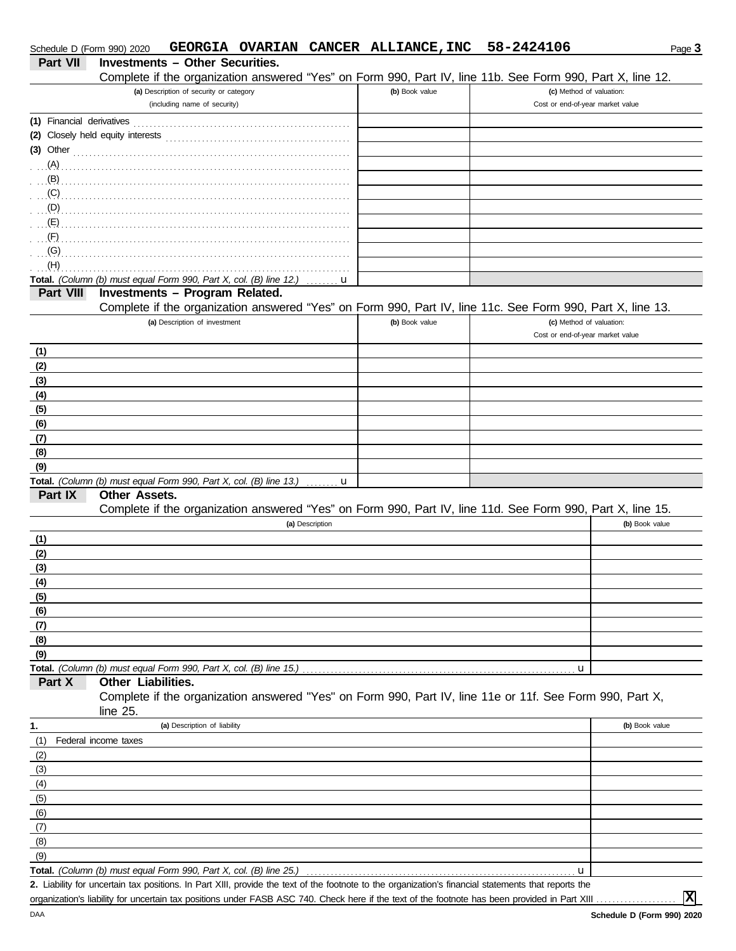| Schedule D (Form 990) 2020 |                      |                                                                         |                                                                             |                 | GEORGIA OVARIAN CANCER ALLIANCE, INC | 58-2424106                                                                                                                                           | Page 3         |
|----------------------------|----------------------|-------------------------------------------------------------------------|-----------------------------------------------------------------------------|-----------------|--------------------------------------|------------------------------------------------------------------------------------------------------------------------------------------------------|----------------|
| <b>Part VII</b>            |                      | <b>Investments - Other Securities.</b>                                  |                                                                             |                 |                                      |                                                                                                                                                      |                |
|                            |                      |                                                                         |                                                                             |                 |                                      | Complete if the organization answered "Yes" on Form 990, Part IV, line 11b. See Form 990, Part X, line 12.                                           |                |
|                            |                      | (a) Description of security or category<br>(including name of security) |                                                                             |                 | (b) Book value                       | (c) Method of valuation:<br>Cost or end-of-year market value                                                                                         |                |
| (1) Financial derivatives  |                      |                                                                         |                                                                             |                 |                                      |                                                                                                                                                      |                |
|                            |                      |                                                                         |                                                                             |                 |                                      |                                                                                                                                                      |                |
| $(3)$ Other                |                      |                                                                         |                                                                             |                 |                                      |                                                                                                                                                      |                |
| (A)                        |                      |                                                                         |                                                                             |                 |                                      |                                                                                                                                                      |                |
| (B)                        |                      |                                                                         |                                                                             |                 |                                      |                                                                                                                                                      |                |
| (C)                        |                      |                                                                         |                                                                             |                 |                                      |                                                                                                                                                      |                |
| (D)                        |                      |                                                                         |                                                                             |                 |                                      |                                                                                                                                                      |                |
| (E)                        |                      |                                                                         |                                                                             |                 |                                      |                                                                                                                                                      |                |
| (F)                        |                      |                                                                         |                                                                             |                 |                                      |                                                                                                                                                      |                |
| (G)                        |                      |                                                                         |                                                                             |                 |                                      |                                                                                                                                                      |                |
| (H)                        |                      |                                                                         |                                                                             |                 |                                      |                                                                                                                                                      |                |
| Part VIII                  |                      | <b>Investments - Program Related.</b>                                   | Total. (Column (b) must equal Form 990, Part X, col. (B) line 12.)          | . <b>u</b>      |                                      |                                                                                                                                                      |                |
|                            |                      |                                                                         |                                                                             |                 |                                      | Complete if the organization answered "Yes" on Form 990, Part IV, line 11c. See Form 990, Part X, line 13.                                           |                |
|                            |                      | (a) Description of investment                                           |                                                                             |                 | (b) Book value                       | (c) Method of valuation:                                                                                                                             |                |
|                            |                      |                                                                         |                                                                             |                 |                                      | Cost or end-of-year market value                                                                                                                     |                |
| (1)                        |                      |                                                                         |                                                                             |                 |                                      |                                                                                                                                                      |                |
| (2)                        |                      |                                                                         |                                                                             |                 |                                      |                                                                                                                                                      |                |
| (3)                        |                      |                                                                         |                                                                             |                 |                                      |                                                                                                                                                      |                |
| (4)                        |                      |                                                                         |                                                                             |                 |                                      |                                                                                                                                                      |                |
| (5)                        |                      |                                                                         |                                                                             |                 |                                      |                                                                                                                                                      |                |
| (6)                        |                      |                                                                         |                                                                             |                 |                                      |                                                                                                                                                      |                |
| (7)                        |                      |                                                                         |                                                                             |                 |                                      |                                                                                                                                                      |                |
| (8)                        |                      |                                                                         |                                                                             |                 |                                      |                                                                                                                                                      |                |
| (9)                        |                      |                                                                         | Total. (Column (b) must equal Form 990, Part X, col. (B) line 13.) $\ldots$ |                 |                                      |                                                                                                                                                      |                |
| Part IX                    | Other Assets.        |                                                                         |                                                                             |                 |                                      |                                                                                                                                                      |                |
|                            |                      |                                                                         |                                                                             |                 |                                      | Complete if the organization answered "Yes" on Form 990, Part IV, line 11d. See Form 990, Part X, line 15.                                           |                |
|                            |                      |                                                                         |                                                                             | (a) Description |                                      |                                                                                                                                                      | (b) Book value |
| (1)                        |                      |                                                                         |                                                                             |                 |                                      |                                                                                                                                                      |                |
| (2)                        |                      |                                                                         |                                                                             |                 |                                      |                                                                                                                                                      |                |
| (3)                        |                      |                                                                         |                                                                             |                 |                                      |                                                                                                                                                      |                |
| (4)                        |                      |                                                                         |                                                                             |                 |                                      |                                                                                                                                                      |                |
| (5)                        |                      |                                                                         |                                                                             |                 |                                      |                                                                                                                                                      |                |
| (6)                        |                      |                                                                         |                                                                             |                 |                                      |                                                                                                                                                      |                |
| (7)                        |                      |                                                                         |                                                                             |                 |                                      |                                                                                                                                                      |                |
| (8)<br>(9)                 |                      |                                                                         |                                                                             |                 |                                      |                                                                                                                                                      |                |
|                            |                      |                                                                         | Total. (Column (b) must equal Form 990, Part X, col. (B) line 15.)          |                 |                                      | u                                                                                                                                                    |                |
| Part X                     | Other Liabilities.   |                                                                         |                                                                             |                 |                                      |                                                                                                                                                      |                |
|                            |                      |                                                                         |                                                                             |                 |                                      | Complete if the organization answered "Yes" on Form 990, Part IV, line 11e or 11f. See Form 990, Part X,                                             |                |
|                            | line $25$ .          |                                                                         |                                                                             |                 |                                      |                                                                                                                                                      |                |
| 1.                         |                      | (a) Description of liability                                            |                                                                             |                 |                                      |                                                                                                                                                      | (b) Book value |
| (1)                        | Federal income taxes |                                                                         |                                                                             |                 |                                      |                                                                                                                                                      |                |
| (2)                        |                      |                                                                         |                                                                             |                 |                                      |                                                                                                                                                      |                |
| (3)                        |                      |                                                                         |                                                                             |                 |                                      |                                                                                                                                                      |                |
| (4)                        |                      |                                                                         |                                                                             |                 |                                      |                                                                                                                                                      |                |
| (5)                        |                      |                                                                         |                                                                             |                 |                                      |                                                                                                                                                      |                |
| (6)<br>(7)                 |                      |                                                                         |                                                                             |                 |                                      |                                                                                                                                                      |                |
| (8)                        |                      |                                                                         |                                                                             |                 |                                      |                                                                                                                                                      |                |
| (9)                        |                      |                                                                         |                                                                             |                 |                                      |                                                                                                                                                      |                |
|                            |                      |                                                                         | Total. (Column (b) must equal Form 990, Part X, col. (B) line 25.)          |                 |                                      | u                                                                                                                                                    |                |
|                            |                      |                                                                         |                                                                             |                 |                                      | 2. Liability for uncertain tax positions. In Part XIII, provide the text of the footnote to the organization's financial statements that reports the |                |
|                            |                      |                                                                         |                                                                             |                 |                                      | organization's liability for uncertain tax positions under FASB ASC 740. Check here if the text of the footnote has been provided in Part XIII.      | $ \mathbf{x} $ |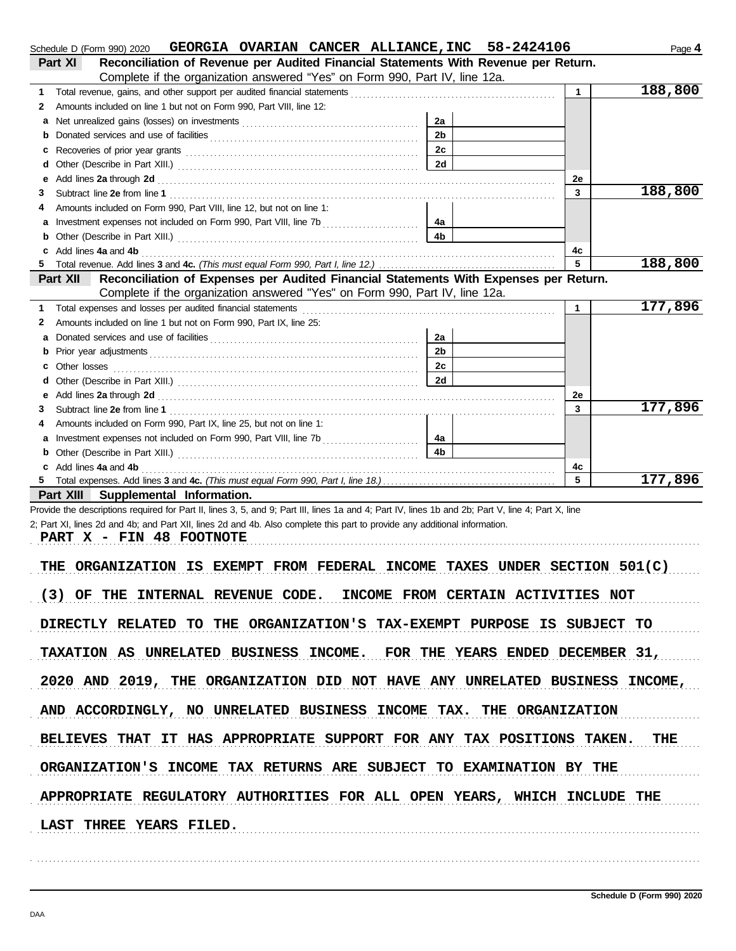| GEORGIA OVARIAN CANCER ALLIANCE, INC 58-2424106<br>Schedule D (Form 990) 2020                                                                                                                                                             |                |              | Page 4  |
|-------------------------------------------------------------------------------------------------------------------------------------------------------------------------------------------------------------------------------------------|----------------|--------------|---------|
| Reconciliation of Revenue per Audited Financial Statements With Revenue per Return.<br>Part XI                                                                                                                                            |                |              |         |
| Complete if the organization answered "Yes" on Form 990, Part IV, line 12a.                                                                                                                                                               |                |              |         |
| 1                                                                                                                                                                                                                                         |                | $\mathbf{1}$ | 188,800 |
| Amounts included on line 1 but not on Form 990, Part VIII, line 12:<br>2                                                                                                                                                                  |                |              |         |
| а                                                                                                                                                                                                                                         | 2a             |              |         |
| b                                                                                                                                                                                                                                         | 2 <sub>b</sub> |              |         |
| c                                                                                                                                                                                                                                         | 2c<br>2d       |              |         |
| d                                                                                                                                                                                                                                         |                |              |         |
| е<br>3                                                                                                                                                                                                                                    |                | 2e<br>3      | 188,800 |
| Amounts included on Form 990, Part VIII, line 12, but not on line 1:<br>4                                                                                                                                                                 |                |              |         |
|                                                                                                                                                                                                                                           | - 4a           |              |         |
| b                                                                                                                                                                                                                                         | 4 <sub>b</sub> |              |         |
| Add lines 4a and 4b<br>c                                                                                                                                                                                                                  |                | 4c           |         |
|                                                                                                                                                                                                                                           |                | 5            | 188,800 |
| Reconciliation of Expenses per Audited Financial Statements With Expenses per Return.<br>Part XII                                                                                                                                         |                |              |         |
| Complete if the organization answered "Yes" on Form 990, Part IV, line 12a.                                                                                                                                                               |                |              |         |
| Total expenses and losses per audited financial statements<br>1                                                                                                                                                                           |                | 1.           | 177,896 |
| Amounts included on line 1 but not on Form 990, Part IX, line 25:<br>2                                                                                                                                                                    |                |              |         |
| а                                                                                                                                                                                                                                         | 2a             |              |         |
| b                                                                                                                                                                                                                                         | 2 <sub>b</sub> |              |         |
| Other losses <b>contract the contract of the contract of the contract of the contract of the contract of the contract of the contract of the contract of the contract of the contract of the contract of the contract of the con</b><br>c | 2c             |              |         |
|                                                                                                                                                                                                                                           | 2d             |              |         |
| е                                                                                                                                                                                                                                         |                | 2e           |         |
| 3                                                                                                                                                                                                                                         |                | 3            | 177,896 |
| Amounts included on Form 990, Part IX, line 25, but not on line 1:<br>4                                                                                                                                                                   |                |              |         |
|                                                                                                                                                                                                                                           | 4a             |              |         |
| b                                                                                                                                                                                                                                         | 4 <sub>b</sub> |              |         |
| Add lines 4a and 4b<br>c                                                                                                                                                                                                                  |                | 4c           |         |
|                                                                                                                                                                                                                                           |                | 5            | 177,896 |
| Part XIII Supplemental Information.                                                                                                                                                                                                       |                |              |         |
| Provide the descriptions required for Part II, lines 3, 5, and 9; Part III, lines 1a and 4; Part IV, lines 1b and 2b; Part V, line 4; Part X, line                                                                                        |                |              |         |
| 2; Part XI, lines 2d and 4b; and Part XII, lines 2d and 4b. Also complete this part to provide any additional information.<br>PART X - FIN 48 FOOTNOTE                                                                                    |                |              |         |
|                                                                                                                                                                                                                                           |                |              |         |
| ORGANIZATION IS EXEMPT FROM FEDERAL INCOME TAXES UNDER SECTION 501(C)<br>THE                                                                                                                                                              |                |              |         |
|                                                                                                                                                                                                                                           |                |              |         |
| (3) OF THE INTERNAL REVENUE CODE. INCOME FROM CERTAIN ACTIVITIES NOT                                                                                                                                                                      |                |              |         |
|                                                                                                                                                                                                                                           |                |              |         |
| DIRECTLY RELATED TO THE ORGANIZATION'S TAX-EXEMPT PURPOSE IS SUBJECT TO                                                                                                                                                                   |                |              |         |
|                                                                                                                                                                                                                                           |                |              |         |
| TAXATION AS UNRELATED BUSINESS INCOME. FOR THE YEARS ENDED DECEMBER 31,                                                                                                                                                                   |                |              |         |
|                                                                                                                                                                                                                                           |                |              |         |
| 2020 AND 2019, THE ORGANIZATION DID NOT HAVE ANY UNRELATED BUSINESS INCOME,                                                                                                                                                               |                |              |         |
|                                                                                                                                                                                                                                           |                |              |         |
| AND ACCORDINGLY, NO UNRELATED BUSINESS INCOME TAX. THE ORGANIZATION                                                                                                                                                                       |                |              |         |
|                                                                                                                                                                                                                                           |                |              |         |
| BELIEVES THAT IT HAS APPROPRIATE SUPPORT FOR ANY TAX POSITIONS TAKEN. THE                                                                                                                                                                 |                |              |         |
|                                                                                                                                                                                                                                           |                |              |         |
| ORGANIZATION'S INCOME TAX RETURNS ARE SUBJECT TO EXAMINATION BY THE                                                                                                                                                                       |                |              |         |
|                                                                                                                                                                                                                                           |                |              |         |
| APPROPRIATE REGULATORY AUTHORITIES FOR ALL OPEN YEARS, WHICH INCLUDE THE                                                                                                                                                                  |                |              |         |
|                                                                                                                                                                                                                                           |                |              |         |
| LAST THREE YEARS FILED.                                                                                                                                                                                                                   |                |              |         |
|                                                                                                                                                                                                                                           |                |              |         |

. . . . . . . . . . . . . . . . . . . . . . . . . . . . . . . . . . . . . . . . . . . . . . . . . . . . . . . . . . . . . . . . . . . . . . . . . . . . . . . . . . . . . . . . . . . . . . . . . . . . . . . . . . . . . . . . . . . . . . . . . . . . . . . . . . . . . . . . . . . . . . . . . . . . . . . . . . . . . . . . . . . . . .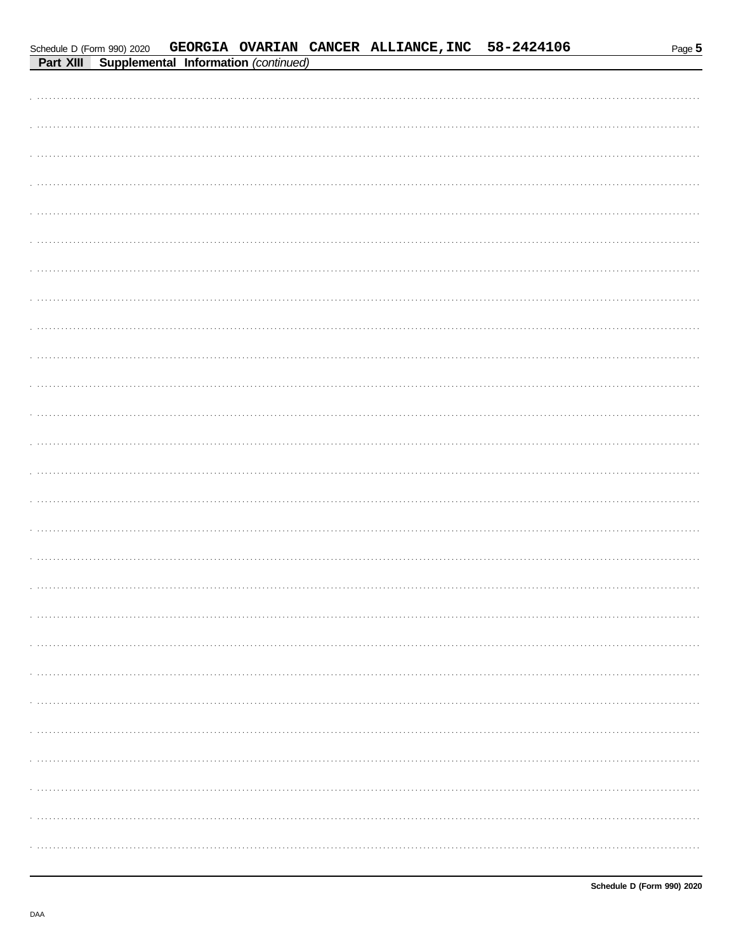| Schedule D (Form 990) 2020 |                                                |  | GEORGIA OVARIAN CANCER ALLIANCE, INC 58-2424106 | Page 5 |
|----------------------------|------------------------------------------------|--|-------------------------------------------------|--------|
|                            | Part XIII Supplemental Information (continued) |  |                                                 |        |
|                            |                                                |  |                                                 |        |
|                            |                                                |  |                                                 |        |
|                            |                                                |  |                                                 |        |
|                            |                                                |  |                                                 |        |
|                            |                                                |  |                                                 |        |
|                            |                                                |  |                                                 |        |
|                            |                                                |  |                                                 |        |
|                            |                                                |  |                                                 |        |
|                            |                                                |  |                                                 |        |
|                            |                                                |  |                                                 |        |
|                            |                                                |  |                                                 |        |
|                            |                                                |  |                                                 |        |
|                            |                                                |  |                                                 |        |
|                            |                                                |  |                                                 |        |
|                            |                                                |  |                                                 |        |
|                            |                                                |  |                                                 |        |
|                            |                                                |  |                                                 |        |
|                            |                                                |  |                                                 |        |
|                            |                                                |  |                                                 |        |
|                            |                                                |  |                                                 |        |
|                            |                                                |  |                                                 |        |
|                            |                                                |  |                                                 |        |
|                            |                                                |  |                                                 |        |
|                            |                                                |  |                                                 |        |
|                            |                                                |  |                                                 |        |
|                            |                                                |  |                                                 |        |
|                            |                                                |  |                                                 |        |
|                            |                                                |  |                                                 |        |
|                            |                                                |  |                                                 |        |
|                            |                                                |  |                                                 |        |
|                            |                                                |  |                                                 |        |
|                            |                                                |  |                                                 |        |
|                            |                                                |  |                                                 |        |
|                            |                                                |  |                                                 |        |
|                            |                                                |  |                                                 |        |
|                            |                                                |  |                                                 |        |
|                            |                                                |  |                                                 |        |
|                            |                                                |  |                                                 |        |
|                            |                                                |  |                                                 |        |
|                            |                                                |  |                                                 |        |
|                            |                                                |  |                                                 |        |
|                            |                                                |  |                                                 |        |
|                            |                                                |  |                                                 |        |
|                            |                                                |  |                                                 |        |
|                            |                                                |  |                                                 |        |
|                            |                                                |  |                                                 |        |
|                            |                                                |  |                                                 |        |
|                            |                                                |  |                                                 |        |
|                            |                                                |  |                                                 |        |
|                            |                                                |  |                                                 |        |
|                            |                                                |  |                                                 |        |
|                            |                                                |  |                                                 |        |
|                            |                                                |  |                                                 |        |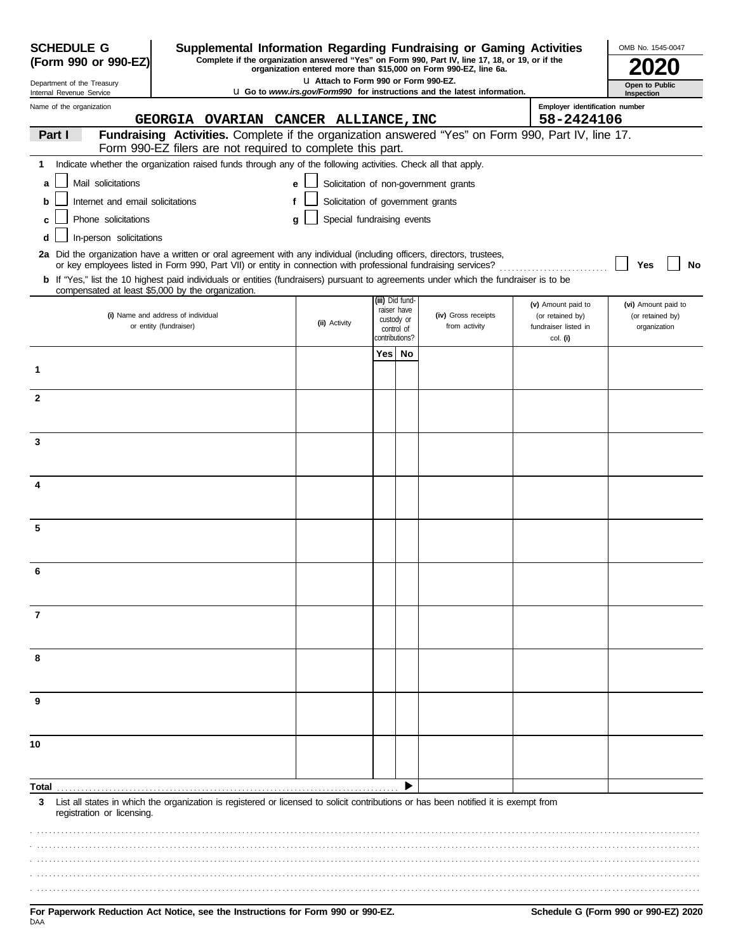| <b>SCHEDULE G</b><br>Supplemental Information Regarding Fundraising or Gaming Activities<br>Complete if the organization answered "Yes" on Form 990, Part IV, line 17, 18, or 19, or if the<br>(Form 990 or 990-EZ)<br>organization entered more than \$15,000 on Form 990-EZ, line 6a. |                                                                                                                                                                                                                                          |                                                                                        |     |                              |                                       | OMB No. 1545-0047                            |                     |
|-----------------------------------------------------------------------------------------------------------------------------------------------------------------------------------------------------------------------------------------------------------------------------------------|------------------------------------------------------------------------------------------------------------------------------------------------------------------------------------------------------------------------------------------|----------------------------------------------------------------------------------------|-----|------------------------------|---------------------------------------|----------------------------------------------|---------------------|
| LI Attach to Form 990 or Form 990-EZ.<br>Department of the Treasury                                                                                                                                                                                                                     |                                                                                                                                                                                                                                          |                                                                                        |     |                              |                                       |                                              | Open to Public      |
| Internal Revenue Service                                                                                                                                                                                                                                                                |                                                                                                                                                                                                                                          | <b>u</b> Go to <i>www.irs.gov/Form990</i> for instructions and the latest information. |     | Inspection                   |                                       |                                              |                     |
| Name of the organization                                                                                                                                                                                                                                                                | GEORGIA OVARIAN CANCER ALLIANCE, INC                                                                                                                                                                                                     |                                                                                        |     |                              |                                       | Employer identification number<br>58-2424106 |                     |
| Part I                                                                                                                                                                                                                                                                                  | Fundraising Activities. Complete if the organization answered "Yes" on Form 990, Part IV, line 17.                                                                                                                                       |                                                                                        |     |                              |                                       |                                              |                     |
|                                                                                                                                                                                                                                                                                         | Form 990-EZ filers are not required to complete this part.                                                                                                                                                                               |                                                                                        |     |                              |                                       |                                              |                     |
| 1.                                                                                                                                                                                                                                                                                      | Indicate whether the organization raised funds through any of the following activities. Check all that apply.                                                                                                                            |                                                                                        |     |                              |                                       |                                              |                     |
| Mail solicitations<br>a                                                                                                                                                                                                                                                                 |                                                                                                                                                                                                                                          | e                                                                                      |     |                              | Solicitation of non-government grants |                                              |                     |
| Internet and email solicitations<br>b                                                                                                                                                                                                                                                   |                                                                                                                                                                                                                                          | Solicitation of government grants<br>f                                                 |     |                              |                                       |                                              |                     |
| Phone solicitations                                                                                                                                                                                                                                                                     |                                                                                                                                                                                                                                          | Special fundraising events<br>g                                                        |     |                              |                                       |                                              |                     |
| In-person solicitations<br>d                                                                                                                                                                                                                                                            |                                                                                                                                                                                                                                          |                                                                                        |     |                              |                                       |                                              |                     |
|                                                                                                                                                                                                                                                                                         | 2a Did the organization have a written or oral agreement with any individual (including officers, directors, trustees,<br>or key employees listed in Form 990, Part VII) or entity in connection with professional fundraising services? |                                                                                        |     |                              |                                       |                                              | Yes<br>No           |
|                                                                                                                                                                                                                                                                                         | b If "Yes," list the 10 highest paid individuals or entities (fundraisers) pursuant to agreements under which the fundraiser is to be                                                                                                    |                                                                                        |     |                              |                                       |                                              |                     |
|                                                                                                                                                                                                                                                                                         | compensated at least \$5,000 by the organization.                                                                                                                                                                                        |                                                                                        |     | (iii) Did fund-              |                                       | (v) Amount paid to                           | (vi) Amount paid to |
|                                                                                                                                                                                                                                                                                         | (i) Name and address of individual                                                                                                                                                                                                       | (ii) Activity                                                                          |     | raiser have<br>custody or    | (iv) Gross receipts                   | (or retained by)                             | (or retained by)    |
|                                                                                                                                                                                                                                                                                         | or entity (fundraiser)                                                                                                                                                                                                                   |                                                                                        |     | control of<br>contributions? | from activity                         | fundraiser listed in<br>col. (i)             | organization        |
|                                                                                                                                                                                                                                                                                         |                                                                                                                                                                                                                                          |                                                                                        | Yes | No                           |                                       |                                              |                     |
| 1                                                                                                                                                                                                                                                                                       |                                                                                                                                                                                                                                          |                                                                                        |     |                              |                                       |                                              |                     |
| $\mathbf{2}$                                                                                                                                                                                                                                                                            |                                                                                                                                                                                                                                          |                                                                                        |     |                              |                                       |                                              |                     |
|                                                                                                                                                                                                                                                                                         |                                                                                                                                                                                                                                          |                                                                                        |     |                              |                                       |                                              |                     |
|                                                                                                                                                                                                                                                                                         |                                                                                                                                                                                                                                          |                                                                                        |     |                              |                                       |                                              |                     |
| 3                                                                                                                                                                                                                                                                                       |                                                                                                                                                                                                                                          |                                                                                        |     |                              |                                       |                                              |                     |
|                                                                                                                                                                                                                                                                                         |                                                                                                                                                                                                                                          |                                                                                        |     |                              |                                       |                                              |                     |
| 4                                                                                                                                                                                                                                                                                       |                                                                                                                                                                                                                                          |                                                                                        |     |                              |                                       |                                              |                     |
|                                                                                                                                                                                                                                                                                         |                                                                                                                                                                                                                                          |                                                                                        |     |                              |                                       |                                              |                     |
| 5                                                                                                                                                                                                                                                                                       |                                                                                                                                                                                                                                          |                                                                                        |     |                              |                                       |                                              |                     |
|                                                                                                                                                                                                                                                                                         |                                                                                                                                                                                                                                          |                                                                                        |     |                              |                                       |                                              |                     |
|                                                                                                                                                                                                                                                                                         |                                                                                                                                                                                                                                          |                                                                                        |     |                              |                                       |                                              |                     |
| 6                                                                                                                                                                                                                                                                                       |                                                                                                                                                                                                                                          |                                                                                        |     |                              |                                       |                                              |                     |
|                                                                                                                                                                                                                                                                                         |                                                                                                                                                                                                                                          |                                                                                        |     |                              |                                       |                                              |                     |
| 7                                                                                                                                                                                                                                                                                       |                                                                                                                                                                                                                                          |                                                                                        |     |                              |                                       |                                              |                     |
|                                                                                                                                                                                                                                                                                         |                                                                                                                                                                                                                                          |                                                                                        |     |                              |                                       |                                              |                     |
| 8                                                                                                                                                                                                                                                                                       |                                                                                                                                                                                                                                          |                                                                                        |     |                              |                                       |                                              |                     |
|                                                                                                                                                                                                                                                                                         |                                                                                                                                                                                                                                          |                                                                                        |     |                              |                                       |                                              |                     |
|                                                                                                                                                                                                                                                                                         |                                                                                                                                                                                                                                          |                                                                                        |     |                              |                                       |                                              |                     |
| 9                                                                                                                                                                                                                                                                                       |                                                                                                                                                                                                                                          |                                                                                        |     |                              |                                       |                                              |                     |
|                                                                                                                                                                                                                                                                                         |                                                                                                                                                                                                                                          |                                                                                        |     |                              |                                       |                                              |                     |
| 10                                                                                                                                                                                                                                                                                      |                                                                                                                                                                                                                                          |                                                                                        |     |                              |                                       |                                              |                     |
|                                                                                                                                                                                                                                                                                         |                                                                                                                                                                                                                                          |                                                                                        |     |                              |                                       |                                              |                     |
| Total                                                                                                                                                                                                                                                                                   |                                                                                                                                                                                                                                          |                                                                                        |     |                              |                                       |                                              |                     |
| 3                                                                                                                                                                                                                                                                                       | List all states in which the organization is registered or licensed to solicit contributions or has been notified it is exempt from                                                                                                      |                                                                                        |     |                              |                                       |                                              |                     |
| registration or licensing.                                                                                                                                                                                                                                                              |                                                                                                                                                                                                                                          |                                                                                        |     |                              |                                       |                                              |                     |
|                                                                                                                                                                                                                                                                                         |                                                                                                                                                                                                                                          |                                                                                        |     |                              |                                       |                                              |                     |
|                                                                                                                                                                                                                                                                                         |                                                                                                                                                                                                                                          |                                                                                        |     |                              |                                       |                                              |                     |
|                                                                                                                                                                                                                                                                                         |                                                                                                                                                                                                                                          |                                                                                        |     |                              |                                       |                                              |                     |
|                                                                                                                                                                                                                                                                                         |                                                                                                                                                                                                                                          |                                                                                        |     |                              |                                       |                                              |                     |
|                                                                                                                                                                                                                                                                                         |                                                                                                                                                                                                                                          |                                                                                        |     |                              |                                       |                                              |                     |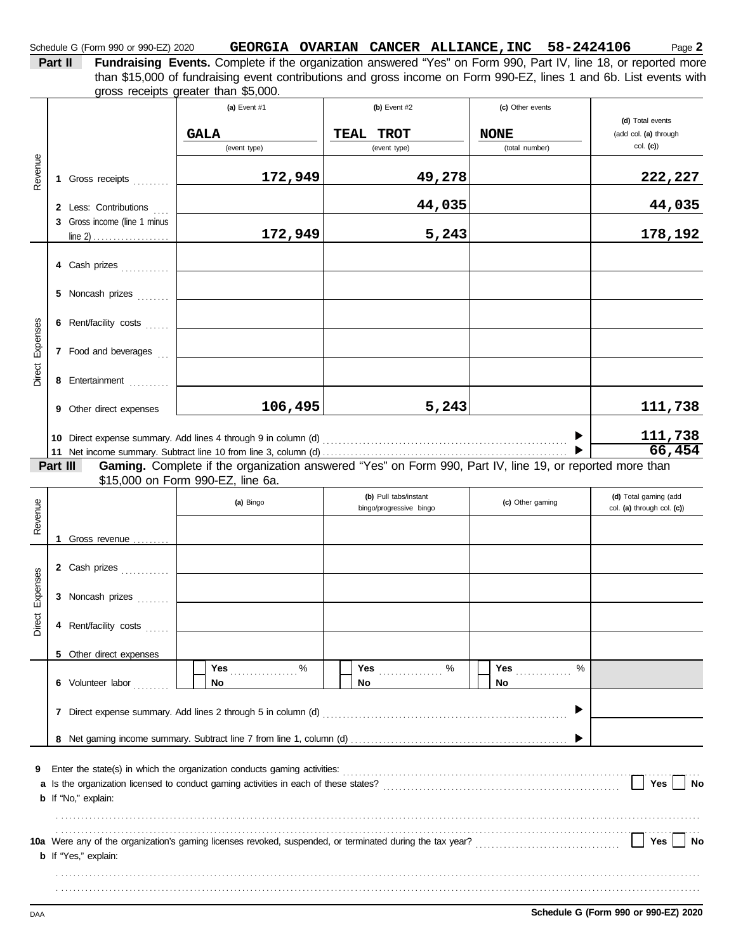| Part II | <b>Fundraising Event</b> |
|---------|--------------------------|
|         | than \$15,000 of fun     |
|         | aroce receipte areat     |

ts. Complete if the organization answered "Yes" on Form 990, Part IV, line 18, or reported more gross receipts greater than \$5,000. draising event contributions and gross income on Form 990-EZ, lines 1 and 6b. List events with

|                 |          |                              | (a) Event #1                      | (b) Event #2                                                                                                                                                                                                           | (c) Other events |                                           |
|-----------------|----------|------------------------------|-----------------------------------|------------------------------------------------------------------------------------------------------------------------------------------------------------------------------------------------------------------------|------------------|-------------------------------------------|
|                 |          |                              | <b>GALA</b>                       | <b>TROT</b><br>TEAL                                                                                                                                                                                                    | <b>NONE</b>      | (d) Total events<br>(add col. (a) through |
|                 |          |                              | (event type)                      | (event type)                                                                                                                                                                                                           | (total number)   | $col.$ (c))                               |
| Revenue         |          |                              |                                   |                                                                                                                                                                                                                        |                  |                                           |
|                 |          | 1 Gross receipts             | 172,949                           | 49,278                                                                                                                                                                                                                 |                  | 222,227                                   |
|                 |          | 2 Less: Contributions        |                                   | 44,035                                                                                                                                                                                                                 |                  | 44,035                                    |
|                 |          | 3 Gross income (line 1 minus |                                   |                                                                                                                                                                                                                        |                  |                                           |
|                 |          |                              | 172,949                           | 5,243                                                                                                                                                                                                                  |                  | 178,192                                   |
|                 |          | 4 Cash prizes                |                                   |                                                                                                                                                                                                                        |                  |                                           |
|                 |          |                              |                                   |                                                                                                                                                                                                                        |                  |                                           |
|                 |          | 5 Noncash prizes             |                                   |                                                                                                                                                                                                                        |                  |                                           |
|                 |          | 6 Rent/facility costs        |                                   |                                                                                                                                                                                                                        |                  |                                           |
|                 |          |                              |                                   |                                                                                                                                                                                                                        |                  |                                           |
| Direct Expenses |          | 7 Food and beverages         |                                   |                                                                                                                                                                                                                        |                  |                                           |
|                 |          | 8 Entertainment              |                                   |                                                                                                                                                                                                                        |                  |                                           |
|                 |          |                              |                                   |                                                                                                                                                                                                                        |                  |                                           |
|                 |          | 9 Other direct expenses      | 106,495                           | 5,243                                                                                                                                                                                                                  |                  | 111,738                                   |
|                 |          |                              |                                   |                                                                                                                                                                                                                        |                  | 111,738                                   |
|                 |          |                              |                                   |                                                                                                                                                                                                                        |                  | 66,454                                    |
|                 | Part III |                              | \$15,000 on Form 990-EZ, line 6a. | Gaming. Complete if the organization answered "Yes" on Form 990, Part IV, line 19, or reported more than                                                                                                               |                  |                                           |
|                 |          |                              |                                   | (b) Pull tabs/instant                                                                                                                                                                                                  |                  | (d) Total gaming (add                     |
| Revenue         |          |                              | (a) Bingo                         | bingo/progressive bingo                                                                                                                                                                                                | (c) Other gaming | col. (a) through col. (c))                |
|                 |          |                              |                                   |                                                                                                                                                                                                                        |                  |                                           |
|                 |          | 1 Gross revenue              |                                   |                                                                                                                                                                                                                        |                  |                                           |
|                 |          | 2 Cash prizes                |                                   |                                                                                                                                                                                                                        |                  |                                           |
| Expenses        |          |                              |                                   |                                                                                                                                                                                                                        |                  |                                           |
|                 |          | 3 Noncash prizes             |                                   |                                                                                                                                                                                                                        |                  |                                           |
| Direct          |          | 4 Rent/facility costs        |                                   |                                                                                                                                                                                                                        |                  |                                           |
|                 |          |                              |                                   |                                                                                                                                                                                                                        |                  |                                           |
|                 |          | 5 Other direct expenses      | $\%$<br>Yes                       | $\%$<br>Yes <b>Marshall</b>                                                                                                                                                                                            | %<br>Yes         |                                           |
|                 |          | 6 Volunteer labor            | No                                | No                                                                                                                                                                                                                     | No               |                                           |
|                 |          |                              |                                   |                                                                                                                                                                                                                        |                  |                                           |
|                 |          |                              |                                   |                                                                                                                                                                                                                        |                  |                                           |
|                 |          |                              |                                   |                                                                                                                                                                                                                        |                  |                                           |
|                 |          |                              |                                   |                                                                                                                                                                                                                        |                  |                                           |
| 9               |          |                              |                                   |                                                                                                                                                                                                                        |                  | Yes<br>No                                 |
|                 |          | <b>b</b> If "No," explain:   |                                   |                                                                                                                                                                                                                        |                  |                                           |
|                 |          |                              |                                   |                                                                                                                                                                                                                        |                  |                                           |
|                 |          |                              |                                   |                                                                                                                                                                                                                        |                  |                                           |
|                 |          | <b>b</b> If "Yes," explain:  |                                   | 10a Were any of the organization's gaming licenses revoked, suspended, or terminated during the tax year?<br>10a Were any of the organization's gaming licenses revoked, suspended, or terminated during the tax year? |                  | Yes<br>No                                 |
|                 |          |                              |                                   |                                                                                                                                                                                                                        |                  |                                           |
|                 |          |                              |                                   |                                                                                                                                                                                                                        |                  |                                           |
|                 |          |                              |                                   |                                                                                                                                                                                                                        |                  |                                           |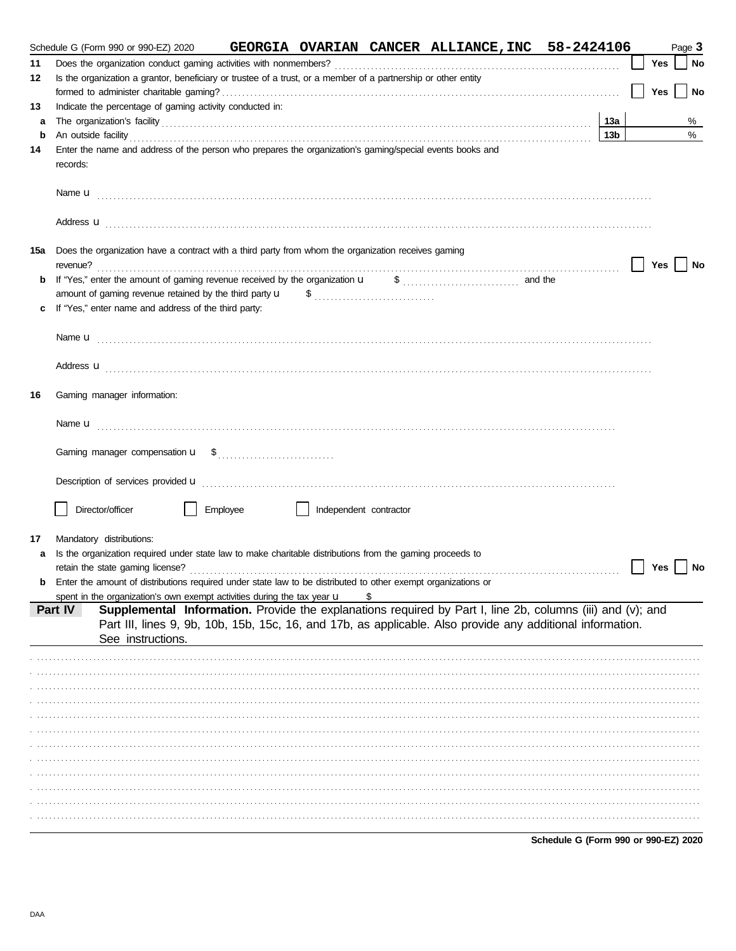|     | Schedule G (Form 990 or 990-EZ) 2020                                                                                                                                                                                           |          |                        |   | GEORGIA OVARIAN CANCER ALLIANCE, INC 58-2424106 |     |     | Page 3 |           |
|-----|--------------------------------------------------------------------------------------------------------------------------------------------------------------------------------------------------------------------------------|----------|------------------------|---|-------------------------------------------------|-----|-----|--------|-----------|
| 11  |                                                                                                                                                                                                                                |          |                        |   |                                                 |     | Yes |        | No        |
| 12  | Is the organization a grantor, beneficiary or trustee of a trust, or a member of a partnership or other entity                                                                                                                 |          |                        |   |                                                 |     |     |        |           |
|     |                                                                                                                                                                                                                                |          |                        |   |                                                 |     | Yes |        | <b>No</b> |
| 13  | Indicate the percentage of gaming activity conducted in:                                                                                                                                                                       |          |                        |   |                                                 |     |     |        |           |
| a   | The organization's facility contains a container and a contact of the contact of the contact of the contact of the contact of the contact of the contact of the contact of the contact of the contact of the contact of the co |          |                        |   |                                                 | 13а |     |        | %         |
| b   | An outside facility encouragement and the facility of the facility of the facility of the set of the set of the set of the set of the set of the set of the set of the set of the set of the set of the set of the set of the  |          |                        |   |                                                 | 13b |     |        | %         |
| 14  | Enter the name and address of the person who prepares the organization's gaming/special events books and<br>records:                                                                                                           |          |                        |   |                                                 |     |     |        |           |
|     |                                                                                                                                                                                                                                |          |                        |   |                                                 |     |     |        |           |
|     | Address <b>u</b>                                                                                                                                                                                                               |          |                        |   |                                                 |     |     |        |           |
| 15a | Does the organization have a contract with a third party from whom the organization receives gaming                                                                                                                            |          |                        |   |                                                 |     | Yes |        | <b>No</b> |
| b   |                                                                                                                                                                                                                                |          |                        |   |                                                 |     |     |        |           |
|     | amount of gaming revenue retained by the third party u                                                                                                                                                                         |          |                        |   |                                                 |     |     |        |           |
|     | If "Yes," enter name and address of the third party:                                                                                                                                                                           |          |                        |   |                                                 |     |     |        |           |
|     |                                                                                                                                                                                                                                |          |                        |   |                                                 |     |     |        |           |
|     |                                                                                                                                                                                                                                |          |                        |   |                                                 |     |     |        |           |
|     | Address <b>u</b>                                                                                                                                                                                                               |          |                        |   |                                                 |     |     |        |           |
| 16  | Gaming manager information:                                                                                                                                                                                                    |          |                        |   |                                                 |     |     |        |           |
|     |                                                                                                                                                                                                                                |          |                        |   |                                                 |     |     |        |           |
|     |                                                                                                                                                                                                                                |          |                        |   |                                                 |     |     |        |           |
|     |                                                                                                                                                                                                                                |          |                        |   |                                                 |     |     |        |           |
|     | Director/officer                                                                                                                                                                                                               | Employee | Independent contractor |   |                                                 |     |     |        |           |
| 17  | Mandatory distributions:                                                                                                                                                                                                       |          |                        |   |                                                 |     |     |        |           |
|     | Is the organization required under state law to make charitable distributions from the gaming proceeds to                                                                                                                      |          |                        |   |                                                 |     |     |        |           |
|     |                                                                                                                                                                                                                                |          |                        |   |                                                 |     | Yes |        | <b>No</b> |
|     | <b>b</b> Enter the amount of distributions required under state law to be distributed to other exempt organizations or                                                                                                         |          |                        |   |                                                 |     |     |        |           |
|     | spent in the organization's own exempt activities during the tax year $\mathbf u$                                                                                                                                              |          |                        | S |                                                 |     |     |        |           |
|     | Supplemental Information. Provide the explanations required by Part I, line 2b, columns (iii) and (v); and<br>Part IV                                                                                                          |          |                        |   |                                                 |     |     |        |           |
|     | Part III, lines 9, 9b, 10b, 15b, 15c, 16, and 17b, as applicable. Also provide any additional information.                                                                                                                     |          |                        |   |                                                 |     |     |        |           |
|     | See instructions.                                                                                                                                                                                                              |          |                        |   |                                                 |     |     |        |           |
|     |                                                                                                                                                                                                                                |          |                        |   |                                                 |     |     |        |           |
|     |                                                                                                                                                                                                                                |          |                        |   |                                                 |     |     |        |           |
|     |                                                                                                                                                                                                                                |          |                        |   |                                                 |     |     |        |           |
|     |                                                                                                                                                                                                                                |          |                        |   |                                                 |     |     |        |           |
|     |                                                                                                                                                                                                                                |          |                        |   |                                                 |     |     |        |           |
|     |                                                                                                                                                                                                                                |          |                        |   |                                                 |     |     |        |           |
|     |                                                                                                                                                                                                                                |          |                        |   |                                                 |     |     |        |           |
|     |                                                                                                                                                                                                                                |          |                        |   |                                                 |     |     |        |           |
|     |                                                                                                                                                                                                                                |          |                        |   |                                                 |     |     |        |           |
|     |                                                                                                                                                                                                                                |          |                        |   |                                                 |     |     |        |           |
|     |                                                                                                                                                                                                                                |          |                        |   |                                                 |     |     |        |           |
|     |                                                                                                                                                                                                                                |          |                        |   |                                                 |     |     |        |           |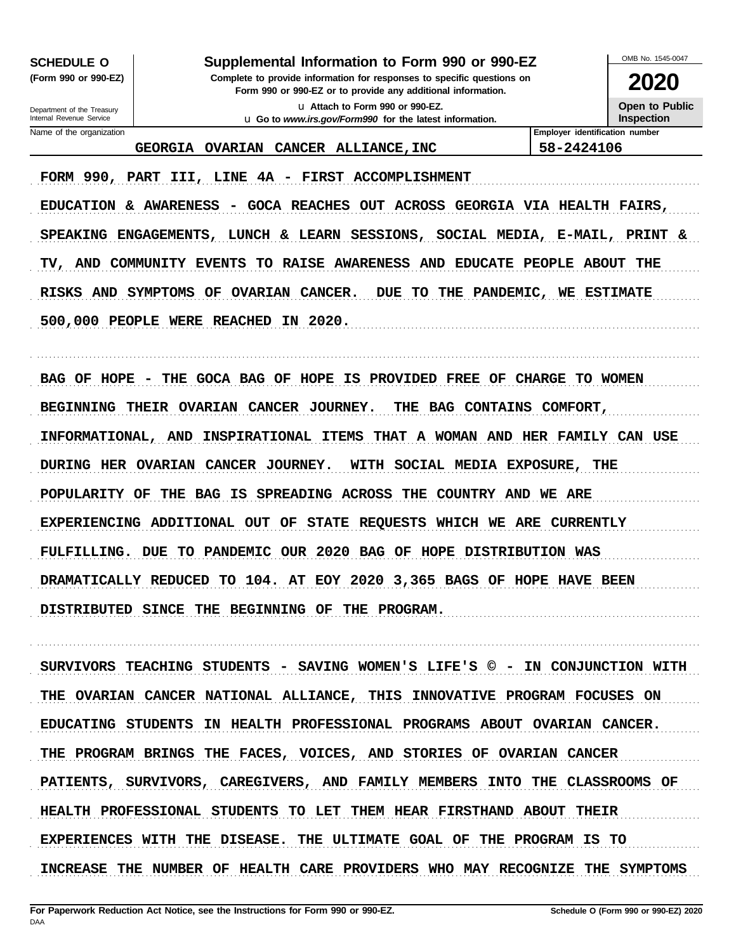**SCHEDULE O** 

(Form 990 or 990-EZ)

#### Supplemental Information to Form 990 or 990-EZ

Complete to provide information for responses to specific questions on Form 990 or 990-EZ or to provide any additional information. u Attach to Form 990 or 990-EZ.

u Go to www.irs.gov/Form990 for the latest information.

OMB No 1545-0047

2020 **Open to Public** 

Inspection

Department of the Treasury Internal Revenue Service Name of the organization

GEORGIA OVARIAN CANCER ALLIANCE, INC

Employer identification number 58-2424106

FORM 990, PART III, LINE 4A - FIRST ACCOMPLISHMENT EDUCATION & AWARENESS - GOCA REACHES OUT ACROSS GEORGIA VIA HEALTH FAIRS, SPEAKING ENGAGEMENTS, LUNCH & LEARN SESSIONS, SOCIAL MEDIA, E-MAIL, PRINT & TV, AND COMMUNITY EVENTS TO RAISE AWARENESS AND EDUCATE PEOPLE ABOUT THE RISKS AND SYMPTOMS OF OVARIAN CANCER. DUE TO THE PANDEMIC, WE ESTIMATE 500,000 PEOPLE WERE REACHED IN 2020.

BAG OF HOPE - THE GOCA BAG OF HOPE IS PROVIDED FREE OF CHARGE TO WOMEN BEGINNING THEIR OVARIAN CANCER JOURNEY. THE BAG CONTAINS COMFORT, INFORMATIONAL, AND INSPIRATIONAL ITEMS THAT A WOMAN AND HER FAMILY CAN USE DURING HER OVARIAN CANCER JOURNEY. WITH SOCIAL MEDIA EXPOSURE, THE POPULARITY OF THE BAG IS SPREADING ACROSS THE COUNTRY AND WE ARE EXPERIENCING ADDITIONAL OUT OF STATE REQUESTS WHICH WE ARE CURRENTLY FULFILLING. DUE TO PANDEMIC OUR 2020 BAG OF HOPE DISTRIBUTION WAS DRAMATICALLY REDUCED TO 104. AT EOY 2020 3,365 BAGS OF HOPE HAVE BEEN DISTRIBUTED SINCE THE BEGINNING OF THE PROGRAM.

SURVIVORS TEACHING STUDENTS - SAVING WOMEN'S LIFE'S © - IN CONJUNCTION WITH THE OVARIAN CANCER NATIONAL ALLIANCE, THIS INNOVATIVE PROGRAM FOCUSES ON EDUCATING STUDENTS IN HEALTH PROFESSIONAL PROGRAMS ABOUT OVARIAN CANCER. THE PROGRAM BRINGS THE FACES, VOICES, AND STORIES OF OVARIAN CANCER PATIENTS, SURVIVORS, CAREGIVERS, AND FAMILY MEMBERS INTO THE CLASSROOMS OF HEALTH PROFESSIONAL STUDENTS TO LET THEM HEAR FIRSTHAND ABOUT THEIR EXPERIENCES WITH THE DISEASE. THE ULTIMATE GOAL OF THE PROGRAM IS TO INCREASE THE NUMBER OF HEALTH CARE PROVIDERS WHO MAY RECOGNIZE THE SYMPTOMS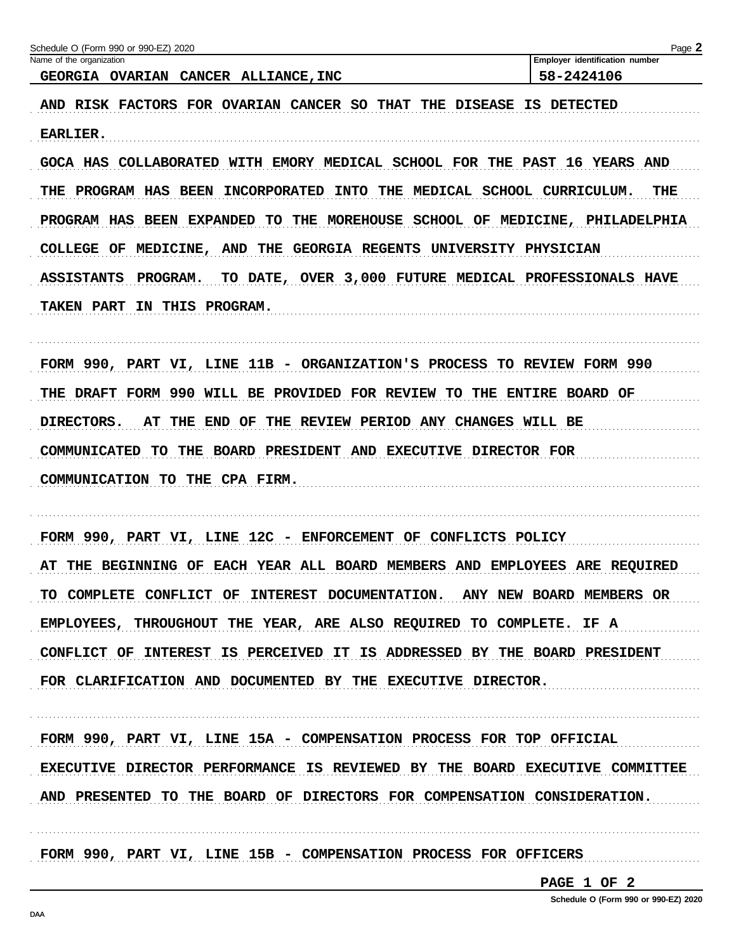| GEORGIA OVARIAN CANCER ALLIANCE, INC<br>AND RISK FACTORS FOR OVARIAN CANCER SO THAT THE DISEASE IS DETECTED<br><b>EARLIER.</b><br>GOCA HAS COLLABORATED WITH EMORY MEDICAL SCHOOL FOR THE PAST 16 YEARS AND<br>THE PROGRAM HAS BEEN<br><b>INCORPORATED</b><br>INTO THE MEDICAL SCHOOL CURRICULUM.<br>PROGRAM HAS BEEN EXPANDED<br>TO<br>THE MOREHOUSE SCHOOL OF MEDICINE, PHILADELPHIA | 58-2424106<br>THE   |
|----------------------------------------------------------------------------------------------------------------------------------------------------------------------------------------------------------------------------------------------------------------------------------------------------------------------------------------------------------------------------------------|---------------------|
|                                                                                                                                                                                                                                                                                                                                                                                        |                     |
|                                                                                                                                                                                                                                                                                                                                                                                        |                     |
|                                                                                                                                                                                                                                                                                                                                                                                        |                     |
|                                                                                                                                                                                                                                                                                                                                                                                        |                     |
|                                                                                                                                                                                                                                                                                                                                                                                        |                     |
|                                                                                                                                                                                                                                                                                                                                                                                        |                     |
| COLLEGE OF MEDICINE, AND<br>THE<br>GEORGIA REGENTS UNIVERSITY PHYSICIAN                                                                                                                                                                                                                                                                                                                |                     |
|                                                                                                                                                                                                                                                                                                                                                                                        |                     |
| TO DATE, OVER 3,000 FUTURE MEDICAL PROFESSIONALS HAVE<br><b>ASSISTANTS</b><br><b>PROGRAM.</b>                                                                                                                                                                                                                                                                                          |                     |
| TAKEN PART IN THIS PROGRAM.                                                                                                                                                                                                                                                                                                                                                            |                     |
|                                                                                                                                                                                                                                                                                                                                                                                        |                     |
| FORM 990, PART VI, LINE 11B - ORGANIZATION'S PROCESS                                                                                                                                                                                                                                                                                                                                   | TO REVIEW FORM 990  |
| THE DRAFT FORM 990 WILL BE PROVIDED FOR REVIEW<br>TO                                                                                                                                                                                                                                                                                                                                   | THE ENTIRE BOARD OF |
| <b>DIRECTORS.</b><br>THE<br>END OF<br>THE REVIEW PERIOD ANY CHANGES WILL BE<br>AT                                                                                                                                                                                                                                                                                                      |                     |
| BOARD PRESIDENT AND EXECUTIVE DIRECTOR FOR<br>COMMUNICATED<br>TO.<br>THE                                                                                                                                                                                                                                                                                                               |                     |
| COMMUNICATION TO THE CPA FIRM.                                                                                                                                                                                                                                                                                                                                                         |                     |
|                                                                                                                                                                                                                                                                                                                                                                                        |                     |
| FORM 990, PART VI, LINE 12C - ENFORCEMENT OF CONFLICTS POLICY                                                                                                                                                                                                                                                                                                                          |                     |
| AT THE BEGINNING OF EACH YEAR ALL BOARD MEMBERS AND EMPLOYEES ARE REQUIRED                                                                                                                                                                                                                                                                                                             |                     |
| TO COMPLETE CONFLICT OF INTEREST DOCUMENTATION. ANY NEW BOARD MEMBERS OR                                                                                                                                                                                                                                                                                                               |                     |
|                                                                                                                                                                                                                                                                                                                                                                                        |                     |
| EMPLOYEES, THROUGHOUT THE YEAR, ARE ALSO REQUIRED TO COMPLETE. IF A                                                                                                                                                                                                                                                                                                                    |                     |
| CONFLICT OF INTEREST IS PERCEIVED IT IS ADDRESSED BY THE BOARD PRESIDENT                                                                                                                                                                                                                                                                                                               |                     |
| FOR CLARIFICATION AND DOCUMENTED BY THE EXECUTIVE DIRECTOR.                                                                                                                                                                                                                                                                                                                            |                     |
|                                                                                                                                                                                                                                                                                                                                                                                        |                     |
| FORM 990, PART VI, LINE 15A - COMPENSATION PROCESS FOR TOP OFFICIAL                                                                                                                                                                                                                                                                                                                    |                     |
| EXECUTIVE DIRECTOR PERFORMANCE IS REVIEWED BY THE BOARD EXECUTIVE COMMITTEE                                                                                                                                                                                                                                                                                                            |                     |
| AND PRESENTED TO THE BOARD OF DIRECTORS FOR COMPENSATION CONSIDERATION.                                                                                                                                                                                                                                                                                                                |                     |
|                                                                                                                                                                                                                                                                                                                                                                                        |                     |

PAGE 1 OF 2